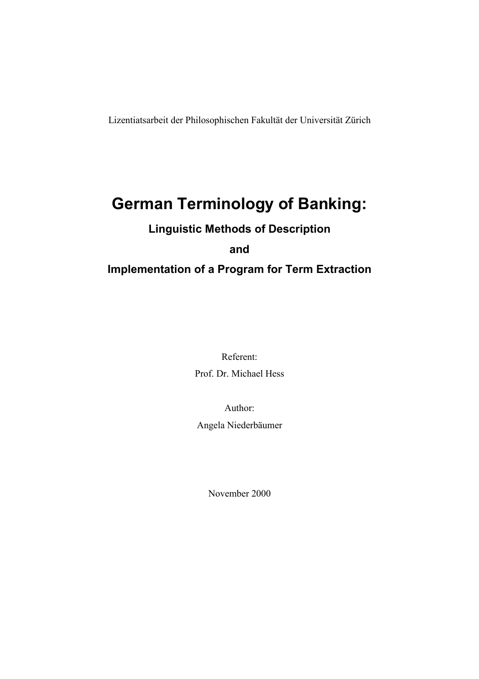Lizentiatsarbeit der Philosophischen Fakultät der Universität Zürich

# **German Terminology of Banking:**

# **Linguistic Methods of Description**

**and** 

# **Implementation of a Program for Term Extraction**

Referent: Prof. Dr. Michael Hess

Author:

Angela Niederbäumer

November 2000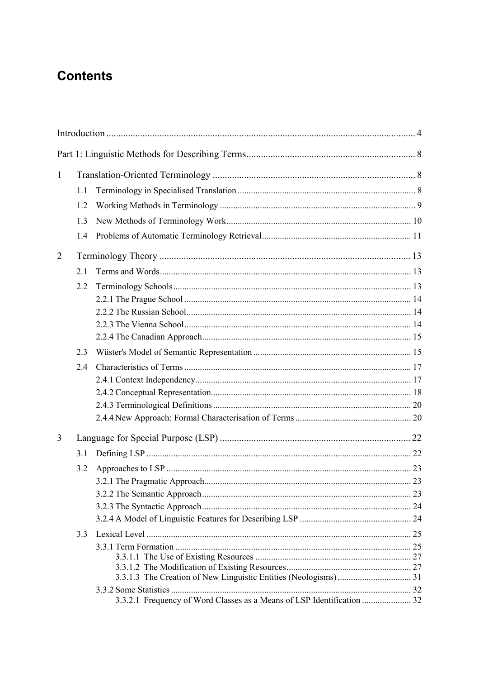# **Contents**

| $\mathbf{1}$   |     |  |  |
|----------------|-----|--|--|
|                | 1.1 |  |  |
|                | 1.2 |  |  |
|                | 1.3 |  |  |
|                | 1.4 |  |  |
| $\overline{2}$ |     |  |  |
|                | 2.1 |  |  |
|                | 2.2 |  |  |
|                |     |  |  |
|                |     |  |  |
|                |     |  |  |
|                |     |  |  |
|                | 2.3 |  |  |
|                | 2.4 |  |  |
|                |     |  |  |
|                |     |  |  |
|                |     |  |  |
|                |     |  |  |
| 3              |     |  |  |
|                | 3.1 |  |  |
|                | 3.2 |  |  |
|                |     |  |  |
|                |     |  |  |
|                |     |  |  |
|                |     |  |  |
|                | 3.3 |  |  |
|                |     |  |  |
|                |     |  |  |
|                |     |  |  |
|                |     |  |  |
|                |     |  |  |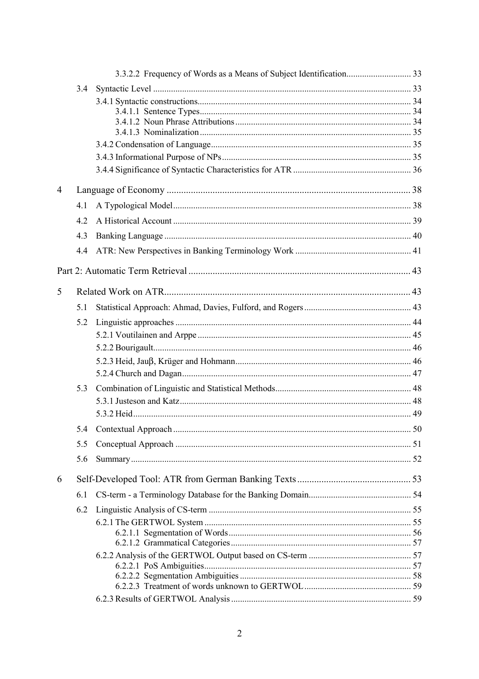|   | 3.4 |  |  |
|---|-----|--|--|
|   |     |  |  |
|   |     |  |  |
|   |     |  |  |
|   |     |  |  |
|   |     |  |  |
|   |     |  |  |
| 4 |     |  |  |
|   | 4.1 |  |  |
|   | 4.2 |  |  |
|   | 4.3 |  |  |
|   | 4.4 |  |  |
|   |     |  |  |
| 5 |     |  |  |
|   | 5.1 |  |  |
|   | 5.2 |  |  |
|   |     |  |  |
|   |     |  |  |
|   |     |  |  |
|   |     |  |  |
|   | 5.3 |  |  |
|   |     |  |  |
|   |     |  |  |
|   |     |  |  |
|   | 5.5 |  |  |
|   | 5.6 |  |  |
| 6 |     |  |  |
|   | 6.1 |  |  |
|   | 6.2 |  |  |
|   |     |  |  |
|   |     |  |  |
|   |     |  |  |
|   |     |  |  |
|   |     |  |  |
|   |     |  |  |
|   |     |  |  |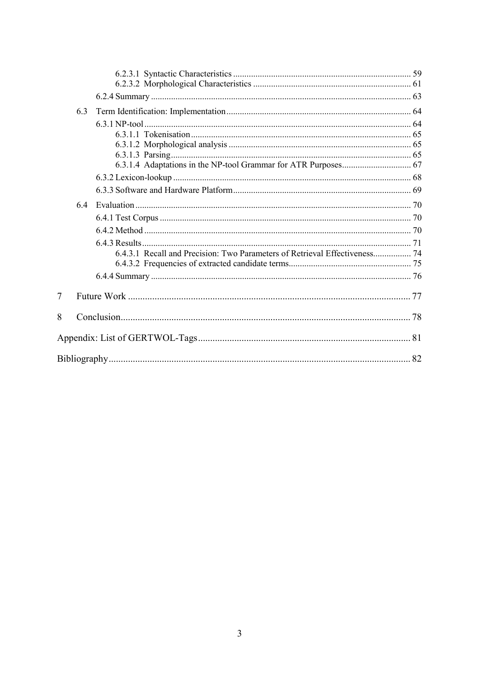|   | 6.3 |                                                                            |  |
|---|-----|----------------------------------------------------------------------------|--|
|   |     |                                                                            |  |
|   |     |                                                                            |  |
|   |     |                                                                            |  |
|   |     |                                                                            |  |
|   |     |                                                                            |  |
|   |     |                                                                            |  |
|   |     |                                                                            |  |
|   | 64  |                                                                            |  |
|   |     |                                                                            |  |
|   |     |                                                                            |  |
|   |     |                                                                            |  |
|   |     | 6.4.3.1 Recall and Precision: Two Parameters of Retrieval Effectiveness 74 |  |
|   |     |                                                                            |  |
|   |     |                                                                            |  |
| 7 |     |                                                                            |  |
| 8 |     |                                                                            |  |
|   |     |                                                                            |  |
|   |     |                                                                            |  |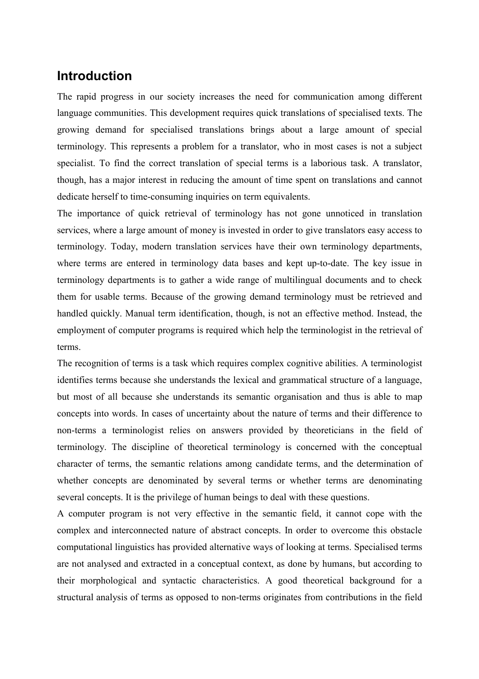# **Introduction**

The rapid progress in our society increases the need for communication among different language communities. This development requires quick translations of specialised texts. The growing demand for specialised translations brings about a large amount of special terminology. This represents a problem for a translator, who in most cases is not a subject specialist. To find the correct translation of special terms is a laborious task. A translator, though, has a major interest in reducing the amount of time spent on translations and cannot dedicate herself to time-consuming inquiries on term equivalents.

The importance of quick retrieval of terminology has not gone unnoticed in translation services, where a large amount of money is invested in order to give translators easy access to terminology. Today, modern translation services have their own terminology departments, where terms are entered in terminology data bases and kept up-to-date. The key issue in terminology departments is to gather a wide range of multilingual documents and to check them for usable terms. Because of the growing demand terminology must be retrieved and handled quickly. Manual term identification, though, is not an effective method. Instead, the employment of computer programs is required which help the terminologist in the retrieval of terms.

The recognition of terms is a task which requires complex cognitive abilities. A terminologist identifies terms because she understands the lexical and grammatical structure of a language, but most of all because she understands its semantic organisation and thus is able to map concepts into words. In cases of uncertainty about the nature of terms and their difference to non-terms a terminologist relies on answers provided by theoreticians in the field of terminology. The discipline of theoretical terminology is concerned with the conceptual character of terms, the semantic relations among candidate terms, and the determination of whether concepts are denominated by several terms or whether terms are denominating several concepts. It is the privilege of human beings to deal with these questions.

A computer program is not very effective in the semantic field, it cannot cope with the complex and interconnected nature of abstract concepts. In order to overcome this obstacle computational linguistics has provided alternative ways of looking at terms. Specialised terms are not analysed and extracted in a conceptual context, as done by humans, but according to their morphological and syntactic characteristics. A good theoretical background for a structural analysis of terms as opposed to non-terms originates from contributions in the field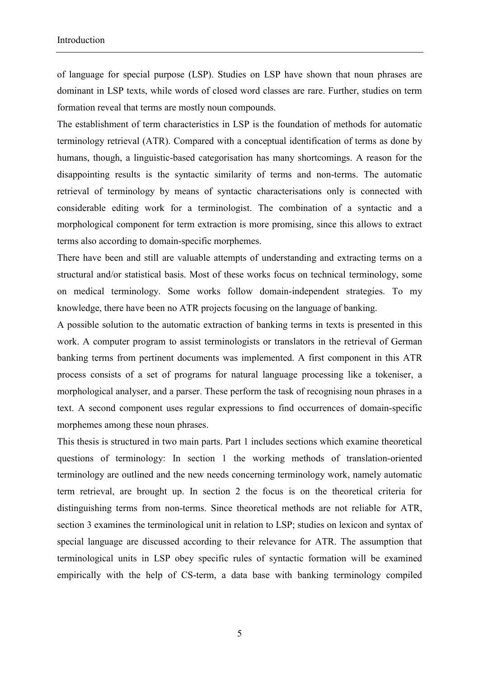of language for special purpose (LSP). Studies on LSP have shown that noun phrases are dominant in LSP texts, while words of closed word classes are rare. Further, studies on term formation reveal that terms are mostly noun compounds.

The establishment of term characteristics in LSP is the foundation of methods for automatic terminology retrieval (ATR). Compared with a conceptual identification of terms as done by humans, though, a linguistic-based categorisation has many shortcomings. A reason for the disappointing results is the syntactic similarity of terms and non-terms. The automatic retrieval of terminology by means of syntactic characterisations only is connected with considerable editing work for a terminologist. The combination of a syntactic and a morphological component for term extraction is more promising, since this allows to extract terms also according to domain-specific morphemes.

There have been and still are valuable attempts of understanding and extracting terms on a structural and/or statistical basis. Most of these works focus on technical terminology, some on medical terminology. Some works follow domain-independent strategies. To my knowledge, there have been no ATR projects focusing on the language of banking.

A possible solution to the automatic extraction of banking terms in texts is presented in this work. A computer program to assist terminologists or translators in the retrieval of German banking terms from pertinent documents was implemented. A first component in this ATR process consists of a set of programs for natural language processing like a tokeniser, a morphological analyser, and a parser. These perform the task of recognising noun phrases in a text. A second component uses regular expressions to find occurrences of domain-specific morphemes among these noun phrases.

This thesis is structured in two main parts. Part 1 includes sections which examine theoretical questions of terminology: In section 1 the working methods of translation-oriented terminology are outlined and the new needs concerning terminology work, namely automatic term retrieval, are brought up. In section 2 the focus is on the theoretical criteria for distinguishing terms from non-terms. Since theoretical methods are not reliable for ATR, section 3 examines the terminological unit in relation to LSP; studies on lexicon and syntax of special language are discussed according to their relevance for ATR. The assumption that terminological units in LSP obey specific rules of syntactic formation will be examined empirically with the help of CS-term, a data base with banking terminology compiled

5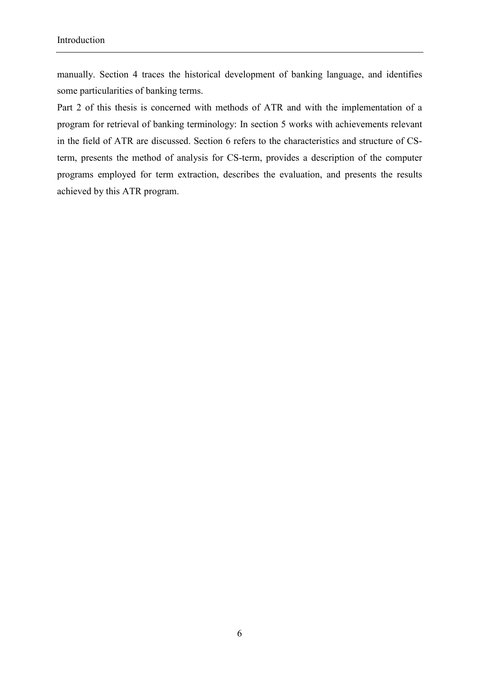manually. Section 4 traces the historical development of banking language, and identifies some particularities of banking terms.

Part 2 of this thesis is concerned with methods of ATR and with the implementation of a program for retrieval of banking terminology: In section 5 works with achievements relevant in the field of ATR are discussed. Section 6 refers to the characteristics and structure of CSterm, presents the method of analysis for CS-term, provides a description of the computer programs employed for term extraction, describes the evaluation, and presents the results achieved by this ATR program.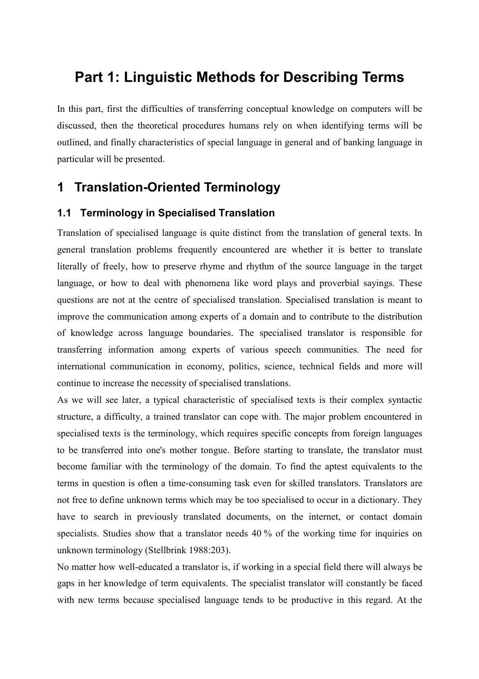# **Part 1: Linguistic Methods for Describing Terms**

In this part, first the difficulties of transferring conceptual knowledge on computers will be discussed, then the theoretical procedures humans rely on when identifying terms will be outlined, and finally characteristics of special language in general and of banking language in particular will be presented.

# **1 Translation-Oriented Terminology**

# **1.1 Terminology in Specialised Translation**

Translation of specialised language is quite distinct from the translation of general texts. In general translation problems frequently encountered are whether it is better to translate literally of freely, how to preserve rhyme and rhythm of the source language in the target language, or how to deal with phenomena like word plays and proverbial sayings. These questions are not at the centre of specialised translation. Specialised translation is meant to improve the communication among experts of a domain and to contribute to the distribution of knowledge across language boundaries. The specialised translator is responsible for transferring information among experts of various speech communities. The need for international communication in economy, politics, science, technical fields and more will continue to increase the necessity of specialised translations.

As we will see later, a typical characteristic of specialised texts is their complex syntactic structure, a difficulty, a trained translator can cope with. The major problem encountered in specialised texts is the terminology, which requires specific concepts from foreign languages to be transferred into one's mother tongue. Before starting to translate, the translator must become familiar with the terminology of the domain. To find the aptest equivalents to the terms in question is often a time-consuming task even for skilled translators. Translators are not free to define unknown terms which may be too specialised to occur in a dictionary. They have to search in previously translated documents, on the internet, or contact domain specialists. Studies show that a translator needs 40 % of the working time for inquiries on unknown terminology (Stellbrink 1988:203).

No matter how well-educated a translator is, if working in a special field there will always be gaps in her knowledge of term equivalents. The specialist translator will constantly be faced with new terms because specialised language tends to be productive in this regard. At the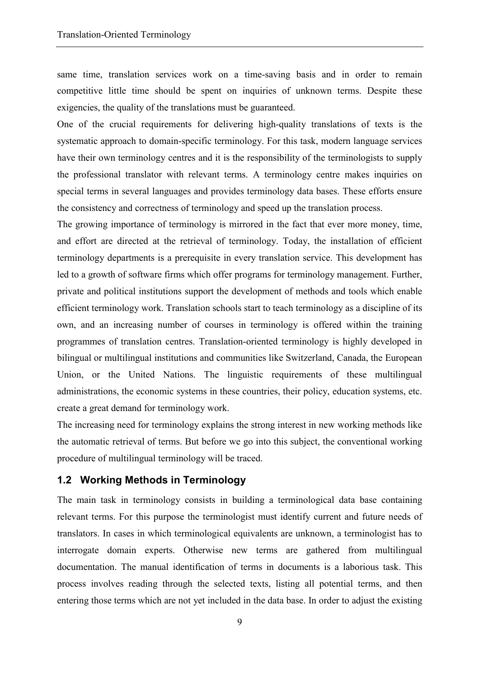same time, translation services work on a time-saving basis and in order to remain competitive little time should be spent on inquiries of unknown terms. Despite these exigencies, the quality of the translations must be guaranteed.

One of the crucial requirements for delivering high-quality translations of texts is the systematic approach to domain-specific terminology. For this task, modern language services have their own terminology centres and it is the responsibility of the terminologists to supply the professional translator with relevant terms. A terminology centre makes inquiries on special terms in several languages and provides terminology data bases. These efforts ensure the consistency and correctness of terminology and speed up the translation process.

The growing importance of terminology is mirrored in the fact that ever more money, time, and effort are directed at the retrieval of terminology. Today, the installation of efficient terminology departments is a prerequisite in every translation service. This development has led to a growth of software firms which offer programs for terminology management. Further, private and political institutions support the development of methods and tools which enable efficient terminology work. Translation schools start to teach terminology as a discipline of its own, and an increasing number of courses in terminology is offered within the training programmes of translation centres. Translation-oriented terminology is highly developed in bilingual or multilingual institutions and communities like Switzerland, Canada, the European Union, or the United Nations. The linguistic requirements of these multilingual administrations, the economic systems in these countries, their policy, education systems, etc. create a great demand for terminology work.

The increasing need for terminology explains the strong interest in new working methods like the automatic retrieval of terms. But before we go into this subject, the conventional working procedure of multilingual terminology will be traced.

#### **1.2 Working Methods in Terminology**

The main task in terminology consists in building a terminological data base containing relevant terms. For this purpose the terminologist must identify current and future needs of translators. In cases in which terminological equivalents are unknown, a terminologist has to interrogate domain experts. Otherwise new terms are gathered from multilingual documentation. The manual identification of terms in documents is a laborious task. This process involves reading through the selected texts, listing all potential terms, and then entering those terms which are not yet included in the data base. In order to adjust the existing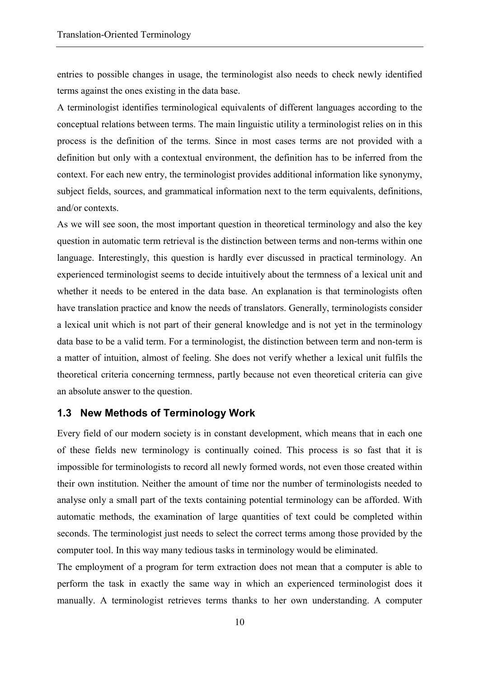entries to possible changes in usage, the terminologist also needs to check newly identified terms against the ones existing in the data base.

A terminologist identifies terminological equivalents of different languages according to the conceptual relations between terms. The main linguistic utility a terminologist relies on in this process is the definition of the terms. Since in most cases terms are not provided with a definition but only with a contextual environment, the definition has to be inferred from the context. For each new entry, the terminologist provides additional information like synonymy, subject fields, sources, and grammatical information next to the term equivalents, definitions, and/or contexts.

As we will see soon, the most important question in theoretical terminology and also the key question in automatic term retrieval is the distinction between terms and non-terms within one language. Interestingly, this question is hardly ever discussed in practical terminology. An experienced terminologist seems to decide intuitively about the termness of a lexical unit and whether it needs to be entered in the data base. An explanation is that terminologists often have translation practice and know the needs of translators. Generally, terminologists consider a lexical unit which is not part of their general knowledge and is not yet in the terminology data base to be a valid term. For a terminologist, the distinction between term and non-term is a matter of intuition, almost of feeling. She does not verify whether a lexical unit fulfils the theoretical criteria concerning termness, partly because not even theoretical criteria can give an absolute answer to the question.

## **1.3 New Methods of Terminology Work**

Every field of our modern society is in constant development, which means that in each one of these fields new terminology is continually coined. This process is so fast that it is impossible for terminologists to record all newly formed words, not even those created within their own institution. Neither the amount of time nor the number of terminologists needed to analyse only a small part of the texts containing potential terminology can be afforded. With automatic methods, the examination of large quantities of text could be completed within seconds. The terminologist just needs to select the correct terms among those provided by the computer tool. In this way many tedious tasks in terminology would be eliminated.

The employment of a program for term extraction does not mean that a computer is able to perform the task in exactly the same way in which an experienced terminologist does it manually. A terminologist retrieves terms thanks to her own understanding. A computer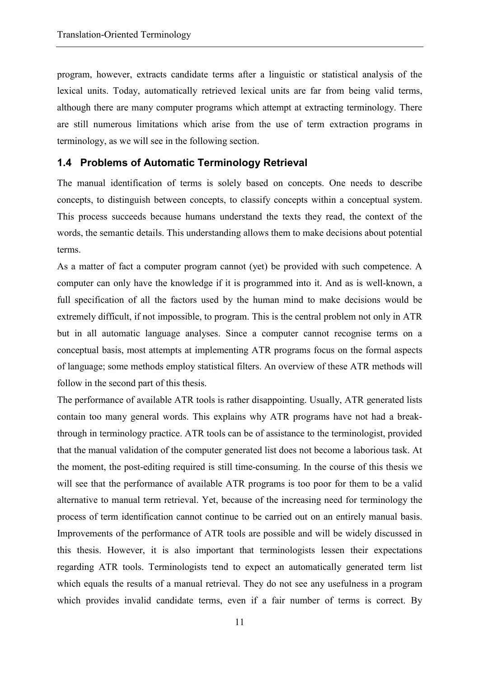program, however, extracts candidate terms after a linguistic or statistical analysis of the lexical units. Today, automatically retrieved lexical units are far from being valid terms, although there are many computer programs which attempt at extracting terminology. There are still numerous limitations which arise from the use of term extraction programs in terminology, as we will see in the following section.

#### **1.4 Problems of Automatic Terminology Retrieval**

The manual identification of terms is solely based on concepts. One needs to describe concepts, to distinguish between concepts, to classify concepts within a conceptual system. This process succeeds because humans understand the texts they read, the context of the words, the semantic details. This understanding allows them to make decisions about potential terms.

As a matter of fact a computer program cannot (yet) be provided with such competence. A computer can only have the knowledge if it is programmed into it. And as is well-known, a full specification of all the factors used by the human mind to make decisions would be extremely difficult, if not impossible, to program. This is the central problem not only in ATR but in all automatic language analyses. Since a computer cannot recognise terms on a conceptual basis, most attempts at implementing ATR programs focus on the formal aspects of language; some methods employ statistical filters. An overview of these ATR methods will follow in the second part of this thesis.

The performance of available ATR tools is rather disappointing. Usually, ATR generated lists contain too many general words. This explains why ATR programs have not had a breakthrough in terminology practice. ATR tools can be of assistance to the terminologist, provided that the manual validation of the computer generated list does not become a laborious task. At the moment, the post-editing required is still time-consuming. In the course of this thesis we will see that the performance of available ATR programs is too poor for them to be a valid alternative to manual term retrieval. Yet, because of the increasing need for terminology the process of term identification cannot continue to be carried out on an entirely manual basis. Improvements of the performance of ATR tools are possible and will be widely discussed in this thesis. However, it is also important that terminologists lessen their expectations regarding ATR tools. Terminologists tend to expect an automatically generated term list which equals the results of a manual retrieval. They do not see any usefulness in a program which provides invalid candidate terms, even if a fair number of terms is correct. By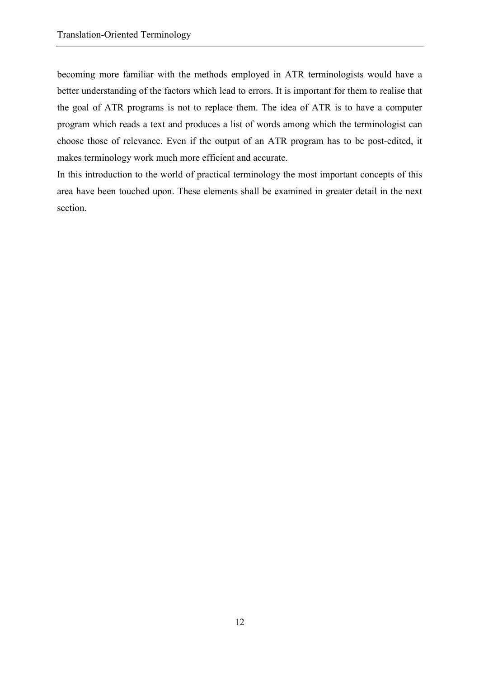becoming more familiar with the methods employed in ATR terminologists would have a better understanding of the factors which lead to errors. It is important for them to realise that the goal of ATR programs is not to replace them. The idea of ATR is to have a computer program which reads a text and produces a list of words among which the terminologist can choose those of relevance. Even if the output of an ATR program has to be post-edited, it makes terminology work much more efficient and accurate.

In this introduction to the world of practical terminology the most important concepts of this area have been touched upon. These elements shall be examined in greater detail in the next section.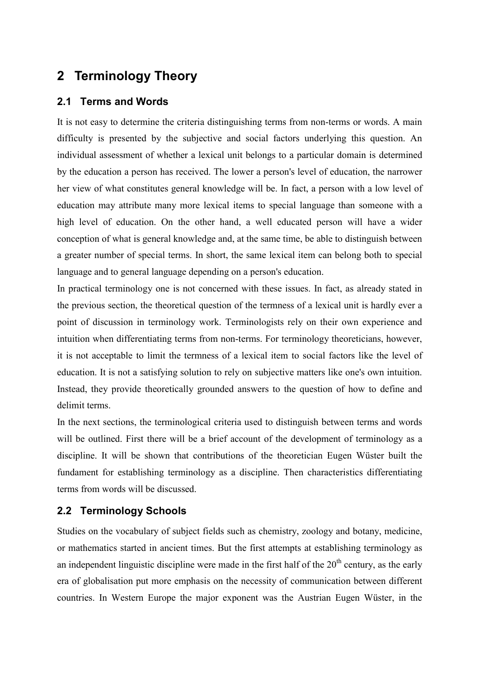# **2 Terminology Theory**

# **2.1 Terms and Words**

It is not easy to determine the criteria distinguishing terms from non-terms or words. A main difficulty is presented by the subjective and social factors underlying this question. An individual assessment of whether a lexical unit belongs to a particular domain is determined by the education a person has received. The lower a person's level of education, the narrower her view of what constitutes general knowledge will be. In fact, a person with a low level of education may attribute many more lexical items to special language than someone with a high level of education. On the other hand, a well educated person will have a wider conception of what is general knowledge and, at the same time, be able to distinguish between a greater number of special terms. In short, the same lexical item can belong both to special language and to general language depending on a person's education.

In practical terminology one is not concerned with these issues. In fact, as already stated in the previous section, the theoretical question of the termness of a lexical unit is hardly ever a point of discussion in terminology work. Terminologists rely on their own experience and intuition when differentiating terms from non-terms. For terminology theoreticians, however, it is not acceptable to limit the termness of a lexical item to social factors like the level of education. It is not a satisfying solution to rely on subjective matters like one's own intuition. Instead, they provide theoretically grounded answers to the question of how to define and delimit terms.

In the next sections, the terminological criteria used to distinguish between terms and words will be outlined. First there will be a brief account of the development of terminology as a discipline. It will be shown that contributions of the theoretician Eugen Wüster built the fundament for establishing terminology as a discipline. Then characteristics differentiating terms from words will be discussed.

# **2.2 Terminology Schools**

Studies on the vocabulary of subject fields such as chemistry, zoology and botany, medicine, or mathematics started in ancient times. But the first attempts at establishing terminology as an independent linguistic discipline were made in the first half of the  $20<sup>th</sup>$  century, as the early era of globalisation put more emphasis on the necessity of communication between different countries. In Western Europe the major exponent was the Austrian Eugen Wüster, in the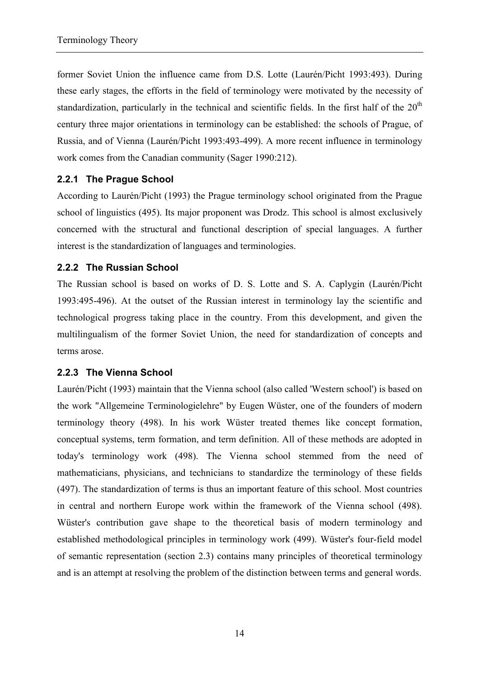former Soviet Union the influence came from D.S. Lotte (Laurén/Picht 1993:493). During these early stages, the efforts in the field of terminology were motivated by the necessity of standardization, particularly in the technical and scientific fields. In the first half of the  $20<sup>th</sup>$ century three major orientations in terminology can be established: the schools of Prague, of Russia, and of Vienna (Laurén/Picht 1993:493-499). A more recent influence in terminology work comes from the Canadian community (Sager 1990:212).

# **2.2.1 The Prague School**

According to Laurén/Picht (1993) the Prague terminology school originated from the Prague school of linguistics (495). Its major proponent was Drodz. This school is almost exclusively concerned with the structural and functional description of special languages. A further interest is the standardization of languages and terminologies.

# **2.2.2 The Russian School**

The Russian school is based on works of D. S. Lotte and S. A. Caplygin (Laurén/Picht 1993:495-496). At the outset of the Russian interest in terminology lay the scientific and technological progress taking place in the country. From this development, and given the multilingualism of the former Soviet Union, the need for standardization of concepts and terms arose.

## **2.2.3 The Vienna School**

Laurén/Picht (1993) maintain that the Vienna school (also called 'Western school') is based on the work "Allgemeine Terminologielehre" by Eugen Wüster, one of the founders of modern terminology theory (498). In his work Wüster treated themes like concept formation, conceptual systems, term formation, and term definition. All of these methods are adopted in today's terminology work (498). The Vienna school stemmed from the need of mathematicians, physicians, and technicians to standardize the terminology of these fields (497). The standardization of terms is thus an important feature of this school. Most countries in central and northern Europe work within the framework of the Vienna school (498). Wüster's contribution gave shape to the theoretical basis of modern terminology and established methodological principles in terminology work (499). Wüster's four-field model of semantic representation (section 2.3) contains many principles of theoretical terminology and is an attempt at resolving the problem of the distinction between terms and general words.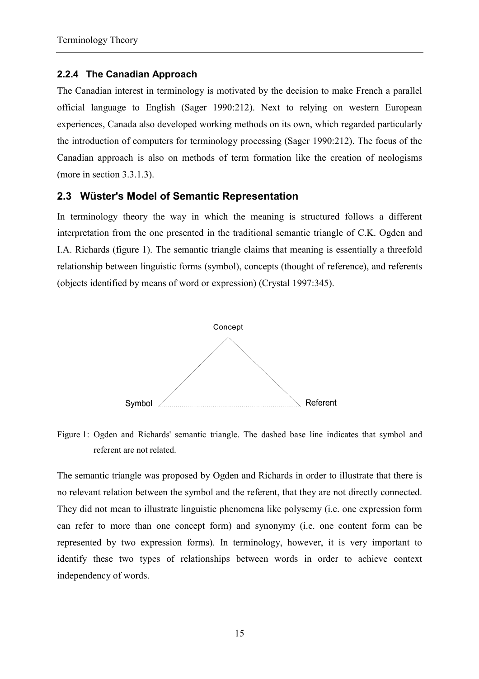#### **2.2.4 The Canadian Approach**

The Canadian interest in terminology is motivated by the decision to make French a parallel official language to English (Sager 1990:212). Next to relying on western European experiences, Canada also developed working methods on its own, which regarded particularly the introduction of computers for terminology processing (Sager 1990:212). The focus of the Canadian approach is also on methods of term formation like the creation of neologisms (more in section 3.3.1.3).

## **2.3 Wüster's Model of Semantic Representation**

In terminology theory the way in which the meaning is structured follows a different interpretation from the one presented in the traditional semantic triangle of C.K. Ogden and I.A. Richards (figure 1). The semantic triangle claims that meaning is essentially a threefold relationship between linguistic forms (symbol), concepts (thought of reference), and referents (objects identified by means of word or expression) (Crystal 1997:345).



Figure 1: Ogden and Richards' semantic triangle. The dashed base line indicates that symbol and referent are not related.

The semantic triangle was proposed by Ogden and Richards in order to illustrate that there is no relevant relation between the symbol and the referent, that they are not directly connected. They did not mean to illustrate linguistic phenomena like polysemy (i.e. one expression form can refer to more than one concept form) and synonymy (i.e. one content form can be represented by two expression forms). In terminology, however, it is very important to identify these two types of relationships between words in order to achieve context independency of words.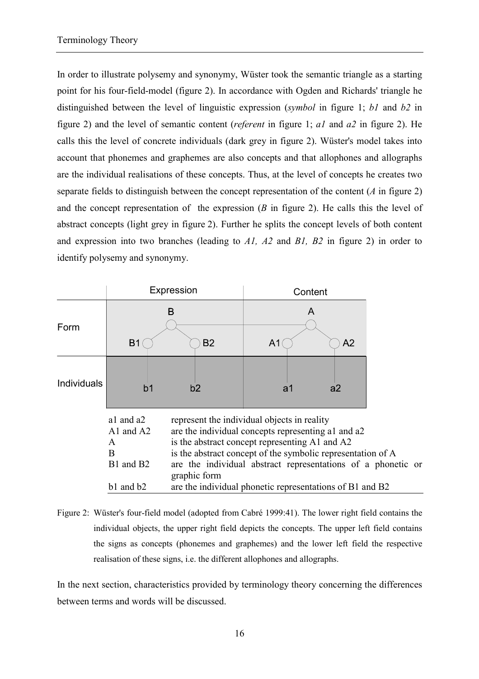In order to illustrate polysemy and synonymy, Wüster took the semantic triangle as a starting point for his four-field-model (figure 2). In accordance with Ogden and Richards' triangle he distinguished between the level of linguistic expression (*symbol* in figure 1; *b1* and *b2* in figure 2) and the level of semantic content (*referent* in figure 1; *a1* and *a2* in figure 2). He calls this the level of concrete individuals (dark grey in figure 2). Wüster's model takes into account that phonemes and graphemes are also concepts and that allophones and allographs are the individual realisations of these concepts. Thus, at the level of concepts he creates two separate fields to distinguish between the concept representation of the content (*A* in figure 2) and the concept representation of the expression (*B* in figure 2). He calls this the level of abstract concepts (light grey in figure 2). Further he splits the concept levels of both content and expression into two branches (leading to *A1, A2* and *B1, B2* in figure 2) in order to identify polysemy and synonymy.

|                    |                                                              | Expression                                                                                                                                                                                                                                                                                                                                                     | Content |   |    |  |
|--------------------|--------------------------------------------------------------|----------------------------------------------------------------------------------------------------------------------------------------------------------------------------------------------------------------------------------------------------------------------------------------------------------------------------------------------------------------|---------|---|----|--|
| Form               | B <sub>1</sub>                                               | B<br><b>B2</b>                                                                                                                                                                                                                                                                                                                                                 | A1      | A | A2 |  |
| <b>Individuals</b> | b <sub>1</sub>                                               | b2                                                                                                                                                                                                                                                                                                                                                             | a1      |   | a2 |  |
|                    | a1 and a2<br>A1 and $A2$<br>A<br>B<br>B1 and B2<br>b1 and b2 | represent the individual objects in reality<br>are the individual concepts representing al and a2<br>is the abstract concept representing A1 and A2<br>is the abstract concept of the symbolic representation of A<br>are the individual abstract representations of a phonetic or<br>graphic form<br>are the individual phonetic representations of B1 and B2 |         |   |    |  |

Figure 2: Wüster's four-field model (adopted from Cabré 1999:41). The lower right field contains the individual objects, the upper right field depicts the concepts. The upper left field contains the signs as concepts (phonemes and graphemes) and the lower left field the respective realisation of these signs, i.e. the different allophones and allographs.

In the next section, characteristics provided by terminology theory concerning the differences between terms and words will be discussed.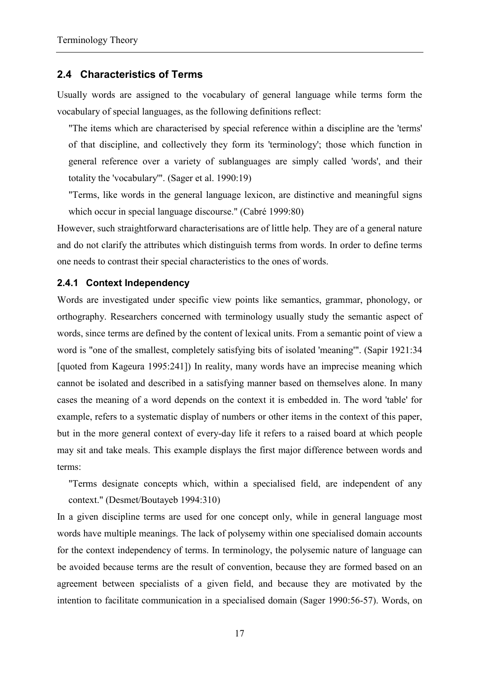#### **2.4 Characteristics of Terms**

Usually words are assigned to the vocabulary of general language while terms form the vocabulary of special languages, as the following definitions reflect:

"The items which are characterised by special reference within a discipline are the 'terms' of that discipline, and collectively they form its 'terminology'; those which function in general reference over a variety of sublanguages are simply called 'words', and their totality the 'vocabulary'". (Sager et al. 1990:19)

"Terms, like words in the general language lexicon, are distinctive and meaningful signs which occur in special language discourse." (Cabré 1999:80)

However, such straightforward characterisations are of little help. They are of a general nature and do not clarify the attributes which distinguish terms from words. In order to define terms one needs to contrast their special characteristics to the ones of words.

#### **2.4.1 Context Independency**

Words are investigated under specific view points like semantics, grammar, phonology, or orthography. Researchers concerned with terminology usually study the semantic aspect of words, since terms are defined by the content of lexical units. From a semantic point of view a word is "one of the smallest, completely satisfying bits of isolated 'meaning'". (Sapir 1921:34 [quoted from Kageura 1995:241]) In reality, many words have an imprecise meaning which cannot be isolated and described in a satisfying manner based on themselves alone. In many cases the meaning of a word depends on the context it is embedded in. The word 'table' for example, refers to a systematic display of numbers or other items in the context of this paper, but in the more general context of every-day life it refers to a raised board at which people may sit and take meals. This example displays the first major difference between words and terms:

"Terms designate concepts which, within a specialised field, are independent of any context." (Desmet/Boutayeb 1994:310)

In a given discipline terms are used for one concept only, while in general language most words have multiple meanings. The lack of polysemy within one specialised domain accounts for the context independency of terms. In terminology, the polysemic nature of language can be avoided because terms are the result of convention, because they are formed based on an agreement between specialists of a given field, and because they are motivated by the intention to facilitate communication in a specialised domain (Sager 1990:56-57). Words, on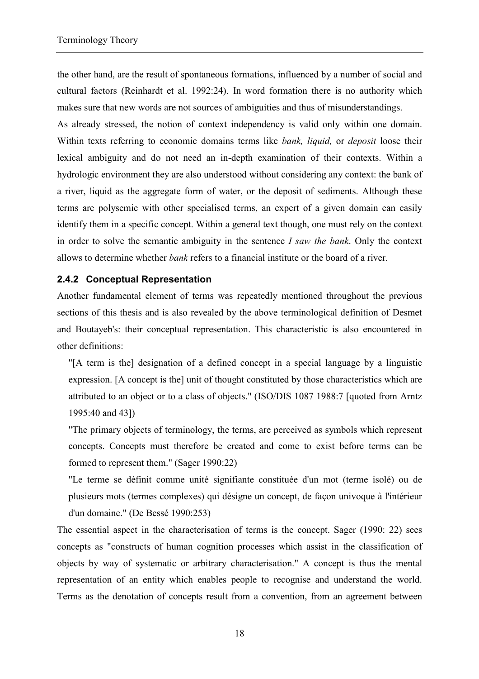the other hand, are the result of spontaneous formations, influenced by a number of social and cultural factors (Reinhardt et al. 1992:24). In word formation there is no authority which makes sure that new words are not sources of ambiguities and thus of misunderstandings.

As already stressed, the notion of context independency is valid only within one domain. Within texts referring to economic domains terms like *bank, liquid,* or *deposit* loose their lexical ambiguity and do not need an in-depth examination of their contexts. Within a hydrologic environment they are also understood without considering any context: the bank of a river, liquid as the aggregate form of water, or the deposit of sediments. Although these terms are polysemic with other specialised terms, an expert of a given domain can easily identify them in a specific concept. Within a general text though, one must rely on the context in order to solve the semantic ambiguity in the sentence *I saw the bank*. Only the context allows to determine whether *bank* refers to a financial institute or the board of a river.

## **2.4.2 Conceptual Representation**

Another fundamental element of terms was repeatedly mentioned throughout the previous sections of this thesis and is also revealed by the above terminological definition of Desmet and Boutayeb's: their conceptual representation. This characteristic is also encountered in other definitions:

"[A term is the] designation of a defined concept in a special language by a linguistic expression. [A concept is the] unit of thought constituted by those characteristics which are attributed to an object or to a class of objects." (ISO/DIS 1087 1988:7 [quoted from Arntz 1995:40 and 43])

"The primary objects of terminology, the terms, are perceived as symbols which represent concepts. Concepts must therefore be created and come to exist before terms can be formed to represent them." (Sager 1990:22)

"Le terme se définit comme unité signifiante constituée d'un mot (terme isolé) ou de plusieurs mots (termes complexes) qui désigne un concept, de façon univoque à l'intérieur d'un domaine." (De Bessé 1990:253)

The essential aspect in the characterisation of terms is the concept. Sager (1990: 22) sees concepts as "constructs of human cognition processes which assist in the classification of objects by way of systematic or arbitrary characterisation." A concept is thus the mental representation of an entity which enables people to recognise and understand the world. Terms as the denotation of concepts result from a convention, from an agreement between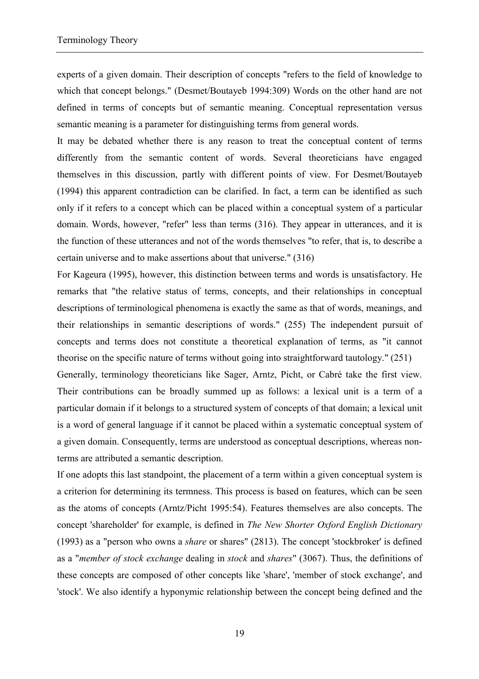experts of a given domain. Their description of concepts "refers to the field of knowledge to which that concept belongs." (Desmet/Boutayeb 1994:309) Words on the other hand are not defined in terms of concepts but of semantic meaning. Conceptual representation versus semantic meaning is a parameter for distinguishing terms from general words.

It may be debated whether there is any reason to treat the conceptual content of terms differently from the semantic content of words. Several theoreticians have engaged themselves in this discussion, partly with different points of view. For Desmet/Boutayeb (1994) this apparent contradiction can be clarified. In fact, a term can be identified as such only if it refers to a concept which can be placed within a conceptual system of a particular domain. Words, however, "refer" less than terms (316). They appear in utterances, and it is the function of these utterances and not of the words themselves "to refer, that is, to describe a certain universe and to make assertions about that universe." (316)

For Kageura (1995), however, this distinction between terms and words is unsatisfactory. He remarks that "the relative status of terms, concepts, and their relationships in conceptual descriptions of terminological phenomena is exactly the same as that of words, meanings, and their relationships in semantic descriptions of words." (255) The independent pursuit of concepts and terms does not constitute a theoretical explanation of terms, as "it cannot theorise on the specific nature of terms without going into straightforward tautology." (251)

Generally, terminology theoreticians like Sager, Arntz, Picht, or Cabré take the first view. Their contributions can be broadly summed up as follows: a lexical unit is a term of a particular domain if it belongs to a structured system of concepts of that domain; a lexical unit is a word of general language if it cannot be placed within a systematic conceptual system of a given domain. Consequently, terms are understood as conceptual descriptions, whereas nonterms are attributed a semantic description.

If one adopts this last standpoint, the placement of a term within a given conceptual system is a criterion for determining its termness. This process is based on features, which can be seen as the atoms of concepts (Arntz/Picht 1995:54). Features themselves are also concepts. The concept 'shareholder' for example, is defined in *The New Shorter Oxford English Dictionary* (1993) as a "person who owns a *share* or shares" (2813). The concept 'stockbroker' is defined as a "*member of stock exchange* dealing in *stock* and *shares*" (3067). Thus, the definitions of these concepts are composed of other concepts like 'share', 'member of stock exchange', and 'stock'. We also identify a hyponymic relationship between the concept being defined and the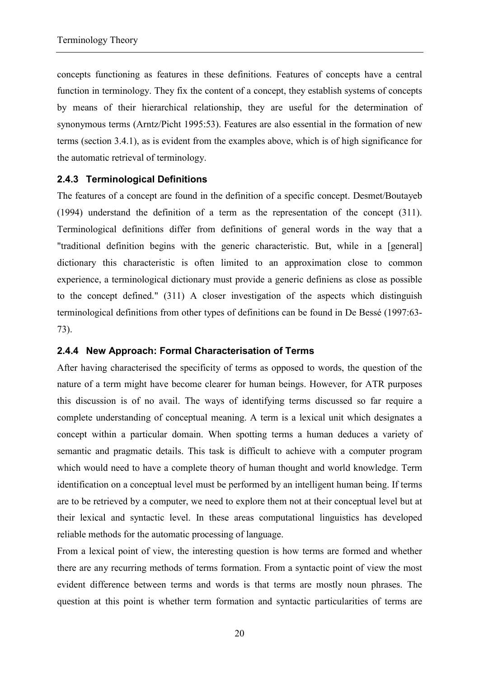concepts functioning as features in these definitions. Features of concepts have a central function in terminology. They fix the content of a concept, they establish systems of concepts by means of their hierarchical relationship, they are useful for the determination of synonymous terms (Arntz/Picht 1995:53). Features are also essential in the formation of new terms (section 3.4.1), as is evident from the examples above, which is of high significance for the automatic retrieval of terminology.

## **2.4.3 Terminological Definitions**

The features of a concept are found in the definition of a specific concept. Desmet/Boutayeb (1994) understand the definition of a term as the representation of the concept (311). Terminological definitions differ from definitions of general words in the way that a "traditional definition begins with the generic characteristic. But, while in a [general] dictionary this characteristic is often limited to an approximation close to common experience, a terminological dictionary must provide a generic definiens as close as possible to the concept defined." (311) A closer investigation of the aspects which distinguish terminological definitions from other types of definitions can be found in De Bessé (1997:63- 73).

## **2.4.4 New Approach: Formal Characterisation of Terms**

After having characterised the specificity of terms as opposed to words, the question of the nature of a term might have become clearer for human beings. However, for ATR purposes this discussion is of no avail. The ways of identifying terms discussed so far require a complete understanding of conceptual meaning. A term is a lexical unit which designates a concept within a particular domain. When spotting terms a human deduces a variety of semantic and pragmatic details. This task is difficult to achieve with a computer program which would need to have a complete theory of human thought and world knowledge. Term identification on a conceptual level must be performed by an intelligent human being. If terms are to be retrieved by a computer, we need to explore them not at their conceptual level but at their lexical and syntactic level. In these areas computational linguistics has developed reliable methods for the automatic processing of language.

From a lexical point of view, the interesting question is how terms are formed and whether there are any recurring methods of terms formation. From a syntactic point of view the most evident difference between terms and words is that terms are mostly noun phrases. The question at this point is whether term formation and syntactic particularities of terms are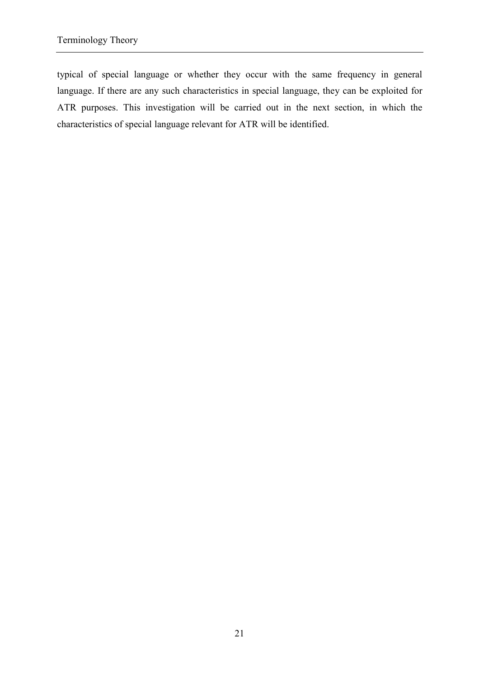typical of special language or whether they occur with the same frequency in general language. If there are any such characteristics in special language, they can be exploited for ATR purposes. This investigation will be carried out in the next section, in which the characteristics of special language relevant for ATR will be identified.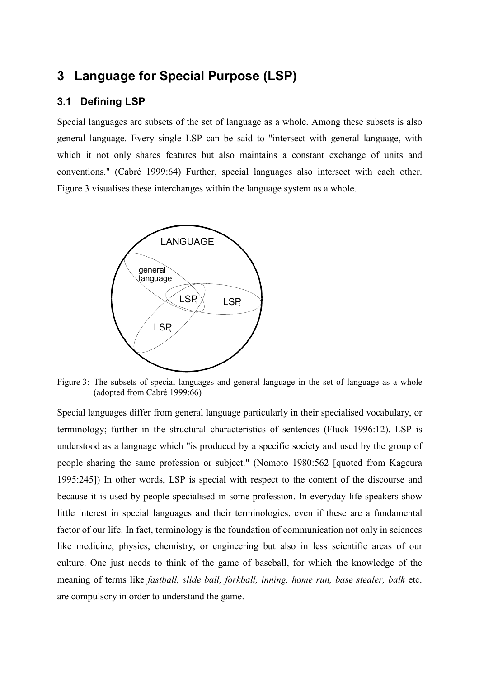# **3 Language for Special Purpose (LSP)**

# **3.1 Defining LSP**

Special languages are subsets of the set of language as a whole. Among these subsets is also general language. Every single LSP can be said to "intersect with general language, with which it not only shares features but also maintains a constant exchange of units and conventions." (Cabré 1999:64) Further, special languages also intersect with each other. Figure 3 visualises these interchanges within the language system as a whole.



Figure 3: The subsets of special languages and general language in the set of language as a whole (adopted from Cabré 1999:66)

Special languages differ from general language particularly in their specialised vocabulary, or terminology; further in the structural characteristics of sentences (Fluck 1996:12). LSP is understood as a language which "is produced by a specific society and used by the group of people sharing the same profession or subject." (Nomoto 1980:562 [quoted from Kageura 1995:245]) In other words, LSP is special with respect to the content of the discourse and because it is used by people specialised in some profession. In everyday life speakers show little interest in special languages and their terminologies, even if these are a fundamental factor of our life. In fact, terminology is the foundation of communication not only in sciences like medicine, physics, chemistry, or engineering but also in less scientific areas of our culture. One just needs to think of the game of baseball, for which the knowledge of the meaning of terms like *fastball, slide ball, forkball, inning, home run, base stealer, balk* etc. are compulsory in order to understand the game.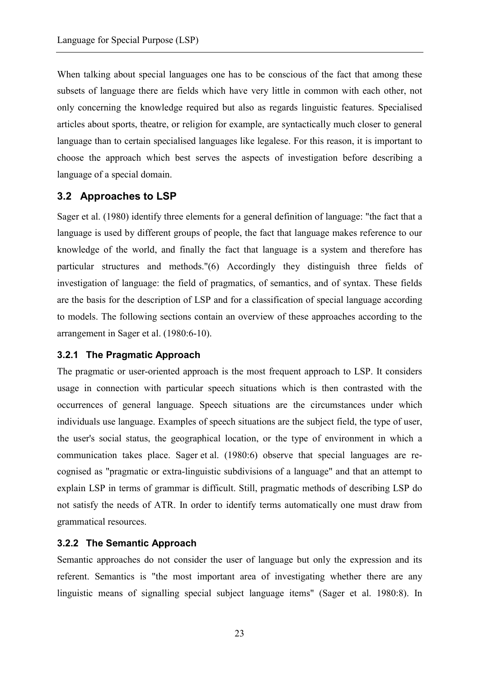When talking about special languages one has to be conscious of the fact that among these subsets of language there are fields which have very little in common with each other, not only concerning the knowledge required but also as regards linguistic features. Specialised articles about sports, theatre, or religion for example, are syntactically much closer to general language than to certain specialised languages like legalese. For this reason, it is important to choose the approach which best serves the aspects of investigation before describing a language of a special domain.

# **3.2 Approaches to LSP**

Sager et al. (1980) identify three elements for a general definition of language: "the fact that a language is used by different groups of people, the fact that language makes reference to our knowledge of the world, and finally the fact that language is a system and therefore has particular structures and methods."(6) Accordingly they distinguish three fields of investigation of language: the field of pragmatics, of semantics, and of syntax. These fields are the basis for the description of LSP and for a classification of special language according to models. The following sections contain an overview of these approaches according to the arrangement in Sager et al. (1980:6-10).

## **3.2.1 The Pragmatic Approach**

The pragmatic or user-oriented approach is the most frequent approach to LSP. It considers usage in connection with particular speech situations which is then contrasted with the occurrences of general language. Speech situations are the circumstances under which individuals use language. Examples of speech situations are the subject field, the type of user, the user's social status, the geographical location, or the type of environment in which a communication takes place. Sager et al. (1980:6) observe that special languages are recognised as "pragmatic or extra-linguistic subdivisions of a language" and that an attempt to explain LSP in terms of grammar is difficult. Still, pragmatic methods of describing LSP do not satisfy the needs of ATR. In order to identify terms automatically one must draw from grammatical resources.

## **3.2.2 The Semantic Approach**

Semantic approaches do not consider the user of language but only the expression and its referent. Semantics is "the most important area of investigating whether there are any linguistic means of signalling special subject language items" (Sager et al. 1980:8). In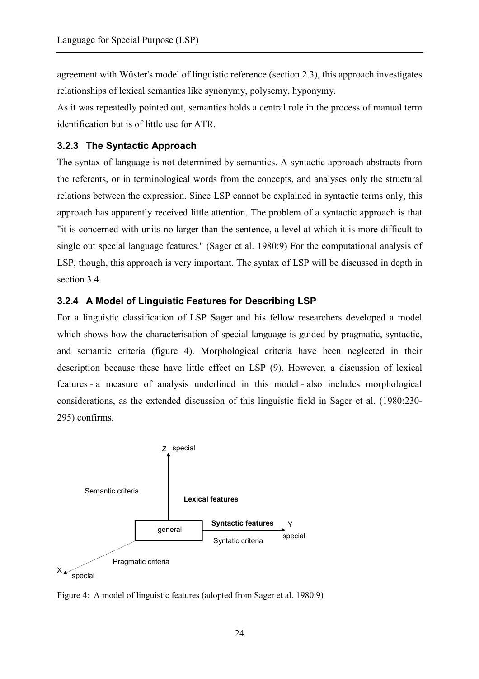agreement with Wüster's model of linguistic reference (section 2.3), this approach investigates relationships of lexical semantics like synonymy, polysemy, hyponymy.

As it was repeatedly pointed out, semantics holds a central role in the process of manual term identification but is of little use for ATR.

# **3.2.3 The Syntactic Approach**

The syntax of language is not determined by semantics. A syntactic approach abstracts from the referents, or in terminological words from the concepts, and analyses only the structural relations between the expression. Since LSP cannot be explained in syntactic terms only, this approach has apparently received little attention. The problem of a syntactic approach is that "it is concerned with units no larger than the sentence, a level at which it is more difficult to single out special language features." (Sager et al. 1980:9) For the computational analysis of LSP, though, this approach is very important. The syntax of LSP will be discussed in depth in section 3.4.

# **3.2.4 A Model of Linguistic Features for Describing LSP**

For a linguistic classification of LSP Sager and his fellow researchers developed a model which shows how the characterisation of special language is guided by pragmatic, syntactic, and semantic criteria (figure 4). Morphological criteria have been neglected in their description because these have little effect on LSP (9). However, a discussion of lexical features - a measure of analysis underlined in this model - also includes morphological considerations, as the extended discussion of this linguistic field in Sager et al. (1980:230- 295) confirms.



Figure 4: A model of linguistic features (adopted from Sager et al. 1980:9)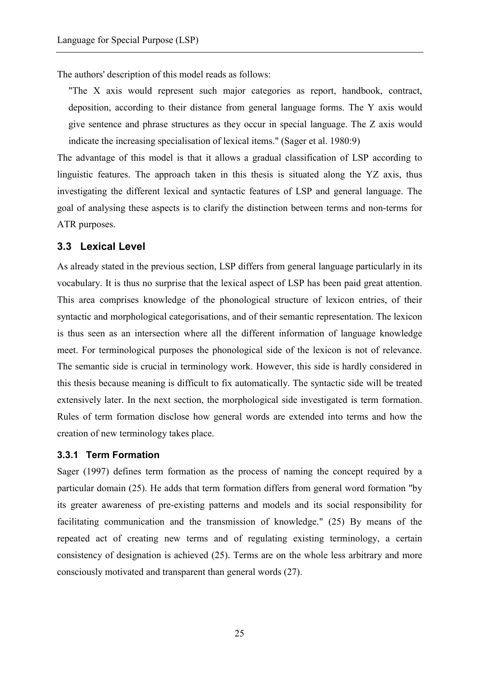The authors' description of this model reads as follows:

"The X axis would represent such major categories as report, handbook, contract, deposition, according to their distance from general language forms. The Y axis would give sentence and phrase structures as they occur in special language. The Z axis would indicate the increasing specialisation of lexical items." (Sager et al. 1980:9)

The advantage of this model is that it allows a gradual classification of LSP according to linguistic features. The approach taken in this thesis is situated along the YZ axis, thus investigating the different lexical and syntactic features of LSP and general language. The goal of analysing these aspects is to clarify the distinction between terms and non-terms for ATR purposes.

#### **3.3 Lexical Level**

As already stated in the previous section, LSP differs from general language particularly in its vocabulary. It is thus no surprise that the lexical aspect of LSP has been paid great attention. This area comprises knowledge of the phonological structure of lexicon entries, of their syntactic and morphological categorisations, and of their semantic representation. The lexicon is thus seen as an intersection where all the different information of language knowledge meet. For terminological purposes the phonological side of the lexicon is not of relevance. The semantic side is crucial in terminology work. However, this side is hardly considered in this thesis because meaning is difficult to fix automatically. The syntactic side will be treated extensively later. In the next section, the morphological side investigated is term formation. Rules of term formation disclose how general words are extended into terms and how the creation of new terminology takes place.

#### **3.3.1 Term Formation**

Sager (1997) defines term formation as the process of naming the concept required by a particular domain (25). He adds that term formation differs from general word formation "by its greater awareness of pre-existing patterns and models and its social responsibility for facilitating communication and the transmission of knowledge." (25) By means of the repeated act of creating new terms and of regulating existing terminology, a certain consistency of designation is achieved (25). Terms are on the whole less arbitrary and more consciously motivated and transparent than general words (27).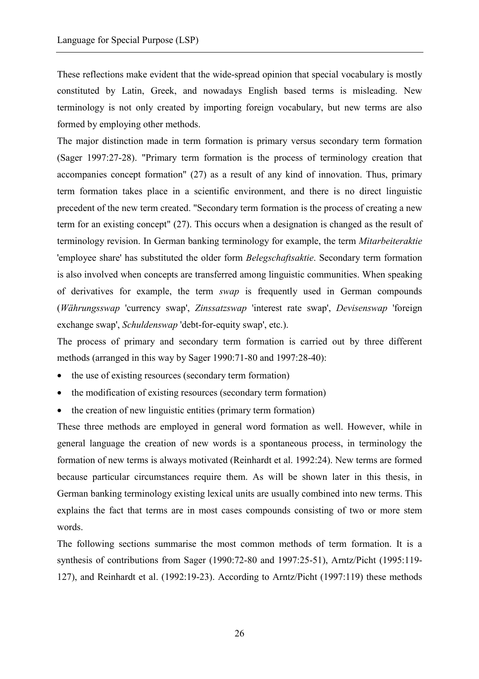These reflections make evident that the wide-spread opinion that special vocabulary is mostly constituted by Latin, Greek, and nowadays English based terms is misleading. New terminology is not only created by importing foreign vocabulary, but new terms are also formed by employing other methods.

The major distinction made in term formation is primary versus secondary term formation (Sager 1997:27-28). "Primary term formation is the process of terminology creation that accompanies concept formation" (27) as a result of any kind of innovation. Thus, primary term formation takes place in a scientific environment, and there is no direct linguistic precedent of the new term created. "Secondary term formation is the process of creating a new term for an existing concept" (27). This occurs when a designation is changed as the result of terminology revision. In German banking terminology for example, the term *Mitarbeiteraktie* 'employee share' has substituted the older form *Belegschaftsaktie*. Secondary term formation is also involved when concepts are transferred among linguistic communities. When speaking of derivatives for example, the term *swap* is frequently used in German compounds (*Währungsswap* 'currency swap', *Zinssatzswap* 'interest rate swap', *Devisenswap* 'foreign exchange swap', *Schuldenswap* 'debt-for-equity swap', etc.).

The process of primary and secondary term formation is carried out by three different methods (arranged in this way by Sager 1990:71-80 and 1997:28-40):

- the use of existing resources (secondary term formation)
- the modification of existing resources (secondary term formation)
- the creation of new linguistic entities (primary term formation)

These three methods are employed in general word formation as well. However, while in general language the creation of new words is a spontaneous process, in terminology the formation of new terms is always motivated (Reinhardt et al. 1992:24). New terms are formed because particular circumstances require them. As will be shown later in this thesis, in German banking terminology existing lexical units are usually combined into new terms. This explains the fact that terms are in most cases compounds consisting of two or more stem words.

The following sections summarise the most common methods of term formation. It is a synthesis of contributions from Sager (1990:72-80 and 1997:25-51), Arntz/Picht (1995:119- 127), and Reinhardt et al. (1992:19-23). According to Arntz/Picht (1997:119) these methods

26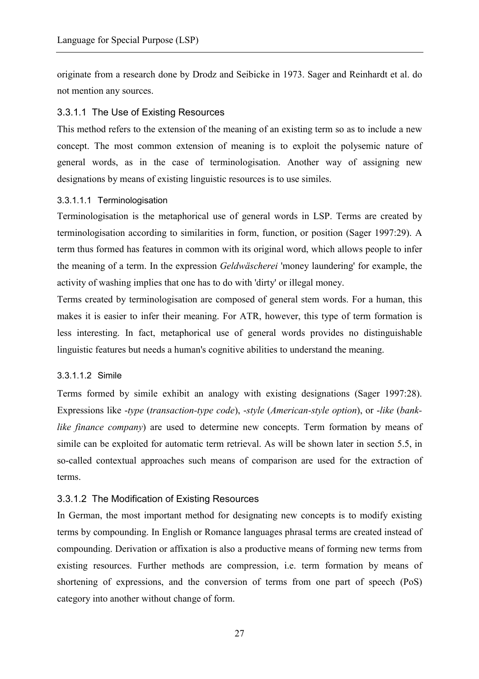originate from a research done by Drodz and Seibicke in 1973. Sager and Reinhardt et al. do not mention any sources.

#### 3.3.1.1 The Use of Existing Resources

This method refers to the extension of the meaning of an existing term so as to include a new concept. The most common extension of meaning is to exploit the polysemic nature of general words, as in the case of terminologisation. Another way of assigning new designations by means of existing linguistic resources is to use similes.

#### 3.3.1.1.1 Terminologisation

Terminologisation is the metaphorical use of general words in LSP. Terms are created by terminologisation according to similarities in form, function, or position (Sager 1997:29). A term thus formed has features in common with its original word, which allows people to infer the meaning of a term. In the expression *Geldwäscherei* 'money laundering' for example, the activity of washing implies that one has to do with 'dirty' or illegal money.

Terms created by terminologisation are composed of general stem words. For a human, this makes it is easier to infer their meaning. For ATR, however, this type of term formation is less interesting. In fact, metaphorical use of general words provides no distinguishable linguistic features but needs a human's cognitive abilities to understand the meaning.

## 3.3.1.1.2 Simile

Terms formed by simile exhibit an analogy with existing designations (Sager 1997:28). Expressions like -*type* (*transaction-type code*), -*style* (*American-style option*), or -*like* (*banklike finance company*) are used to determine new concepts. Term formation by means of simile can be exploited for automatic term retrieval. As will be shown later in section 5.5, in so-called contextual approaches such means of comparison are used for the extraction of terms.

## 3.3.1.2 The Modification of Existing Resources

In German, the most important method for designating new concepts is to modify existing terms by compounding. In English or Romance languages phrasal terms are created instead of compounding. Derivation or affixation is also a productive means of forming new terms from existing resources. Further methods are compression, i.e. term formation by means of shortening of expressions, and the conversion of terms from one part of speech (PoS) category into another without change of form.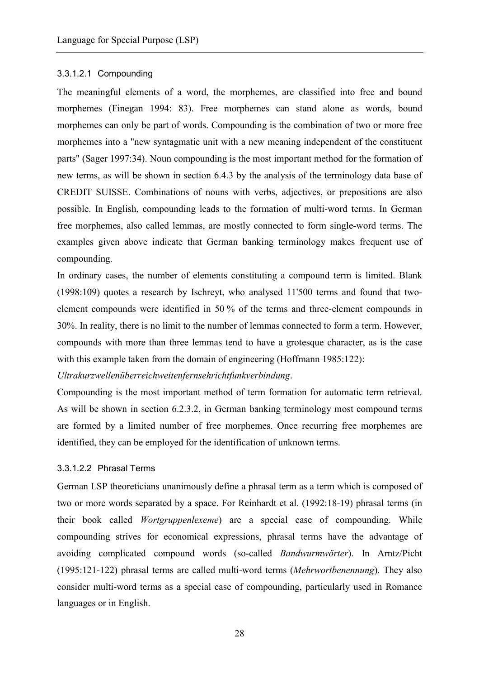#### 3.3.1.2.1 Compounding

The meaningful elements of a word, the morphemes, are classified into free and bound morphemes (Finegan 1994: 83). Free morphemes can stand alone as words, bound morphemes can only be part of words. Compounding is the combination of two or more free morphemes into a "new syntagmatic unit with a new meaning independent of the constituent parts" (Sager 1997:34). Noun compounding is the most important method for the formation of new terms, as will be shown in section 6.4.3 by the analysis of the terminology data base of CREDIT SUISSE. Combinations of nouns with verbs, adjectives, or prepositions are also possible. In English, compounding leads to the formation of multi-word terms. In German free morphemes, also called lemmas, are mostly connected to form single-word terms. The examples given above indicate that German banking terminology makes frequent use of compounding.

In ordinary cases, the number of elements constituting a compound term is limited. Blank (1998:109) quotes a research by Ischreyt, who analysed 11'500 terms and found that twoelement compounds were identified in 50 % of the terms and three-element compounds in 30%. In reality, there is no limit to the number of lemmas connected to form a term. However, compounds with more than three lemmas tend to have a grotesque character, as is the case with this example taken from the domain of engineering (Hoffmann 1985:122):

*Ultrakurzwellenüberreichweitenfernsehrichtfunkverbindung*.

Compounding is the most important method of term formation for automatic term retrieval. As will be shown in section 6.2.3.2, in German banking terminology most compound terms are formed by a limited number of free morphemes. Once recurring free morphemes are identified, they can be employed for the identification of unknown terms.

#### 3.3.1.2.2 Phrasal Terms

German LSP theoreticians unanimously define a phrasal term as a term which is composed of two or more words separated by a space. For Reinhardt et al. (1992:18-19) phrasal terms (in their book called *Wortgruppenlexeme*) are a special case of compounding. While compounding strives for economical expressions, phrasal terms have the advantage of avoiding complicated compound words (so-called *Bandwurmwörter*). In Arntz/Picht (1995:121-122) phrasal terms are called multi-word terms (*Mehrwortbenennung*). They also consider multi-word terms as a special case of compounding, particularly used in Romance languages or in English.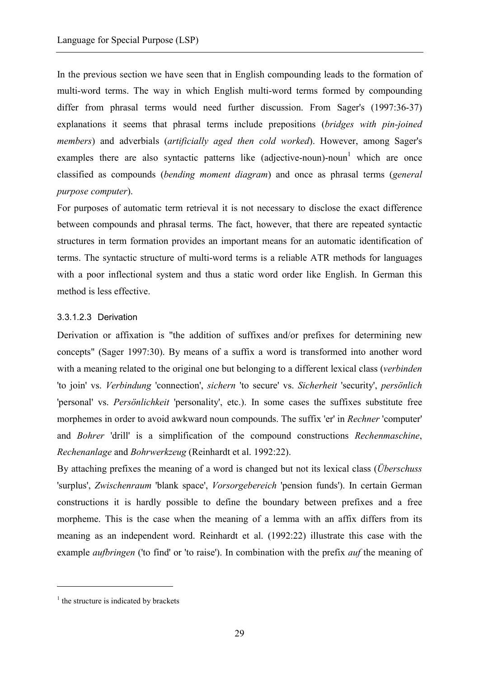In the previous section we have seen that in English compounding leads to the formation of multi-word terms. The way in which English multi-word terms formed by compounding differ from phrasal terms would need further discussion. From Sager's (1997:36-37) explanations it seems that phrasal terms include prepositions (*bridges with pin-joined members*) and adverbials (*artificially aged then cold worked*). However, among Sager's examples there are also syntactic patterns like (adjective-noun)-noun<sup>1</sup> which are once classified as compounds (*bending moment diagram*) and once as phrasal terms (*general purpose computer*).

For purposes of automatic term retrieval it is not necessary to disclose the exact difference between compounds and phrasal terms. The fact, however, that there are repeated syntactic structures in term formation provides an important means for an automatic identification of terms. The syntactic structure of multi-word terms is a reliable ATR methods for languages with a poor inflectional system and thus a static word order like English. In German this method is less effective.

#### 3.3.1.2.3 Derivation

Derivation or affixation is "the addition of suffixes and/or prefixes for determining new concepts" (Sager 1997:30). By means of a suffix a word is transformed into another word with a meaning related to the original one but belonging to a different lexical class (*verbinden* 'to join' vs. *Verbindung* 'connection', *sichern* 'to secure' vs. *Sicherheit* 'security', *persönlich* 'personal' vs. *Persönlichkeit* 'personality', etc.). In some cases the suffixes substitute free morphemes in order to avoid awkward noun compounds. The suffix 'er' in *Rechner* 'computer' and *Bohrer* 'drill' is a simplification of the compound constructions *Rechenmaschine*, *Rechenanlage* and *Bohrwerkzeug* (Reinhardt et al. 1992:22).

By attaching prefixes the meaning of a word is changed but not its lexical class (*Überschuss* 'surplus', *Zwischenraum* 'blank space', *Vorsorgebereich* 'pension funds'). In certain German constructions it is hardly possible to define the boundary between prefixes and a free morpheme. This is the case when the meaning of a lemma with an affix differs from its meaning as an independent word. Reinhardt et al. (1992:22) illustrate this case with the example *aufbringen* ('to find' or 'to raise'). In combination with the prefix *auf* the meaning of

 $\overline{a}$ 

 $<sup>1</sup>$  the structure is indicated by brackets</sup>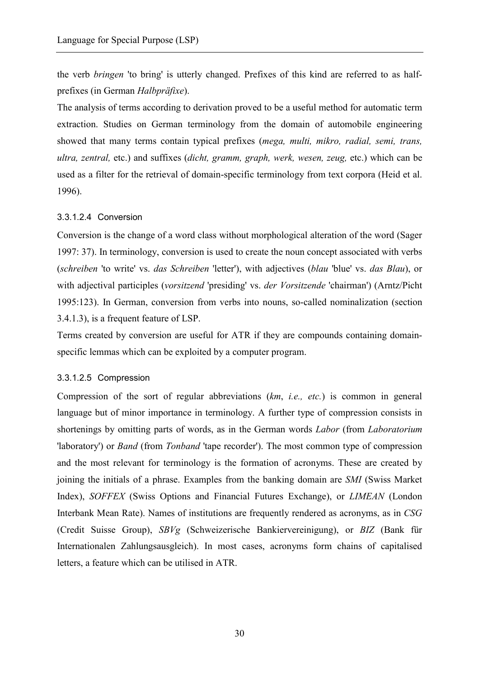the verb *bringen* 'to bring' is utterly changed. Prefixes of this kind are referred to as halfprefixes (in German *Halbpräfixe*).

The analysis of terms according to derivation proved to be a useful method for automatic term extraction. Studies on German terminology from the domain of automobile engineering showed that many terms contain typical prefixes (*mega, multi, mikro, radial, semi, trans, ultra, zentral,* etc.) and suffixes (*dicht, gramm, graph, werk, wesen, zeug,* etc.) which can be used as a filter for the retrieval of domain-specific terminology from text corpora (Heid et al. 1996).

## 3.3.1.2.4 Conversion

Conversion is the change of a word class without morphological alteration of the word (Sager 1997: 37). In terminology, conversion is used to create the noun concept associated with verbs (*schreiben* 'to write' vs. *das Schreiben* 'letter'), with adjectives (*blau* 'blue' vs. *das Blau*), or with adjectival participles (*vorsitzend* 'presiding' vs. *der Vorsitzende* 'chairman') (Arntz/Picht 1995:123). In German, conversion from verbs into nouns, so-called nominalization (section 3.4.1.3), is a frequent feature of LSP.

Terms created by conversion are useful for ATR if they are compounds containing domainspecific lemmas which can be exploited by a computer program.

#### 3.3.1.2.5 Compression

Compression of the sort of regular abbreviations (*km*, *i.e., etc.*) is common in general language but of minor importance in terminology. A further type of compression consists in shortenings by omitting parts of words, as in the German words *Labor* (from *Laboratorium* 'laboratory') or *Band* (from *Tonband* 'tape recorder'). The most common type of compression and the most relevant for terminology is the formation of acronyms. These are created by joining the initials of a phrase. Examples from the banking domain are *SMI* (Swiss Market Index), *SOFFEX* (Swiss Options and Financial Futures Exchange), or *LIMEAN* (London Interbank Mean Rate). Names of institutions are frequently rendered as acronyms, as in *CSG* (Credit Suisse Group), *SBVg* (Schweizerische Bankiervereinigung), or *BIZ* (Bank für Internationalen Zahlungsausgleich). In most cases, acronyms form chains of capitalised letters, a feature which can be utilised in ATR.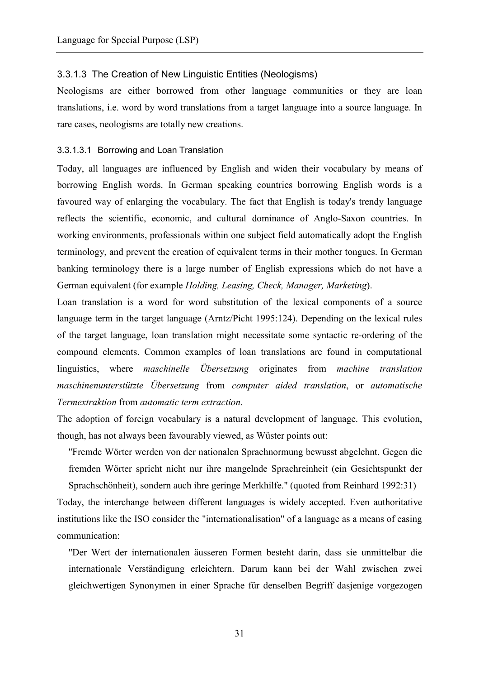#### 3.3.1.3 The Creation of New Linguistic Entities (Neologisms)

Neologisms are either borrowed from other language communities or they are loan translations, i.e. word by word translations from a target language into a source language. In rare cases, neologisms are totally new creations.

#### 3.3.1.3.1 Borrowing and Loan Translation

Today, all languages are influenced by English and widen their vocabulary by means of borrowing English words. In German speaking countries borrowing English words is a favoured way of enlarging the vocabulary. The fact that English is today's trendy language reflects the scientific, economic, and cultural dominance of Anglo-Saxon countries. In working environments, professionals within one subject field automatically adopt the English terminology, and prevent the creation of equivalent terms in their mother tongues. In German banking terminology there is a large number of English expressions which do not have a German equivalent (for example *Holding, Leasing, Check, Manager, Marketing*).

Loan translation is a word for word substitution of the lexical components of a source language term in the target language (Arntz/Picht 1995:124). Depending on the lexical rules of the target language, loan translation might necessitate some syntactic re-ordering of the compound elements. Common examples of loan translations are found in computational linguistics, where *maschinelle Übersetzung* originates from *machine translation maschinenunterstützte Übersetzung* from *computer aided translation*, or *automatische Termextraktion* from *automatic term extraction*.

The adoption of foreign vocabulary is a natural development of language. This evolution, though, has not always been favourably viewed, as Wüster points out:

"Fremde Wörter werden von der nationalen Sprachnormung bewusst abgelehnt. Gegen die fremden Wörter spricht nicht nur ihre mangelnde Sprachreinheit (ein Gesichtspunkt der Sprachschönheit), sondern auch ihre geringe Merkhilfe." (quoted from Reinhard 1992:31)

Today, the interchange between different languages is widely accepted. Even authoritative institutions like the ISO consider the "internationalisation" of a language as a means of easing communication:

"Der Wert der internationalen äusseren Formen besteht darin, dass sie unmittelbar die internationale Verständigung erleichtern. Darum kann bei der Wahl zwischen zwei gleichwertigen Synonymen in einer Sprache für denselben Begriff dasjenige vorgezogen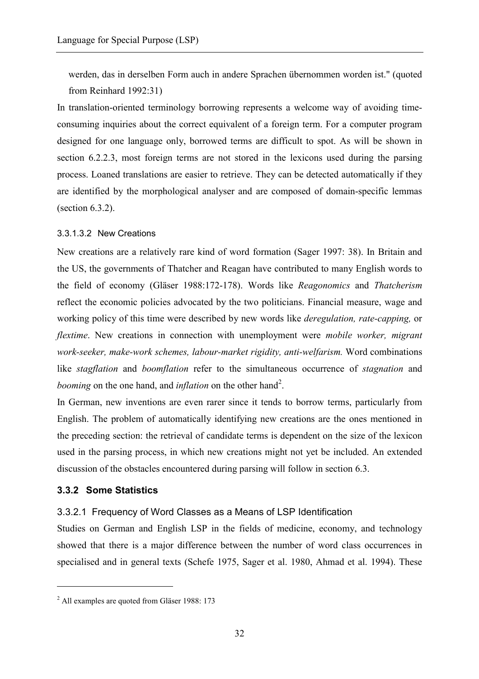werden, das in derselben Form auch in andere Sprachen übernommen worden ist." (quoted from Reinhard 1992:31)

In translation-oriented terminology borrowing represents a welcome way of avoiding timeconsuming inquiries about the correct equivalent of a foreign term. For a computer program designed for one language only, borrowed terms are difficult to spot. As will be shown in section 6.2.2.3, most foreign terms are not stored in the lexicons used during the parsing process. Loaned translations are easier to retrieve. They can be detected automatically if they are identified by the morphological analyser and are composed of domain-specific lemmas (section 6.3.2).

#### 3.3.1.3.2 New Creations

New creations are a relatively rare kind of word formation (Sager 1997: 38). In Britain and the US, the governments of Thatcher and Reagan have contributed to many English words to the field of economy (Gläser 1988:172-178). Words like *Reagonomics* and *Thatcherism* reflect the economic policies advocated by the two politicians. Financial measure, wage and working policy of this time were described by new words like *deregulation, rate-capping,* or *flextime*. New creations in connection with unemployment were *mobile worker, migrant work-seeker, make-work schemes, labour-market rigidity, anti-welfarism.* Word combinations like *stagflation* and *boomflation* refer to the simultaneous occurrence of *stagnation* and *booming* on the one hand, and *inflation* on the other hand<sup>2</sup>.

In German, new inventions are even rarer since it tends to borrow terms, particularly from English. The problem of automatically identifying new creations are the ones mentioned in the preceding section: the retrieval of candidate terms is dependent on the size of the lexicon used in the parsing process, in which new creations might not yet be included. An extended discussion of the obstacles encountered during parsing will follow in section 6.3.

## **3.3.2 Some Statistics**

 $\overline{a}$ 

## 3.3.2.1 Frequency of Word Classes as a Means of LSP Identification

Studies on German and English LSP in the fields of medicine, economy, and technology showed that there is a major difference between the number of word class occurrences in specialised and in general texts (Schefe 1975, Sager et al. 1980, Ahmad et al. 1994). These

<sup>&</sup>lt;sup>2</sup> All examples are quoted from Gläser 1988: 173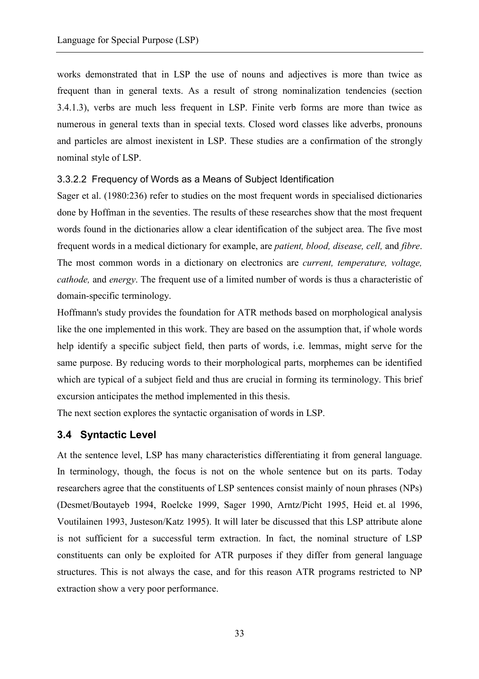works demonstrated that in LSP the use of nouns and adjectives is more than twice as frequent than in general texts. As a result of strong nominalization tendencies (section 3.4.1.3), verbs are much less frequent in LSP. Finite verb forms are more than twice as numerous in general texts than in special texts. Closed word classes like adverbs, pronouns and particles are almost inexistent in LSP. These studies are a confirmation of the strongly nominal style of LSP.

## 3.3.2.2 Frequency of Words as a Means of Subject Identification

Sager et al. (1980:236) refer to studies on the most frequent words in specialised dictionaries done by Hoffman in the seventies. The results of these researches show that the most frequent words found in the dictionaries allow a clear identification of the subject area. The five most frequent words in a medical dictionary for example, are *patient, blood, disease, cell,* and *fibre*. The most common words in a dictionary on electronics are *current, temperature, voltage, cathode,* and *energy*. The frequent use of a limited number of words is thus a characteristic of domain-specific terminology.

Hoffmann's study provides the foundation for ATR methods based on morphological analysis like the one implemented in this work. They are based on the assumption that, if whole words help identify a specific subject field, then parts of words, i.e. lemmas, might serve for the same purpose. By reducing words to their morphological parts, morphemes can be identified which are typical of a subject field and thus are crucial in forming its terminology. This brief excursion anticipates the method implemented in this thesis.

The next section explores the syntactic organisation of words in LSP.

# **3.4 Syntactic Level**

At the sentence level, LSP has many characteristics differentiating it from general language. In terminology, though, the focus is not on the whole sentence but on its parts. Today researchers agree that the constituents of LSP sentences consist mainly of noun phrases (NPs) (Desmet/Boutayeb 1994, Roelcke 1999, Sager 1990, Arntz/Picht 1995, Heid et. al 1996, Voutilainen 1993, Justeson/Katz 1995). It will later be discussed that this LSP attribute alone is not sufficient for a successful term extraction. In fact, the nominal structure of LSP constituents can only be exploited for ATR purposes if they differ from general language structures. This is not always the case, and for this reason ATR programs restricted to NP extraction show a very poor performance.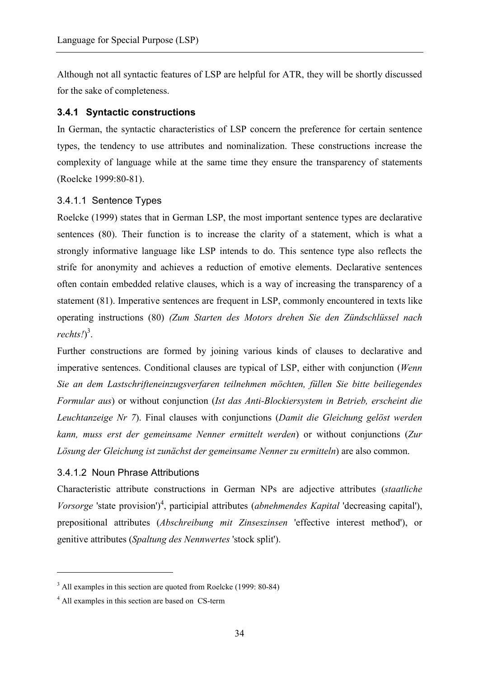Although not all syntactic features of LSP are helpful for ATR, they will be shortly discussed for the sake of completeness.

## **3.4.1 Syntactic constructions**

In German, the syntactic characteristics of LSP concern the preference for certain sentence types, the tendency to use attributes and nominalization. These constructions increase the complexity of language while at the same time they ensure the transparency of statements (Roelcke 1999:80-81).

## 3.4.1.1 Sentence Types

Roelcke (1999) states that in German LSP, the most important sentence types are declarative sentences (80). Their function is to increase the clarity of a statement, which is what a strongly informative language like LSP intends to do. This sentence type also reflects the strife for anonymity and achieves a reduction of emotive elements. Declarative sentences often contain embedded relative clauses, which is a way of increasing the transparency of a statement (81). Imperative sentences are frequent in LSP, commonly encountered in texts like operating instructions (80) *(Zum Starten des Motors drehen Sie den Zündschlüssel nach*  rechts!)<sup>3</sup>.

Further constructions are formed by joining various kinds of clauses to declarative and imperative sentences. Conditional clauses are typical of LSP, either with conjunction (*Wenn Sie an dem Lastschrifteneinzugsverfaren teilnehmen möchten, füllen Sie bitte beiliegendes Formular aus*) or without conjunction (*Ist das Anti-Blockiersystem in Betrieb, erscheint die Leuchtanzeige Nr 7*). Final clauses with conjunctions (*Damit die Gleichung gelöst werden kann, muss erst der gemeinsame Nenner ermittelt werden*) or without conjunctions (*Zur Lösung der Gleichung ist zunächst der gemeinsame Nenner zu ermitteln*) are also common.

## 3.4.1.2 Noun Phrase Attributions

Characteristic attribute constructions in German NPs are adjective attributes (*staatliche*  Vorsorge 'state provision')<sup>4</sup>, participial attributes (*abnehmendes Kapital* 'decreasing capital'), prepositional attributes (*Abschreibung mit Zinseszinsen* 'effective interest method'), or genitive attributes (*Spaltung des Nennwertes* 'stock split').

 $\overline{a}$ 

<sup>&</sup>lt;sup>3</sup> All examples in this section are quoted from Roelcke (1999: 80-84)

<sup>&</sup>lt;sup>4</sup> All examples in this section are based on CS-term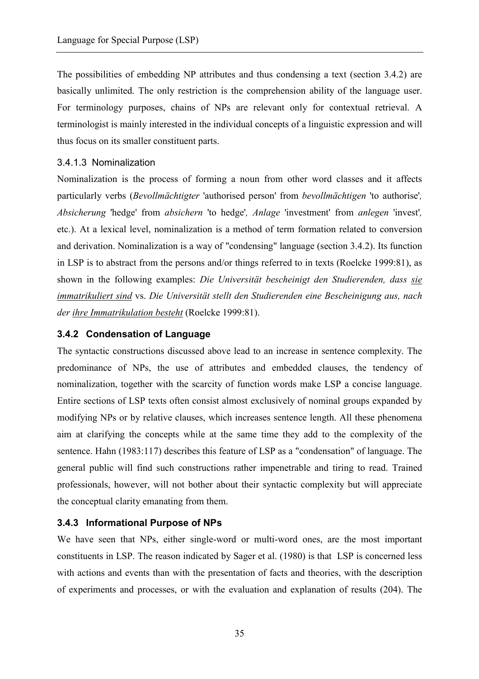The possibilities of embedding NP attributes and thus condensing a text (section 3.4.2) are basically unlimited. The only restriction is the comprehension ability of the language user. For terminology purposes, chains of NPs are relevant only for contextual retrieval. A terminologist is mainly interested in the individual concepts of a linguistic expression and will thus focus on its smaller constituent parts.

#### 3.4.1.3 Nominalization

Nominalization is the process of forming a noun from other word classes and it affects particularly verbs (*Bevollmächtigter* 'authorised person' from *bevollmächtigen* 'to authorise'*, Absicherung* 'hedge' from *absichern* 'to hedge'*, Anlage* 'investment' from *anlegen* 'invest'*,*  etc.). At a lexical level, nominalization is a method of term formation related to conversion and derivation. Nominalization is a way of "condensing" language (section 3.4.2). Its function in LSP is to abstract from the persons and/or things referred to in texts (Roelcke 1999:81), as shown in the following examples: *Die Universität bescheinigt den Studierenden, dass sie immatrikuliert sind* vs. *Die Universität stellt den Studierenden eine Bescheinigung aus, nach der ihre Immatrikulation besteht* (Roelcke 1999:81).

## **3.4.2 Condensation of Language**

The syntactic constructions discussed above lead to an increase in sentence complexity. The predominance of NPs, the use of attributes and embedded clauses, the tendency of nominalization, together with the scarcity of function words make LSP a concise language. Entire sections of LSP texts often consist almost exclusively of nominal groups expanded by modifying NPs or by relative clauses, which increases sentence length. All these phenomena aim at clarifying the concepts while at the same time they add to the complexity of the sentence. Hahn (1983:117) describes this feature of LSP as a "condensation" of language. The general public will find such constructions rather impenetrable and tiring to read. Trained professionals, however, will not bother about their syntactic complexity but will appreciate the conceptual clarity emanating from them.

## **3.4.3 Informational Purpose of NPs**

We have seen that NPs, either single-word or multi-word ones, are the most important constituents in LSP. The reason indicated by Sager et al. (1980) is that LSP is concerned less with actions and events than with the presentation of facts and theories, with the description of experiments and processes, or with the evaluation and explanation of results (204). The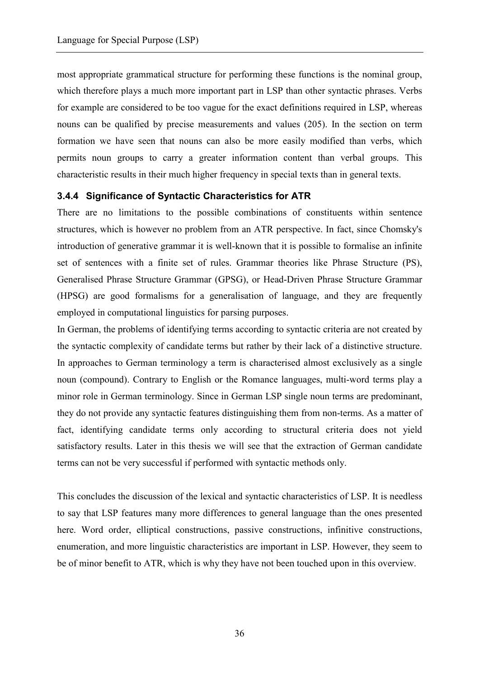most appropriate grammatical structure for performing these functions is the nominal group, which therefore plays a much more important part in LSP than other syntactic phrases. Verbs for example are considered to be too vague for the exact definitions required in LSP, whereas nouns can be qualified by precise measurements and values (205). In the section on term formation we have seen that nouns can also be more easily modified than verbs, which permits noun groups to carry a greater information content than verbal groups. This characteristic results in their much higher frequency in special texts than in general texts.

## **3.4.4 Significance of Syntactic Characteristics for ATR**

There are no limitations to the possible combinations of constituents within sentence structures, which is however no problem from an ATR perspective. In fact, since Chomsky's introduction of generative grammar it is well-known that it is possible to formalise an infinite set of sentences with a finite set of rules. Grammar theories like Phrase Structure (PS), Generalised Phrase Structure Grammar (GPSG), or Head-Driven Phrase Structure Grammar (HPSG) are good formalisms for a generalisation of language, and they are frequently employed in computational linguistics for parsing purposes.

In German, the problems of identifying terms according to syntactic criteria are not created by the syntactic complexity of candidate terms but rather by their lack of a distinctive structure. In approaches to German terminology a term is characterised almost exclusively as a single noun (compound). Contrary to English or the Romance languages, multi-word terms play a minor role in German terminology. Since in German LSP single noun terms are predominant, they do not provide any syntactic features distinguishing them from non-terms. As a matter of fact, identifying candidate terms only according to structural criteria does not yield satisfactory results. Later in this thesis we will see that the extraction of German candidate terms can not be very successful if performed with syntactic methods only.

This concludes the discussion of the lexical and syntactic characteristics of LSP. It is needless to say that LSP features many more differences to general language than the ones presented here. Word order, elliptical constructions, passive constructions, infinitive constructions, enumeration, and more linguistic characteristics are important in LSP. However, they seem to be of minor benefit to ATR, which is why they have not been touched upon in this overview.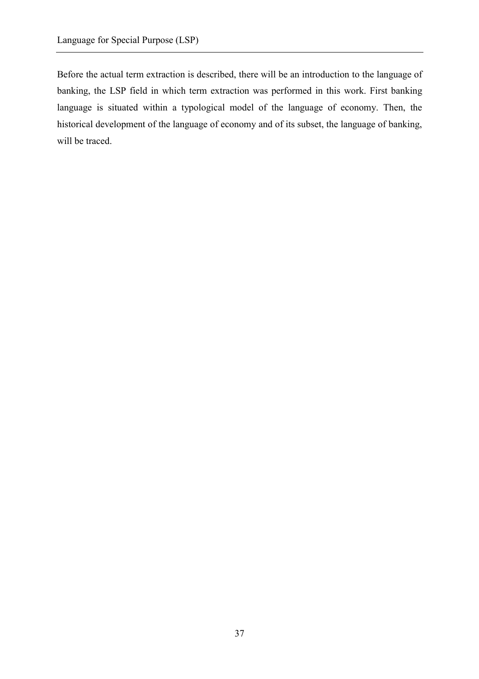Before the actual term extraction is described, there will be an introduction to the language of banking, the LSP field in which term extraction was performed in this work. First banking language is situated within a typological model of the language of economy. Then, the historical development of the language of economy and of its subset, the language of banking, will be traced.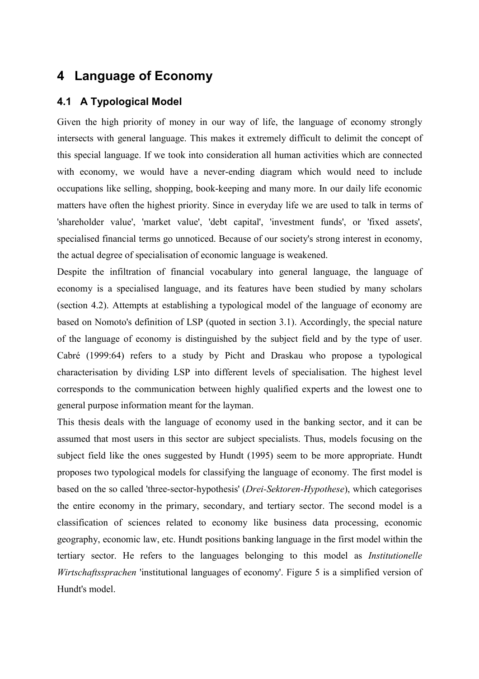# **4 Language of Economy**

## **4.1 A Typological Model**

Given the high priority of money in our way of life, the language of economy strongly intersects with general language. This makes it extremely difficult to delimit the concept of this special language. If we took into consideration all human activities which are connected with economy, we would have a never-ending diagram which would need to include occupations like selling, shopping, book-keeping and many more. In our daily life economic matters have often the highest priority. Since in everyday life we are used to talk in terms of 'shareholder value', 'market value', 'debt capital', 'investment funds', or 'fixed assets', specialised financial terms go unnoticed. Because of our society's strong interest in economy, the actual degree of specialisation of economic language is weakened.

Despite the infiltration of financial vocabulary into general language, the language of economy is a specialised language, and its features have been studied by many scholars (section 4.2). Attempts at establishing a typological model of the language of economy are based on Nomoto's definition of LSP (quoted in section 3.1). Accordingly, the special nature of the language of economy is distinguished by the subject field and by the type of user. Cabré (1999:64) refers to a study by Picht and Draskau who propose a typological characterisation by dividing LSP into different levels of specialisation. The highest level corresponds to the communication between highly qualified experts and the lowest one to general purpose information meant for the layman.

This thesis deals with the language of economy used in the banking sector, and it can be assumed that most users in this sector are subject specialists. Thus, models focusing on the subject field like the ones suggested by Hundt (1995) seem to be more appropriate. Hundt proposes two typological models for classifying the language of economy. The first model is based on the so called 'three-sector-hypothesis' (*Drei-Sektoren-Hypothese*), which categorises the entire economy in the primary, secondary, and tertiary sector. The second model is a classification of sciences related to economy like business data processing, economic geography, economic law, etc. Hundt positions banking language in the first model within the tertiary sector. He refers to the languages belonging to this model as *Institutionelle Wirtschaftssprachen* 'institutional languages of economy'. Figure 5 is a simplified version of Hundt's model.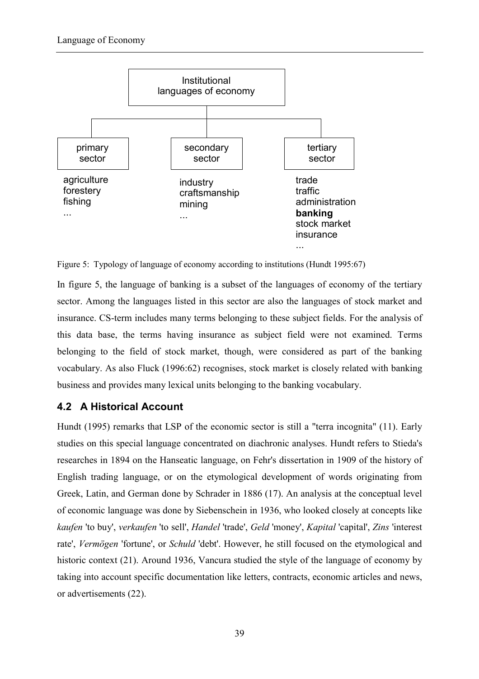

Figure 5: Typology of language of economy according to institutions (Hundt 1995:67)

In figure 5, the language of banking is a subset of the languages of economy of the tertiary sector. Among the languages listed in this sector are also the languages of stock market and insurance. CS-term includes many terms belonging to these subject fields. For the analysis of this data base, the terms having insurance as subject field were not examined. Terms belonging to the field of stock market, though, were considered as part of the banking vocabulary. As also Fluck (1996:62) recognises, stock market is closely related with banking business and provides many lexical units belonging to the banking vocabulary.

# **4.2 A Historical Account**

Hundt (1995) remarks that LSP of the economic sector is still a "terra incognita" (11). Early studies on this special language concentrated on diachronic analyses. Hundt refers to Stieda's researches in 1894 on the Hanseatic language, on Fehr's dissertation in 1909 of the history of English trading language, or on the etymological development of words originating from Greek, Latin, and German done by Schrader in 1886 (17). An analysis at the conceptual level of economic language was done by Siebenschein in 1936, who looked closely at concepts like *kaufen* 'to buy', *verkaufen* 'to sell', *Handel* 'trade', *Geld* 'money', *Kapital* 'capital', *Zins* 'interest rate', *Vermögen* 'fortune', or *Schuld* 'debt'. However, he still focused on the etymological and historic context (21). Around 1936, Vancura studied the style of the language of economy by taking into account specific documentation like letters, contracts, economic articles and news, or advertisements (22).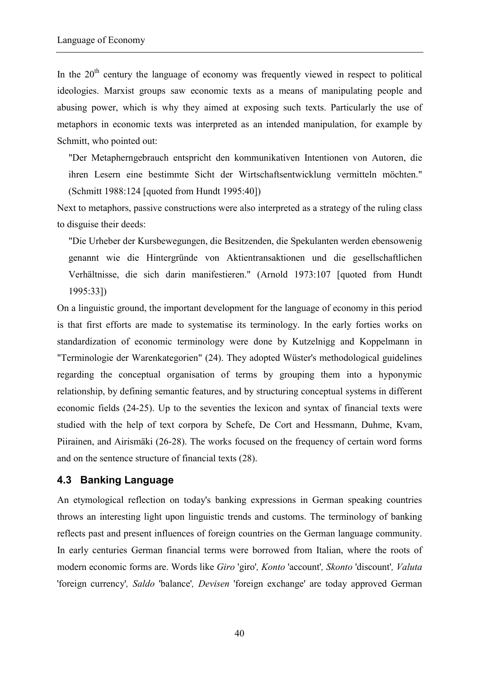In the  $20<sup>th</sup>$  century the language of economy was frequently viewed in respect to political ideologies. Marxist groups saw economic texts as a means of manipulating people and abusing power, which is why they aimed at exposing such texts. Particularly the use of metaphors in economic texts was interpreted as an intended manipulation, for example by Schmitt, who pointed out:

"Der Metapherngebrauch entspricht den kommunikativen Intentionen von Autoren, die ihren Lesern eine bestimmte Sicht der Wirtschaftsentwicklung vermitteln möchten." (Schmitt 1988:124 [quoted from Hundt 1995:40])

Next to metaphors, passive constructions were also interpreted as a strategy of the ruling class to disguise their deeds:

"Die Urheber der Kursbewegungen, die Besitzenden, die Spekulanten werden ebensowenig genannt wie die Hintergründe von Aktientransaktionen und die gesellschaftlichen Verhältnisse, die sich darin manifestieren." (Arnold 1973:107 [quoted from Hundt 1995:33])

On a linguistic ground, the important development for the language of economy in this period is that first efforts are made to systematise its terminology. In the early forties works on standardization of economic terminology were done by Kutzelnigg and Koppelmann in "Terminologie der Warenkategorien" (24). They adopted Wüster's methodological guidelines regarding the conceptual organisation of terms by grouping them into a hyponymic relationship, by defining semantic features, and by structuring conceptual systems in different economic fields (24-25). Up to the seventies the lexicon and syntax of financial texts were studied with the help of text corpora by Schefe, De Cort and Hessmann, Duhme, Kvam, Piirainen, and Airismäki (26-28). The works focused on the frequency of certain word forms and on the sentence structure of financial texts (28).

#### **4.3 Banking Language**

An etymological reflection on today's banking expressions in German speaking countries throws an interesting light upon linguistic trends and customs. The terminology of banking reflects past and present influences of foreign countries on the German language community. In early centuries German financial terms were borrowed from Italian, where the roots of modern economic forms are. Words like *Giro* 'giro'*, Konto* 'account'*, Skonto* 'discount'*, Valuta* 'foreign currency'*, Saldo* 'balance'*, Devisen* 'foreign exchange' are today approved German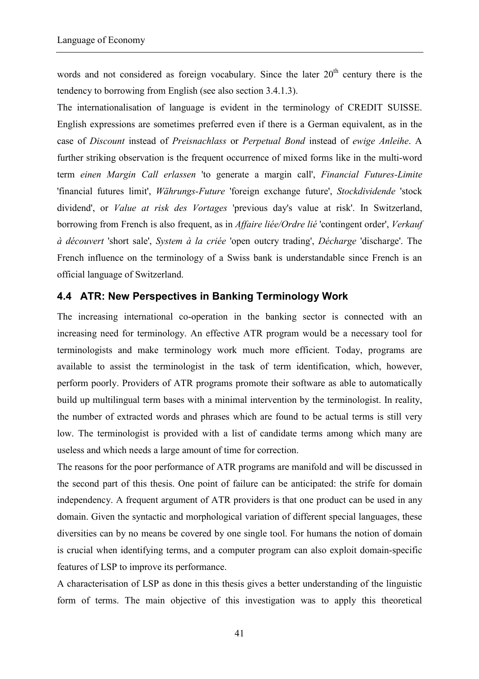words and not considered as foreign vocabulary. Since the later  $20<sup>th</sup>$  century there is the tendency to borrowing from English (see also section 3.4.1.3).

The internationalisation of language is evident in the terminology of CREDIT SUISSE. English expressions are sometimes preferred even if there is a German equivalent, as in the case of *Discount* instead of *Preisnachlass* or *Perpetual Bond* instead of *ewige Anleihe*. A further striking observation is the frequent occurrence of mixed forms like in the multi-word term *einen Margin Call erlassen* 'to generate a margin call', *Financial Futures-Limite* 'financial futures limit', *Währungs-Future* 'foreign exchange future', *Stockdividende* 'stock dividend', or *Value at risk des Vortages* 'previous day's value at risk'. In Switzerland, borrowing from French is also frequent, as in *Affaire liée/Ordre lié* 'contingent order', *Verkauf à découvert* 'short sale', *System à la criée* 'open outcry trading', *Décharge* 'discharge'. The French influence on the terminology of a Swiss bank is understandable since French is an official language of Switzerland.

# **4.4 ATR: New Perspectives in Banking Terminology Work**

The increasing international co-operation in the banking sector is connected with an increasing need for terminology. An effective ATR program would be a necessary tool for terminologists and make terminology work much more efficient. Today, programs are available to assist the terminologist in the task of term identification, which, however, perform poorly. Providers of ATR programs promote their software as able to automatically build up multilingual term bases with a minimal intervention by the terminologist. In reality, the number of extracted words and phrases which are found to be actual terms is still very low. The terminologist is provided with a list of candidate terms among which many are useless and which needs a large amount of time for correction.

The reasons for the poor performance of ATR programs are manifold and will be discussed in the second part of this thesis. One point of failure can be anticipated: the strife for domain independency. A frequent argument of ATR providers is that one product can be used in any domain. Given the syntactic and morphological variation of different special languages, these diversities can by no means be covered by one single tool. For humans the notion of domain is crucial when identifying terms, and a computer program can also exploit domain-specific features of LSP to improve its performance.

A characterisation of LSP as done in this thesis gives a better understanding of the linguistic form of terms. The main objective of this investigation was to apply this theoretical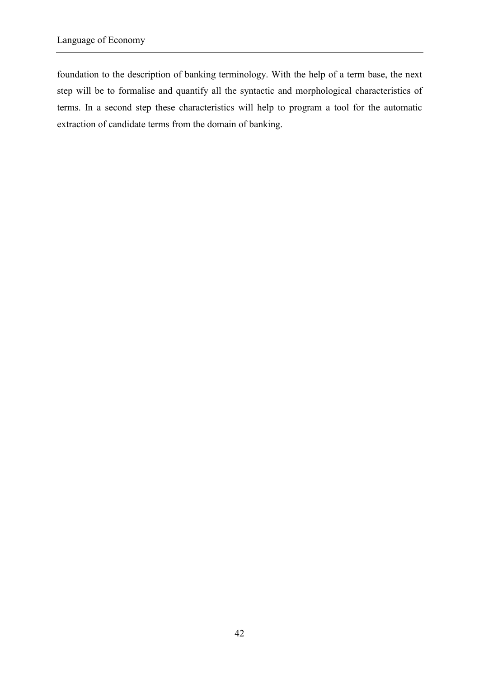foundation to the description of banking terminology. With the help of a term base, the next step will be to formalise and quantify all the syntactic and morphological characteristics of terms. In a second step these characteristics will help to program a tool for the automatic extraction of candidate terms from the domain of banking.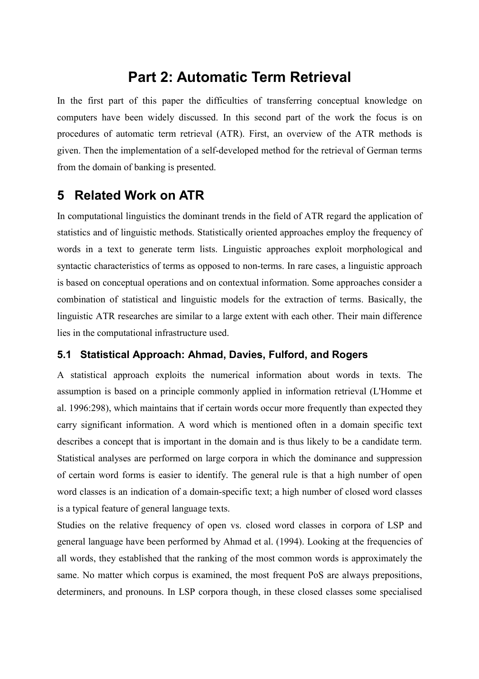# **Part 2: Automatic Term Retrieval**

In the first part of this paper the difficulties of transferring conceptual knowledge on computers have been widely discussed. In this second part of the work the focus is on procedures of automatic term retrieval (ATR). First, an overview of the ATR methods is given. Then the implementation of a self-developed method for the retrieval of German terms from the domain of banking is presented.

# **5 Related Work on ATR**

In computational linguistics the dominant trends in the field of ATR regard the application of statistics and of linguistic methods. Statistically oriented approaches employ the frequency of words in a text to generate term lists. Linguistic approaches exploit morphological and syntactic characteristics of terms as opposed to non-terms. In rare cases, a linguistic approach is based on conceptual operations and on contextual information. Some approaches consider a combination of statistical and linguistic models for the extraction of terms. Basically, the linguistic ATR researches are similar to a large extent with each other. Their main difference lies in the computational infrastructure used.

# **5.1 Statistical Approach: Ahmad, Davies, Fulford, and Rogers**

A statistical approach exploits the numerical information about words in texts. The assumption is based on a principle commonly applied in information retrieval (L'Homme et al. 1996:298), which maintains that if certain words occur more frequently than expected they carry significant information. A word which is mentioned often in a domain specific text describes a concept that is important in the domain and is thus likely to be a candidate term. Statistical analyses are performed on large corpora in which the dominance and suppression of certain word forms is easier to identify. The general rule is that a high number of open word classes is an indication of a domain-specific text; a high number of closed word classes is a typical feature of general language texts.

Studies on the relative frequency of open vs. closed word classes in corpora of LSP and general language have been performed by Ahmad et al. (1994). Looking at the frequencies of all words, they established that the ranking of the most common words is approximately the same. No matter which corpus is examined, the most frequent PoS are always prepositions, determiners, and pronouns. In LSP corpora though, in these closed classes some specialised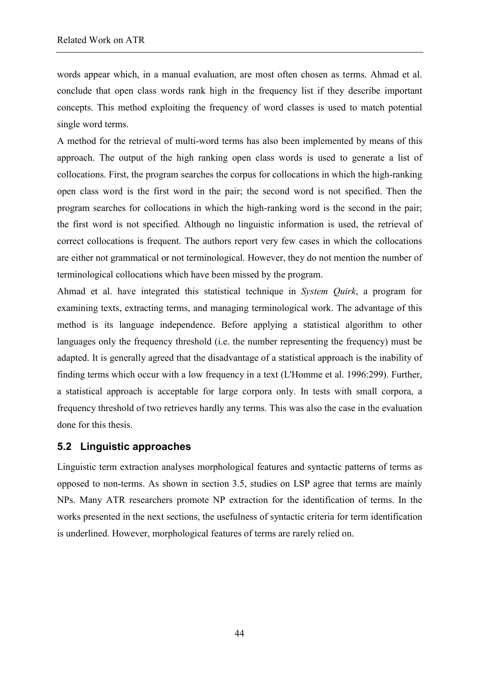words appear which, in a manual evaluation, are most often chosen as terms. Ahmad et al. conclude that open class words rank high in the frequency list if they describe important concepts. This method exploiting the frequency of word classes is used to match potential single word terms.

A method for the retrieval of multi-word terms has also been implemented by means of this approach. The output of the high ranking open class words is used to generate a list of collocations. First, the program searches the corpus for collocations in which the high-ranking open class word is the first word in the pair; the second word is not specified. Then the program searches for collocations in which the high-ranking word is the second in the pair; the first word is not specified. Although no linguistic information is used, the retrieval of correct collocations is frequent. The authors report very few cases in which the collocations are either not grammatical or not terminological. However, they do not mention the number of terminological collocations which have been missed by the program.

Ahmad et al. have integrated this statistical technique in *System Quirk*, a program for examining texts, extracting terms, and managing terminological work. The advantage of this method is its language independence. Before applying a statistical algorithm to other languages only the frequency threshold (i.e. the number representing the frequency) must be adapted. It is generally agreed that the disadvantage of a statistical approach is the inability of finding terms which occur with a low frequency in a text (L'Homme et al. 1996:299). Further, a statistical approach is acceptable for large corpora only. In tests with small corpora, a frequency threshold of two retrieves hardly any terms. This was also the case in the evaluation done for this thesis.

#### **5.2 Linguistic approaches**

Linguistic term extraction analyses morphological features and syntactic patterns of terms as opposed to non-terms. As shown in section 3.5, studies on LSP agree that terms are mainly NPs. Many ATR researchers promote NP extraction for the identification of terms. In the works presented in the next sections, the usefulness of syntactic criteria for term identification is underlined. However, morphological features of terms are rarely relied on.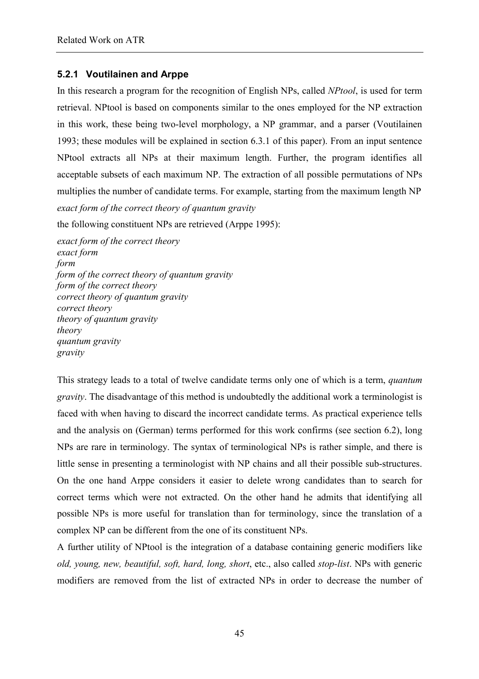## **5.2.1 Voutilainen and Arppe**

In this research a program for the recognition of English NPs, called *NPtool*, is used for term retrieval. NPtool is based on components similar to the ones employed for the NP extraction in this work, these being two-level morphology, a NP grammar, and a parser (Voutilainen 1993; these modules will be explained in section 6.3.1 of this paper). From an input sentence NPtool extracts all NPs at their maximum length. Further, the program identifies all acceptable subsets of each maximum NP. The extraction of all possible permutations of NPs multiplies the number of candidate terms. For example, starting from the maximum length NP *exact form of the correct theory of quantum gravity* 

the following constituent NPs are retrieved (Arppe 1995):

*exact form of the correct theory exact form form form of the correct theory of quantum gravity form of the correct theory correct theory of quantum gravity correct theory theory of quantum gravity theory quantum gravity gravity* 

This strategy leads to a total of twelve candidate terms only one of which is a term, *quantum gravity*. The disadvantage of this method is undoubtedly the additional work a terminologist is faced with when having to discard the incorrect candidate terms. As practical experience tells and the analysis on (German) terms performed for this work confirms (see section 6.2), long NPs are rare in terminology. The syntax of terminological NPs is rather simple, and there is little sense in presenting a terminologist with NP chains and all their possible sub-structures. On the one hand Arppe considers it easier to delete wrong candidates than to search for correct terms which were not extracted. On the other hand he admits that identifying all possible NPs is more useful for translation than for terminology, since the translation of a complex NP can be different from the one of its constituent NPs.

A further utility of NPtool is the integration of a database containing generic modifiers like *old, young, new, beautiful, soft, hard, long, short*, etc., also called *stop-list*. NPs with generic modifiers are removed from the list of extracted NPs in order to decrease the number of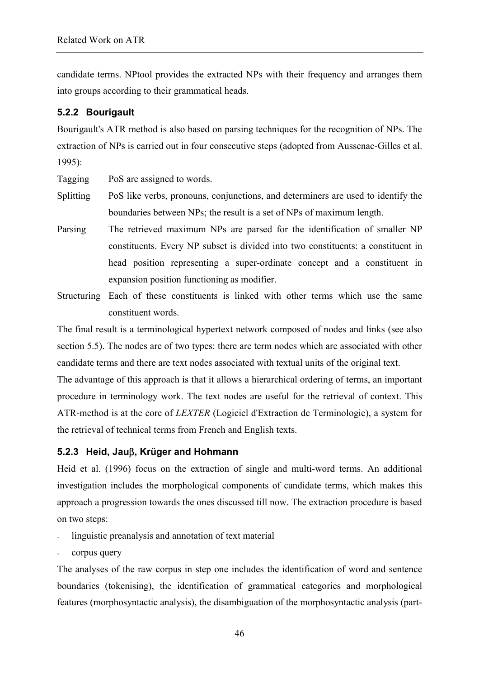candidate terms. NPtool provides the extracted NPs with their frequency and arranges them into groups according to their grammatical heads.

#### **5.2.2 Bourigault**

Bourigault's ATR method is also based on parsing techniques for the recognition of NPs. The extraction of NPs is carried out in four consecutive steps (adopted from Aussenac-Gilles et al. 1995):

Tagging PoS are assigned to words.

- Splitting PoS like verbs, pronouns, conjunctions, and determiners are used to identify the boundaries between NPs; the result is a set of NPs of maximum length.
- Parsing The retrieved maximum NPs are parsed for the identification of smaller NP constituents. Every NP subset is divided into two constituents: a constituent in head position representing a super-ordinate concept and a constituent in expansion position functioning as modifier.
- Structuring Each of these constituents is linked with other terms which use the same constituent words.

The final result is a terminological hypertext network composed of nodes and links (see also section 5.5). The nodes are of two types: there are term nodes which are associated with other candidate terms and there are text nodes associated with textual units of the original text.

The advantage of this approach is that it allows a hierarchical ordering of terms, an important procedure in terminology work. The text nodes are useful for the retrieval of context. This ATR-method is at the core of *LEXTER* (Logiciel d'Extraction de Terminologie), a system for the retrieval of technical terms from French and English texts.

# **5.2.3 Heid, Jau**β**, Krüger and Hohmann**

Heid et al. (1996) focus on the extraction of single and multi-word terms. An additional investigation includes the morphological components of candidate terms, which makes this approach a progression towards the ones discussed till now. The extraction procedure is based on two steps:

- linguistic preanalysis and annotation of text material
- corpus query

The analyses of the raw corpus in step one includes the identification of word and sentence boundaries (tokenising), the identification of grammatical categories and morphological features (morphosyntactic analysis), the disambiguation of the morphosyntactic analysis (part-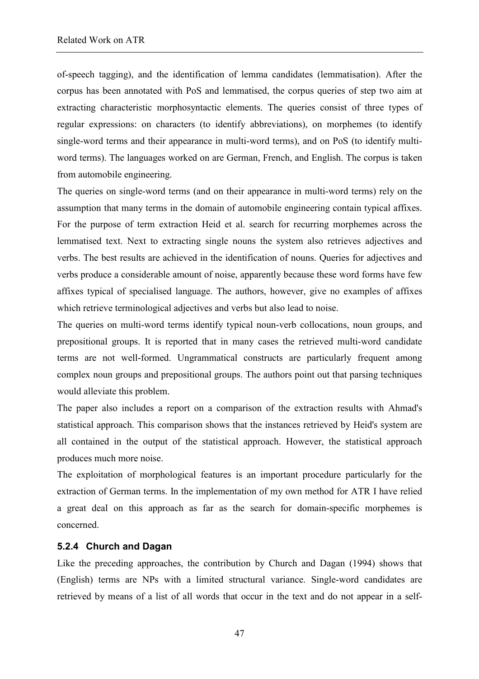of-speech tagging), and the identification of lemma candidates (lemmatisation). After the corpus has been annotated with PoS and lemmatised, the corpus queries of step two aim at extracting characteristic morphosyntactic elements. The queries consist of three types of regular expressions: on characters (to identify abbreviations), on morphemes (to identify single-word terms and their appearance in multi-word terms), and on PoS (to identify multiword terms). The languages worked on are German, French, and English. The corpus is taken from automobile engineering.

The queries on single-word terms (and on their appearance in multi-word terms) rely on the assumption that many terms in the domain of automobile engineering contain typical affixes. For the purpose of term extraction Heid et al. search for recurring morphemes across the lemmatised text. Next to extracting single nouns the system also retrieves adjectives and verbs. The best results are achieved in the identification of nouns. Queries for adjectives and verbs produce a considerable amount of noise, apparently because these word forms have few affixes typical of specialised language. The authors, however, give no examples of affixes which retrieve terminological adjectives and verbs but also lead to noise.

The queries on multi-word terms identify typical noun-verb collocations, noun groups, and prepositional groups. It is reported that in many cases the retrieved multi-word candidate terms are not well-formed. Ungrammatical constructs are particularly frequent among complex noun groups and prepositional groups. The authors point out that parsing techniques would alleviate this problem.

The paper also includes a report on a comparison of the extraction results with Ahmad's statistical approach. This comparison shows that the instances retrieved by Heid's system are all contained in the output of the statistical approach. However, the statistical approach produces much more noise.

The exploitation of morphological features is an important procedure particularly for the extraction of German terms. In the implementation of my own method for ATR I have relied a great deal on this approach as far as the search for domain-specific morphemes is concerned.

#### **5.2.4 Church and Dagan**

Like the preceding approaches, the contribution by Church and Dagan (1994) shows that (English) terms are NPs with a limited structural variance. Single-word candidates are retrieved by means of a list of all words that occur in the text and do not appear in a self-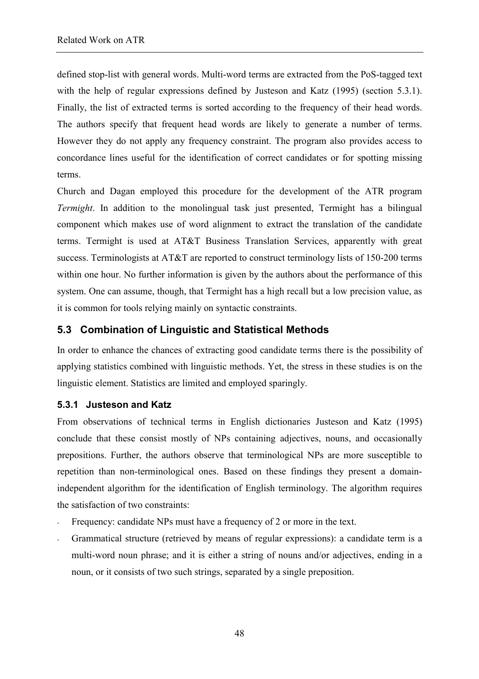defined stop-list with general words. Multi-word terms are extracted from the PoS-tagged text with the help of regular expressions defined by Justeson and Katz (1995) (section 5.3.1). Finally, the list of extracted terms is sorted according to the frequency of their head words. The authors specify that frequent head words are likely to generate a number of terms. However they do not apply any frequency constraint. The program also provides access to concordance lines useful for the identification of correct candidates or for spotting missing terms.

Church and Dagan employed this procedure for the development of the ATR program *Termight*. In addition to the monolingual task just presented, Termight has a bilingual component which makes use of word alignment to extract the translation of the candidate terms. Termight is used at AT&T Business Translation Services, apparently with great success. Terminologists at AT&T are reported to construct terminology lists of 150-200 terms within one hour. No further information is given by the authors about the performance of this system. One can assume, though, that Termight has a high recall but a low precision value, as it is common for tools relying mainly on syntactic constraints.

# **5.3 Combination of Linguistic and Statistical Methods**

In order to enhance the chances of extracting good candidate terms there is the possibility of applying statistics combined with linguistic methods. Yet, the stress in these studies is on the linguistic element. Statistics are limited and employed sparingly.

#### **5.3.1 Justeson and Katz**

From observations of technical terms in English dictionaries Justeson and Katz (1995) conclude that these consist mostly of NPs containing adjectives, nouns, and occasionally prepositions. Further, the authors observe that terminological NPs are more susceptible to repetition than non-terminological ones. Based on these findings they present a domainindependent algorithm for the identification of English terminology. The algorithm requires the satisfaction of two constraints:

- Frequency: candidate NPs must have a frequency of 2 or more in the text.
- Grammatical structure (retrieved by means of regular expressions): a candidate term is a multi-word noun phrase; and it is either a string of nouns and/or adjectives, ending in a noun, or it consists of two such strings, separated by a single preposition.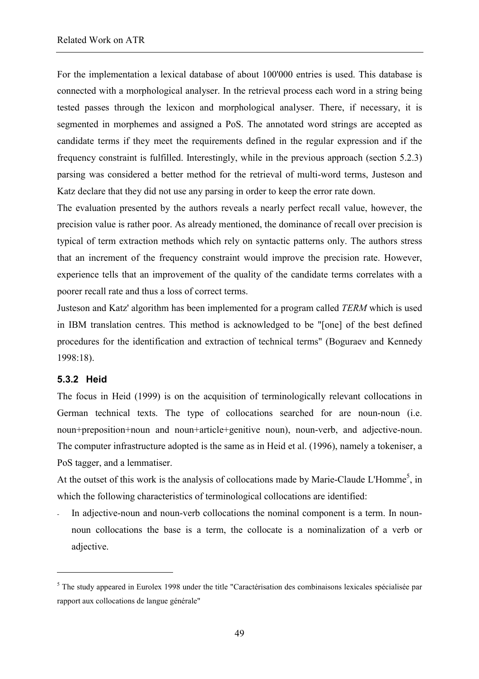For the implementation a lexical database of about 100'000 entries is used. This database is connected with a morphological analyser. In the retrieval process each word in a string being tested passes through the lexicon and morphological analyser. There, if necessary, it is segmented in morphemes and assigned a PoS. The annotated word strings are accepted as candidate terms if they meet the requirements defined in the regular expression and if the frequency constraint is fulfilled. Interestingly, while in the previous approach (section 5.2.3) parsing was considered a better method for the retrieval of multi-word terms, Justeson and Katz declare that they did not use any parsing in order to keep the error rate down.

The evaluation presented by the authors reveals a nearly perfect recall value, however, the precision value is rather poor. As already mentioned, the dominance of recall over precision is typical of term extraction methods which rely on syntactic patterns only. The authors stress that an increment of the frequency constraint would improve the precision rate. However, experience tells that an improvement of the quality of the candidate terms correlates with a poorer recall rate and thus a loss of correct terms.

Justeson and Katz' algorithm has been implemented for a program called *TERM* which is used in IBM translation centres. This method is acknowledged to be "[one] of the best defined procedures for the identification and extraction of technical terms" (Boguraev and Kennedy 1998:18).

#### **5.3.2 Heid**

 $\overline{a}$ 

The focus in Heid (1999) is on the acquisition of terminologically relevant collocations in German technical texts. The type of collocations searched for are noun-noun (i.e. noun+preposition+noun and noun+article+genitive noun), noun-verb, and adjective-noun. The computer infrastructure adopted is the same as in Heid et al. (1996), namely a tokeniser, a PoS tagger, and a lemmatiser.

At the outset of this work is the analysis of collocations made by Marie-Claude L'Homme<sup>5</sup>, in which the following characteristics of terminological collocations are identified:

In adjective-noun and noun-verb collocations the nominal component is a term. In nounnoun collocations the base is a term, the collocate is a nominalization of a verb or adjective.

<sup>&</sup>lt;sup>5</sup> The study appeared in Eurolex 1998 under the title "Caractérisation des combinaisons lexicales spécialisée par rapport aux collocations de langue générale"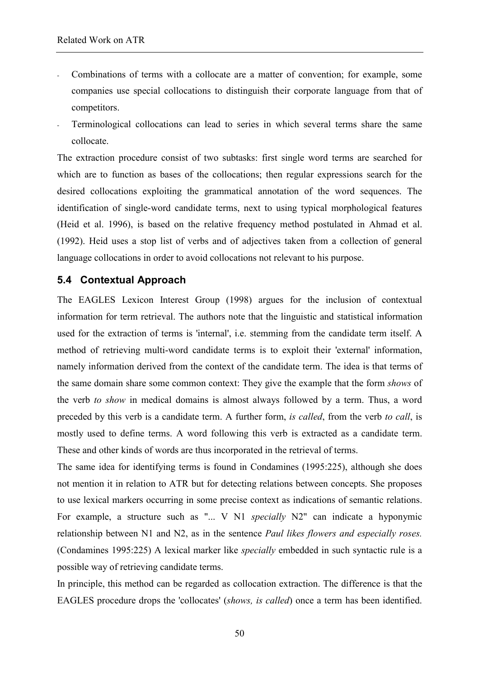- Combinations of terms with a collocate are a matter of convention; for example, some companies use special collocations to distinguish their corporate language from that of competitors.
- Terminological collocations can lead to series in which several terms share the same collocate.

The extraction procedure consist of two subtasks: first single word terms are searched for which are to function as bases of the collocations; then regular expressions search for the desired collocations exploiting the grammatical annotation of the word sequences. The identification of single-word candidate terms, next to using typical morphological features (Heid et al. 1996), is based on the relative frequency method postulated in Ahmad et al. (1992). Heid uses a stop list of verbs and of adjectives taken from a collection of general language collocations in order to avoid collocations not relevant to his purpose.

## **5.4 Contextual Approach**

The EAGLES Lexicon Interest Group (1998) argues for the inclusion of contextual information for term retrieval. The authors note that the linguistic and statistical information used for the extraction of terms is 'internal', i.e. stemming from the candidate term itself. A method of retrieving multi-word candidate terms is to exploit their 'external' information, namely information derived from the context of the candidate term. The idea is that terms of the same domain share some common context: They give the example that the form *shows* of the verb *to show* in medical domains is almost always followed by a term. Thus, a word preceded by this verb is a candidate term. A further form, *is called*, from the verb *to call*, is mostly used to define terms. A word following this verb is extracted as a candidate term. These and other kinds of words are thus incorporated in the retrieval of terms.

The same idea for identifying terms is found in Condamines (1995:225), although she does not mention it in relation to ATR but for detecting relations between concepts. She proposes to use lexical markers occurring in some precise context as indications of semantic relations. For example, a structure such as "... V N1 *specially* N2" can indicate a hyponymic relationship between N1 and N2, as in the sentence *Paul likes flowers and especially roses.* (Condamines 1995:225) A lexical marker like *specially* embedded in such syntactic rule is a possible way of retrieving candidate terms.

In principle, this method can be regarded as collocation extraction. The difference is that the EAGLES procedure drops the 'collocates' (*shows, is called*) once a term has been identified.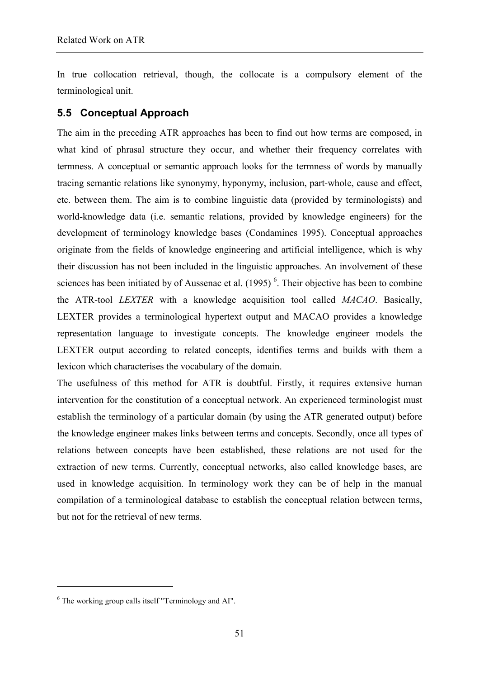In true collocation retrieval, though, the collocate is a compulsory element of the terminological unit.

# **5.5 Conceptual Approach**

The aim in the preceding ATR approaches has been to find out how terms are composed, in what kind of phrasal structure they occur, and whether their frequency correlates with termness. A conceptual or semantic approach looks for the termness of words by manually tracing semantic relations like synonymy, hyponymy, inclusion, part-whole, cause and effect, etc. between them. The aim is to combine linguistic data (provided by terminologists) and world-knowledge data (i.e. semantic relations, provided by knowledge engineers) for the development of terminology knowledge bases (Condamines 1995). Conceptual approaches originate from the fields of knowledge engineering and artificial intelligence, which is why their discussion has not been included in the linguistic approaches. An involvement of these sciences has been initiated by of Aussenac et al.  $(1995)$ <sup>6</sup>. Their objective has been to combine the ATR-tool *LEXTER* with a knowledge acquisition tool called *MACAO*. Basically, LEXTER provides a terminological hypertext output and MACAO provides a knowledge representation language to investigate concepts. The knowledge engineer models the LEXTER output according to related concepts, identifies terms and builds with them a lexicon which characterises the vocabulary of the domain.

The usefulness of this method for ATR is doubtful. Firstly, it requires extensive human intervention for the constitution of a conceptual network. An experienced terminologist must establish the terminology of a particular domain (by using the ATR generated output) before the knowledge engineer makes links between terms and concepts. Secondly, once all types of relations between concepts have been established, these relations are not used for the extraction of new terms. Currently, conceptual networks, also called knowledge bases, are used in knowledge acquisition. In terminology work they can be of help in the manual compilation of a terminological database to establish the conceptual relation between terms, but not for the retrieval of new terms.

 $\overline{a}$ 

<sup>&</sup>lt;sup>6</sup> The working group calls itself "Terminology and AI".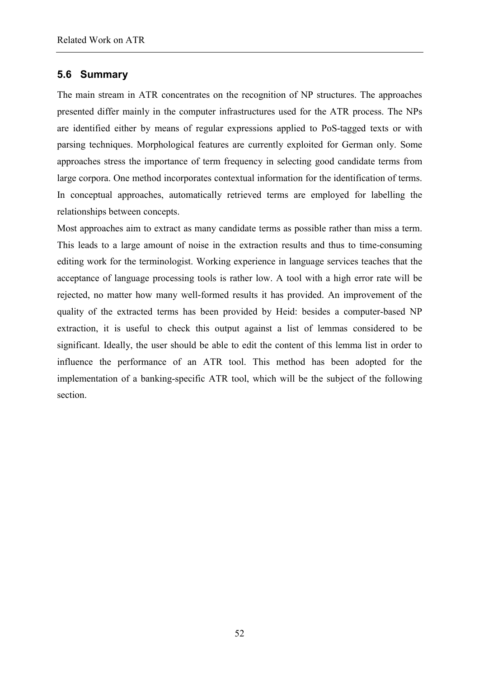## **5.6 Summary**

The main stream in ATR concentrates on the recognition of NP structures. The approaches presented differ mainly in the computer infrastructures used for the ATR process. The NPs are identified either by means of regular expressions applied to PoS-tagged texts or with parsing techniques. Morphological features are currently exploited for German only. Some approaches stress the importance of term frequency in selecting good candidate terms from large corpora. One method incorporates contextual information for the identification of terms. In conceptual approaches, automatically retrieved terms are employed for labelling the relationships between concepts.

Most approaches aim to extract as many candidate terms as possible rather than miss a term. This leads to a large amount of noise in the extraction results and thus to time-consuming editing work for the terminologist. Working experience in language services teaches that the acceptance of language processing tools is rather low. A tool with a high error rate will be rejected, no matter how many well-formed results it has provided. An improvement of the quality of the extracted terms has been provided by Heid: besides a computer-based NP extraction, it is useful to check this output against a list of lemmas considered to be significant. Ideally, the user should be able to edit the content of this lemma list in order to influence the performance of an ATR tool. This method has been adopted for the implementation of a banking-specific ATR tool, which will be the subject of the following section.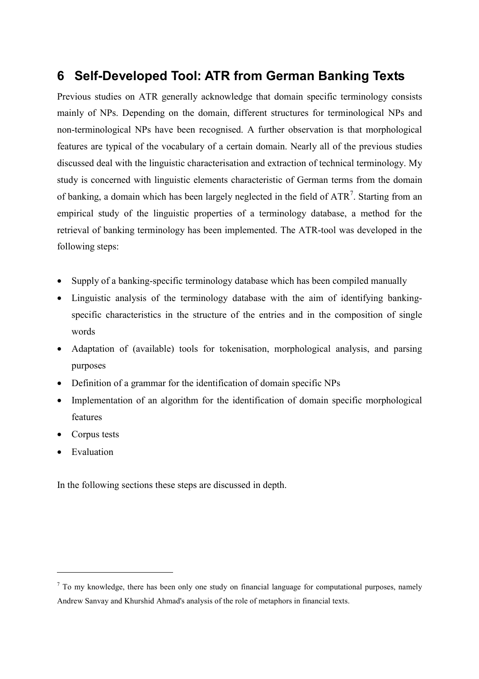# **6 Self-Developed Tool: ATR from German Banking Texts**

Previous studies on ATR generally acknowledge that domain specific terminology consists mainly of NPs. Depending on the domain, different structures for terminological NPs and non-terminological NPs have been recognised. A further observation is that morphological features are typical of the vocabulary of a certain domain. Nearly all of the previous studies discussed deal with the linguistic characterisation and extraction of technical terminology. My study is concerned with linguistic elements characteristic of German terms from the domain of banking, a domain which has been largely neglected in the field of  $ATR<sup>7</sup>$ . Starting from an empirical study of the linguistic properties of a terminology database, a method for the retrieval of banking terminology has been implemented. The ATR-tool was developed in the following steps:

- Supply of a banking-specific terminology database which has been compiled manually
- Linguistic analysis of the terminology database with the aim of identifying bankingspecific characteristics in the structure of the entries and in the composition of single words
- Adaptation of (available) tools for tokenisation, morphological analysis, and parsing purposes
- Definition of a grammar for the identification of domain specific NPs
- Implementation of an algorithm for the identification of domain specific morphological features
- Corpus tests
- **Evaluation**

 $\overline{a}$ 

In the following sections these steps are discussed in depth.

 $<sup>7</sup>$  To my knowledge, there has been only one study on financial language for computational purposes, namely</sup> Andrew Sanvay and Khurshid Ahmad's analysis of the role of metaphors in financial texts.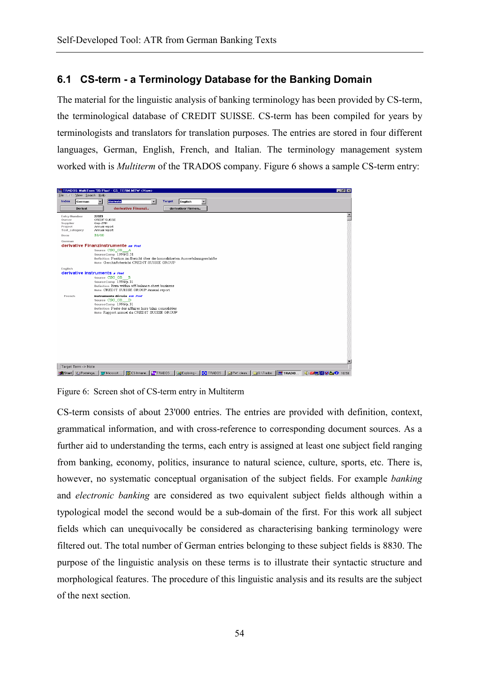# **6.1 CS-term - a Terminology Database for the Banking Domain**

The material for the linguistic analysis of banking terminology has been provided by CS-term, the terminological database of CREDIT SUISSE. CS-term has been compiled for years by terminologists and translators for translation purposes. The entries are stored in four different languages, German, English, French, and Italian. The terminology management system worked with is *Multiterm* of the TRADOS company. Figure 6 shows a sample CS-term entry:



Figure 6: Screen shot of CS-term entry in Multiterm

CS-term consists of about 23'000 entries. The entries are provided with definition, context, grammatical information, and with cross-reference to corresponding document sources. As a further aid to understanding the terms, each entry is assigned at least one subject field ranging from banking, economy, politics, insurance to natural science, culture, sports, etc. There is, however, no systematic conceptual organisation of the subject fields. For example *banking* and *electronic banking* are considered as two equivalent subject fields although within a typological model the second would be a sub-domain of the first. For this work all subject fields which can unequivocally be considered as characterising banking terminology were filtered out. The total number of German entries belonging to these subject fields is 8830. The purpose of the linguistic analysis on these terms is to illustrate their syntactic structure and morphological features. The procedure of this linguistic analysis and its results are the subject of the next section.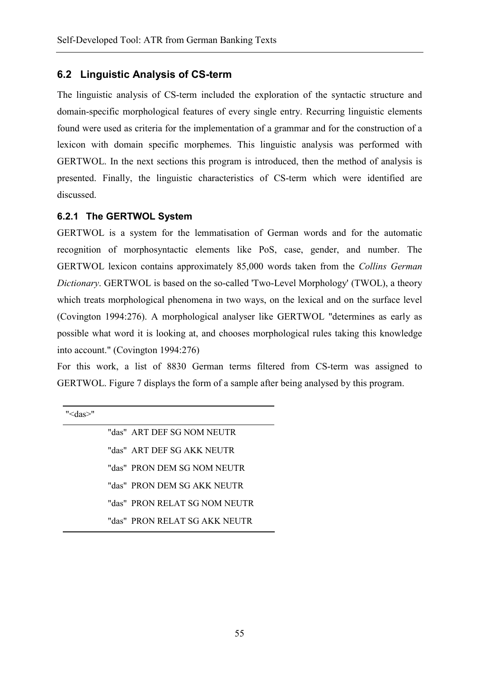## **6.2 Linguistic Analysis of CS-term**

The linguistic analysis of CS-term included the exploration of the syntactic structure and domain-specific morphological features of every single entry. Recurring linguistic elements found were used as criteria for the implementation of a grammar and for the construction of a lexicon with domain specific morphemes. This linguistic analysis was performed with GERTWOL. In the next sections this program is introduced, then the method of analysis is presented. Finally, the linguistic characteristics of CS-term which were identified are discussed.

#### **6.2.1 The GERTWOL System**

GERTWOL is a system for the lemmatisation of German words and for the automatic recognition of morphosyntactic elements like PoS, case, gender, and number. The GERTWOL lexicon contains approximately 85,000 words taken from the *Collins German Dictionary*. GERTWOL is based on the so-called 'Two-Level Morphology' (TWOL), a theory which treats morphological phenomena in two ways, on the lexical and on the surface level (Covington 1994:276). A morphological analyser like GERTWOL "determines as early as possible what word it is looking at, and chooses morphological rules taking this knowledge into account." (Covington 1994:276)

For this work, a list of 8830 German terms filtered from CS-term was assigned to GERTWOL. Figure 7 displays the form of a sample after being analysed by this program.

|  | "das" ART DEF SG NOM NEUTR    |
|--|-------------------------------|
|  | "das" ART DEF SG AKK NEUTR    |
|  | "das" PRON DEM SG NOM NEUTR   |
|  | "das" PRON DEM SG AKK NEUTR   |
|  | "das" PRON RELAT SG NOM NEUTR |
|  | "das" PRON RELAT SG AKK NEUTR |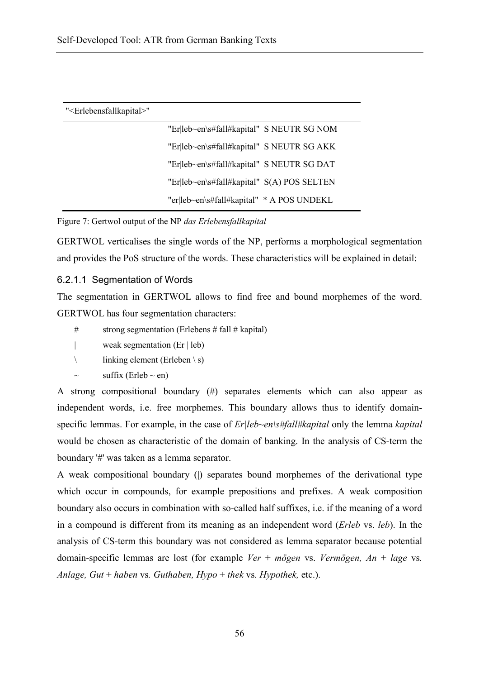| " <erlebensfallkapital>"</erlebensfallkapital> |                                            |  |
|------------------------------------------------|--------------------------------------------|--|
|                                                | "Er leb~en\s#fall#kapital" S NEUTR SG NOM  |  |
|                                                | "Er leb~en\s#fall#kapital" S NEUTR SG AKK  |  |
|                                                | "Er leb~en\s#fall#kapital" S NEUTR SG DAT  |  |
|                                                | "Er leb~en\s#fall#kapital" S(A) POS SELTEN |  |
|                                                | "er leb~en\s#fall#kapital" * A POS UNDEKL  |  |

Figure 7: Gertwol output of the NP *das Erlebensfallkapital*

GERTWOL verticalises the single words of the NP, performs a morphological segmentation and provides the PoS structure of the words. These characteristics will be explained in detail:

#### 6.2.1.1 Segmentation of Words

The segmentation in GERTWOL allows to find free and bound morphemes of the word. GERTWOL has four segmentation characters:

- # strong segmentation (Erlebens # fall # kapital)
- | weak segmentation (Er | leb)
- $\ln \left( \frac{\text{linking element}}{\text{Eri}} \right)$
- suffix (Erleb  $\sim$  en)

A strong compositional boundary (#) separates elements which can also appear as independent words, i.e. free morphemes. This boundary allows thus to identify domainspecific lemmas. For example, in the case of *Er|leb~en\s#fall#kapital* only the lemma *kapital* would be chosen as characteristic of the domain of banking. In the analysis of CS-term the boundary '#' was taken as a lemma separator.

A weak compositional boundary (**|**) separates bound morphemes of the derivational type which occur in compounds, for example prepositions and prefixes. A weak composition boundary also occurs in combination with so-called half suffixes, i.e. if the meaning of a word in a compound is different from its meaning as an independent word (*Erleb* vs. *leb*). In the analysis of CS-term this boundary was not considered as lemma separator because potential domain-specific lemmas are lost (for example *Ver* + *mögen* vs. *Vermögen, An* + *lage* vs*. Anlage, Gut* + *haben* vs*. Guthaben, Hypo* + *thek* vs*. Hypothek,* etc.).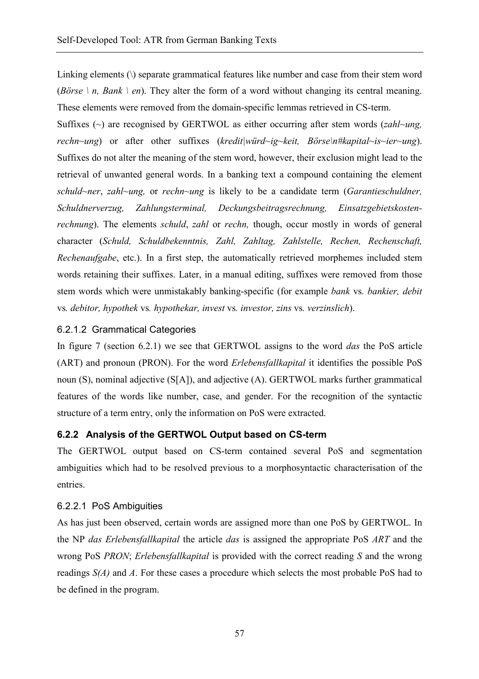Linking elements (\) separate grammatical features like number and case from their stem word (*Börse \ n, Bank \ en*). They alter the form of a word without changing its central meaning. These elements were removed from the domain-specific lemmas retrieved in CS-term.

Suffixes (~) are recognised by GERTWOL as either occurring after stem words (*zahl~ung, rechn~ung*) or after other suffixes (*kredit|würd~ig~keit, Börse\n#kapital~is~ier~ung*). Suffixes do not alter the meaning of the stem word, however, their exclusion might lead to the retrieval of unwanted general words. In a banking text a compound containing the element *schuld~ner*, *zahl~ung,* or *rechn~ung* is likely to be a candidate term (*Garantieschuldner, Schuldnerverzug, Zahlungsterminal, Deckungsbeitragsrechnung, Einsatzgebietskostenrechnung*). The elements *schuld*, *zahl* or *rechn,* though, occur mostly in words of general character (*Schuld, Schuldbekenntnis, Zahl, Zahltag, Zahlstelle, Rechen, Rechenschaft, Rechenaufgabe*, etc.). In a first step, the automatically retrieved morphemes included stem words retaining their suffixes. Later, in a manual editing, suffixes were removed from those stem words which were unmistakably banking-specific (for example *bank* vs*. bankier, debit*  vs*. debitor, hypothek* vs*. hypothekar, invest* vs*. investor, zins* vs*. verzinslich*).

## 6.2.1.2 Grammatical Categories

In figure 7 (section 6.2.1) we see that GERTWOL assigns to the word *das* the PoS article (ART) and pronoun (PRON). For the word *Erlebensfallkapital* it identifies the possible PoS noun (S), nominal adjective (S[A]), and adjective (A). GERTWOL marks further grammatical features of the words like number, case, and gender. For the recognition of the syntactic structure of a term entry, only the information on PoS were extracted.

#### **6.2.2 Analysis of the GERTWOL Output based on CS-term**

The GERTWOL output based on CS-term contained several PoS and segmentation ambiguities which had to be resolved previous to a morphosyntactic characterisation of the entries.

#### 6.2.2.1 PoS Ambiguities

As has just been observed, certain words are assigned more than one PoS by GERTWOL. In the NP *das Erlebensfallkapital* the article *das* is assigned the appropriate PoS *ART* and the wrong PoS *PRON*; *Erlebensfallkapital* is provided with the correct reading *S* and the wrong readings *S(A)* and *A*. For these cases a procedure which selects the most probable PoS had to be defined in the program.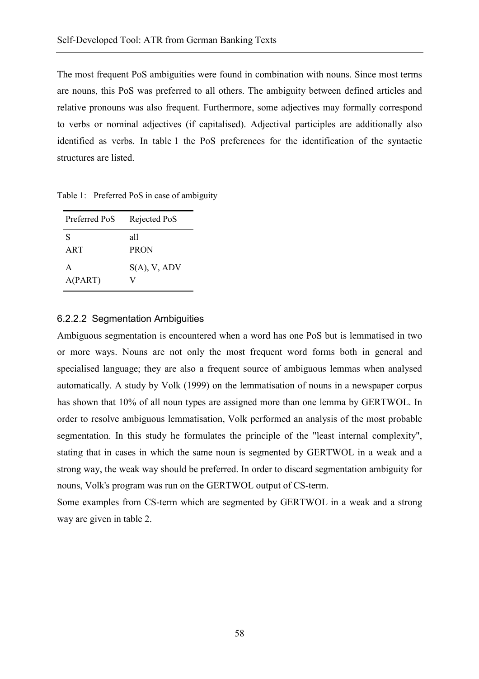The most frequent PoS ambiguities were found in combination with nouns. Since most terms are nouns, this PoS was preferred to all others. The ambiguity between defined articles and relative pronouns was also frequent. Furthermore, some adjectives may formally correspond to verbs or nominal adjectives (if capitalised). Adjectival participles are additionally also identified as verbs. In table 1 the PoS preferences for the identification of the syntactic structures are listed.

Table 1: Preferred PoS in case of ambiguity

| Preferred PoS | Rejected PoS       |
|---------------|--------------------|
| S<br>ART      | all<br><b>PRON</b> |
| A<br>A(PART)  | $S(A)$ , V, ADV    |

#### 6.2.2.2 Segmentation Ambiguities

Ambiguous segmentation is encountered when a word has one PoS but is lemmatised in two or more ways. Nouns are not only the most frequent word forms both in general and specialised language; they are also a frequent source of ambiguous lemmas when analysed automatically. A study by Volk (1999) on the lemmatisation of nouns in a newspaper corpus has shown that 10% of all noun types are assigned more than one lemma by GERTWOL. In order to resolve ambiguous lemmatisation, Volk performed an analysis of the most probable segmentation. In this study he formulates the principle of the "least internal complexity", stating that in cases in which the same noun is segmented by GERTWOL in a weak and a strong way, the weak way should be preferred. In order to discard segmentation ambiguity for nouns, Volk's program was run on the GERTWOL output of CS-term.

Some examples from CS-term which are segmented by GERTWOL in a weak and a strong way are given in table 2.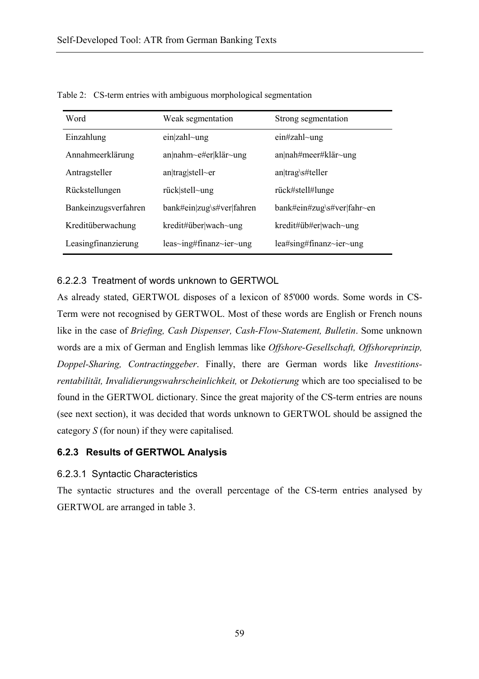| Word                 | Weak segmentation                           | Strong segmentation        |
|----------------------|---------------------------------------------|----------------------------|
| Einzahlung           | ein zahl~ung                                | $e$ in#zahl~ung            |
| Annahmeerklärung     | an nahm~e#er klär~ung                       | an nah#meer#klär~ung       |
| Antragsteller        | $an$  trag stell~er                         | $an trag\setminus #teller$ |
| Rückstellungen       | $riick stell\sim$ ung                       | rück#stell#lunge           |
| Bankeinzugsverfahren | bank#ein zug\s#ver fahren                   | bank#ein#zug\s#ver fahr~en |
| Kreditüberwachung    | $k$ redit#über wach~ung                     | kredit# $i$ b#er wach~ung  |
| Leasingfinanzierung  | $leas \sim ing \# finanz \sim ier \sim ung$ | lea#sing#finanz~ier~ung    |

Table 2: CS-term entries with ambiguous morphological segmentation

## 6.2.2.3 Treatment of words unknown to GERTWOL

As already stated, GERTWOL disposes of a lexicon of 85'000 words. Some words in CS-Term were not recognised by GERTWOL. Most of these words are English or French nouns like in the case of *Briefing, Cash Dispenser, Cash-Flow-Statement, Bulletin*. Some unknown words are a mix of German and English lemmas like *Offshore-Gesellschaft, Offshoreprinzip, Doppel-Sharing, Contractinggeber*. Finally, there are German words like *Investitionsrentabilität, Invalidierungswahrscheinlichkeit,* or *Dekotierung* which are too specialised to be found in the GERTWOL dictionary. Since the great majority of the CS-term entries are nouns (see next section), it was decided that words unknown to GERTWOL should be assigned the category *S* (for noun) if they were capitalised*.* 

# **6.2.3 Results of GERTWOL Analysis**

#### 6.2.3.1 Syntactic Characteristics

The syntactic structures and the overall percentage of the CS-term entries analysed by GERTWOL are arranged in table 3.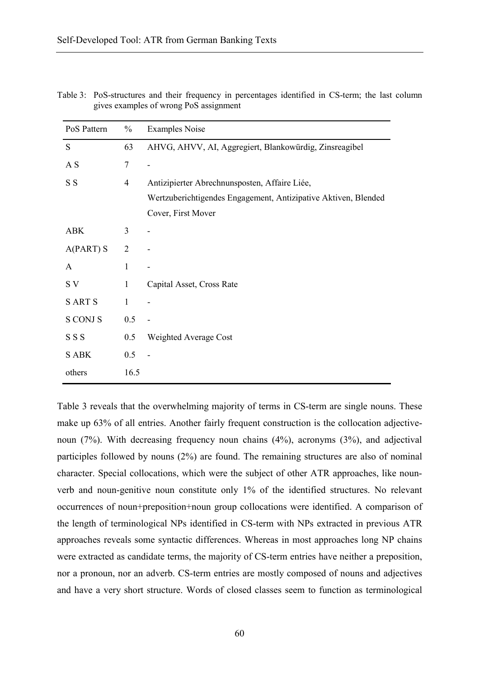| PoS Pattern     | $\frac{0}{0}$  | <b>Examples Noise</b>                                          |
|-----------------|----------------|----------------------------------------------------------------|
| S               | 63             | AHVG, AHVV, AI, Aggregiert, Blankowürdig, Zinsreagibel         |
| A S             | 7              |                                                                |
| S S             | $\overline{4}$ | Antizipierter Abrechnunsposten, Affaire Liée,                  |
|                 |                | Wertzuberichtigendes Engagement, Antizipative Aktiven, Blended |
|                 |                | Cover, First Mover                                             |
| <b>ABK</b>      | 3              |                                                                |
| $A(PART)$ S     | $\overline{2}$ |                                                                |
| A               | $\mathbf{1}$   |                                                                |
| S V             | $\mathbf{1}$   | Capital Asset, Cross Rate                                      |
| <b>SARTS</b>    | $\mathbf{1}$   |                                                                |
| <b>S CONJ S</b> | 0.5            |                                                                |
| SSS             | 0.5            | Weighted Average Cost                                          |
| <b>S ABK</b>    | 0.5            |                                                                |
| others          | 16.5           |                                                                |

Table 3: PoS-structures and their frequency in percentages identified in CS-term; the last column gives examples of wrong PoS assignment

Table 3 reveals that the overwhelming majority of terms in CS-term are single nouns. These make up 63% of all entries. Another fairly frequent construction is the collocation adjectivenoun (7%). With decreasing frequency noun chains (4%), acronyms (3%), and adjectival participles followed by nouns (2%) are found. The remaining structures are also of nominal character. Special collocations, which were the subject of other ATR approaches, like nounverb and noun-genitive noun constitute only 1% of the identified structures. No relevant occurrences of noun+preposition+noun group collocations were identified. A comparison of the length of terminological NPs identified in CS-term with NPs extracted in previous ATR approaches reveals some syntactic differences. Whereas in most approaches long NP chains were extracted as candidate terms, the majority of CS-term entries have neither a preposition, nor a pronoun, nor an adverb. CS-term entries are mostly composed of nouns and adjectives and have a very short structure. Words of closed classes seem to function as terminological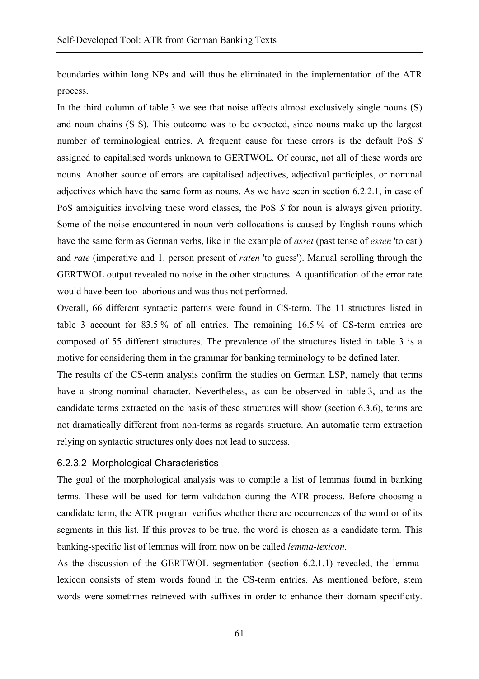boundaries within long NPs and will thus be eliminated in the implementation of the ATR process.

In the third column of table 3 we see that noise affects almost exclusively single nouns (S) and noun chains (S S). This outcome was to be expected, since nouns make up the largest number of terminological entries. A frequent cause for these errors is the default PoS *S* assigned to capitalised words unknown to GERTWOL. Of course, not all of these words are nouns*.* Another source of errors are capitalised adjectives, adjectival participles, or nominal adjectives which have the same form as nouns. As we have seen in section 6.2.2.1, in case of PoS ambiguities involving these word classes, the PoS *S* for noun is always given priority. Some of the noise encountered in noun-verb collocations is caused by English nouns which have the same form as German verbs, like in the example of *asset* (past tense of *essen* 'to eat') and *rate* (imperative and 1. person present of *raten* 'to guess'). Manual scrolling through the GERTWOL output revealed no noise in the other structures. A quantification of the error rate would have been too laborious and was thus not performed.

Overall, 66 different syntactic patterns were found in CS-term. The 11 structures listed in table 3 account for 83.5 % of all entries. The remaining 16.5 % of CS-term entries are composed of 55 different structures. The prevalence of the structures listed in table 3 is a motive for considering them in the grammar for banking terminology to be defined later.

The results of the CS-term analysis confirm the studies on German LSP, namely that terms have a strong nominal character. Nevertheless, as can be observed in table 3, and as the candidate terms extracted on the basis of these structures will show (section 6.3.6), terms are not dramatically different from non-terms as regards structure. An automatic term extraction relying on syntactic structures only does not lead to success.

#### 6.2.3.2 Morphological Characteristics

The goal of the morphological analysis was to compile a list of lemmas found in banking terms. These will be used for term validation during the ATR process. Before choosing a candidate term, the ATR program verifies whether there are occurrences of the word or of its segments in this list. If this proves to be true, the word is chosen as a candidate term. This banking-specific list of lemmas will from now on be called *lemma-lexicon.*

As the discussion of the GERTWOL segmentation (section 6.2.1.1) revealed, the lemmalexicon consists of stem words found in the CS-term entries. As mentioned before, stem words were sometimes retrieved with suffixes in order to enhance their domain specificity.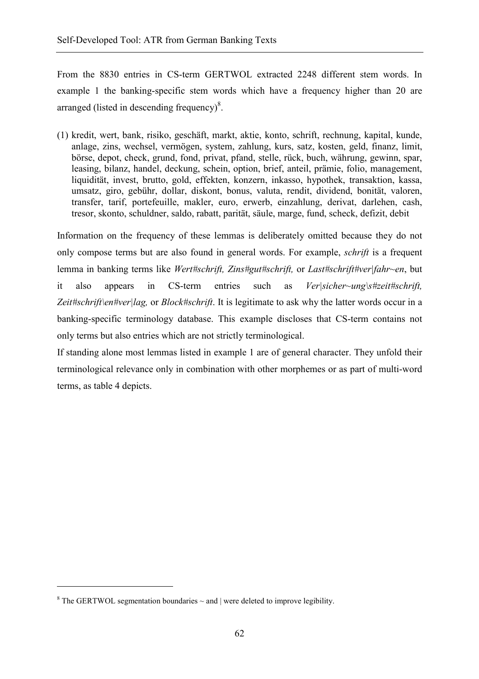From the 8830 entries in CS-term GERTWOL extracted 2248 different stem words. In example 1 the banking-specific stem words which have a frequency higher than 20 are arranged (listed in descending frequency) $8$ .

(1) kredit, wert, bank, risiko, geschäft, markt, aktie, konto, schrift, rechnung, kapital, kunde, anlage, zins, wechsel, vermögen, system, zahlung, kurs, satz, kosten, geld, finanz, limit, börse, depot, check, grund, fond, privat, pfand, stelle, rück, buch, währung, gewinn, spar, leasing, bilanz, handel, deckung, schein, option, brief, anteil, prämie, folio, management, liquidität, invest, brutto, gold, effekten, konzern, inkasso, hypothek, transaktion, kassa, umsatz, giro, gebühr, dollar, diskont, bonus, valuta, rendit, dividend, bonität, valoren, transfer, tarif, portefeuille, makler, euro, erwerb, einzahlung, derivat, darlehen, cash, tresor, skonto, schuldner, saldo, rabatt, parität, säule, marge, fund, scheck, defizit, debit

Information on the frequency of these lemmas is deliberately omitted because they do not only compose terms but are also found in general words. For example, *schrift* is a frequent lemma in banking terms like *Wert#schrift, Zins#gut#schrift,* or *Last#schrift#ver|fahr~en*, but it also appears in CS-term entries such as *Ver|sicher~ung\s#zeit#schrift, Zeit#schrift\en#ver|lag,* or *Block#schrift*. It is legitimate to ask why the latter words occur in a banking-specific terminology database. This example discloses that CS-term contains not only terms but also entries which are not strictly terminological.

If standing alone most lemmas listed in example 1 are of general character. They unfold their terminological relevance only in combination with other morphemes or as part of multi-word terms, as table 4 depicts.

 $\overline{a}$ 

<sup>&</sup>lt;sup>8</sup> The GERTWOL segmentation boundaries  $\sim$  and  $\vert$  were deleted to improve legibility.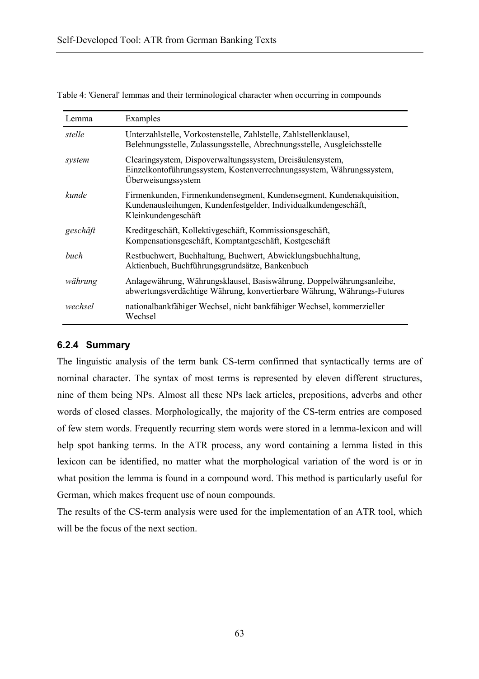| Lemma    | Examples                                                                                                                                                       |
|----------|----------------------------------------------------------------------------------------------------------------------------------------------------------------|
| stelle   | Unterzahlstelle, Vorkostenstelle, Zahlstelle, Zahlstellenklausel,<br>Belehnungsstelle, Zulassungsstelle, Abrechnungsstelle, Ausgleichsstelle                   |
| system   | Clearingsystem, Dispoverwaltungssystem, Dreisäulensystem,<br>Einzelkontoführungssystem, Kostenverrechnungssystem, Währungssystem,<br>Überweisungssystem        |
| kunde    | Firmenkunden, Firmenkundensegment, Kundensegment, Kundenakquisition,<br>Kundenausleihungen, Kundenfestgelder, Individualkundengeschäft,<br>Kleinkundengeschäft |
| geschäft | Kreditgeschäft, Kollektivgeschäft, Kommissionsgeschäft,<br>Kompensationsgeschäft, Komptantgeschäft, Kostgeschäft                                               |
| buch     | Restbuchwert, Buchhaltung, Buchwert, Abwicklungsbuchhaltung,<br>Aktienbuch, Buchführungsgrundsätze, Bankenbuch                                                 |
| währung  | Anlagewährung, Währungsklausel, Basiswährung, Doppelwährungsanleihe,<br>abwertungsverdächtige Währung, konvertierbare Währung, Währungs-Futures                |
| wechsel  | nationalbankfähiger Wechsel, nicht bankfähiger Wechsel, kommerzieller<br>Wechsel                                                                               |

Table 4: 'General' lemmas and their terminological character when occurring in compounds

#### **6.2.4 Summary**

The linguistic analysis of the term bank CS-term confirmed that syntactically terms are of nominal character. The syntax of most terms is represented by eleven different structures, nine of them being NPs. Almost all these NPs lack articles, prepositions, adverbs and other words of closed classes. Morphologically, the majority of the CS-term entries are composed of few stem words. Frequently recurring stem words were stored in a lemma-lexicon and will help spot banking terms. In the ATR process, any word containing a lemma listed in this lexicon can be identified, no matter what the morphological variation of the word is or in what position the lemma is found in a compound word. This method is particularly useful for German, which makes frequent use of noun compounds.

The results of the CS-term analysis were used for the implementation of an ATR tool, which will be the focus of the next section.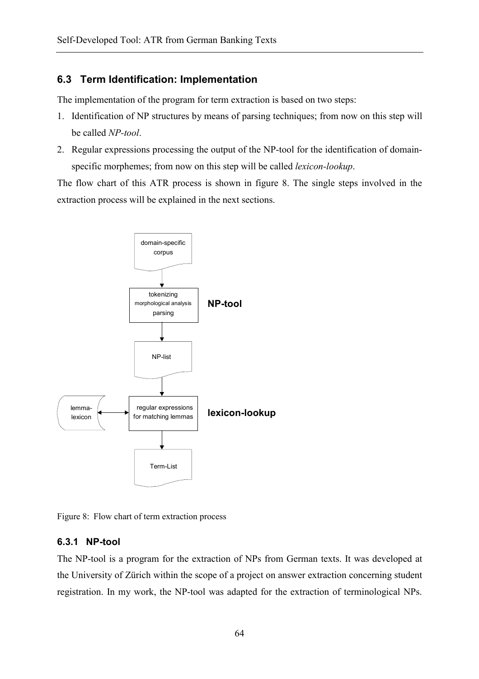# **6.3 Term Identification: Implementation**

The implementation of the program for term extraction is based on two steps:

- 1. Identification of NP structures by means of parsing techniques; from now on this step will be called *NP-tool*.
- 2. Regular expressions processing the output of the NP-tool for the identification of domainspecific morphemes; from now on this step will be called *lexicon-lookup*.

The flow chart of this ATR process is shown in figure 8. The single steps involved in the extraction process will be explained in the next sections.



Figure 8: Flow chart of term extraction process

# **6.3.1 NP-tool**

The NP-tool is a program for the extraction of NPs from German texts. It was developed at the University of Zürich within the scope of a project on answer extraction concerning student registration. In my work, the NP-tool was adapted for the extraction of terminological NPs.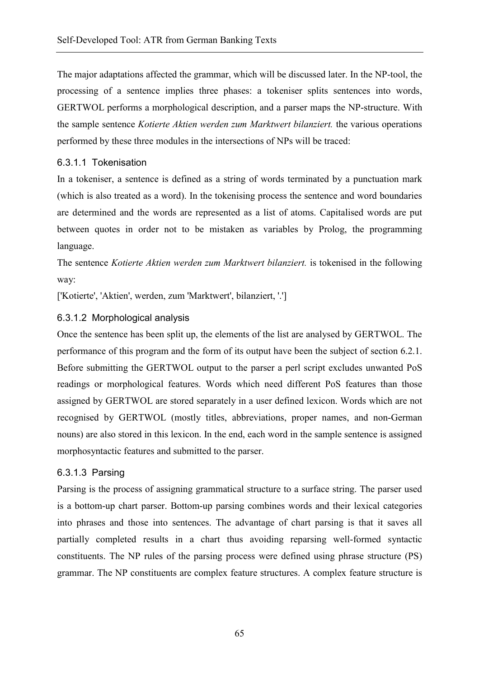The major adaptations affected the grammar, which will be discussed later. In the NP-tool, the processing of a sentence implies three phases: a tokeniser splits sentences into words, GERTWOL performs a morphological description, and a parser maps the NP-structure. With the sample sentence *Kotierte Aktien werden zum Marktwert bilanziert.* the various operations performed by these three modules in the intersections of NPs will be traced:

#### 6.3.1.1 Tokenisation

In a tokeniser, a sentence is defined as a string of words terminated by a punctuation mark (which is also treated as a word). In the tokenising process the sentence and word boundaries are determined and the words are represented as a list of atoms. Capitalised words are put between quotes in order not to be mistaken as variables by Prolog, the programming language.

The sentence *Kotierte Aktien werden zum Marktwert bilanziert.* is tokenised in the following way:

['Kotierte', 'Aktien', werden, zum 'Marktwert', bilanziert, '.']

# 6.3.1.2 Morphological analysis

Once the sentence has been split up, the elements of the list are analysed by GERTWOL. The performance of this program and the form of its output have been the subject of section 6.2.1. Before submitting the GERTWOL output to the parser a perl script excludes unwanted PoS readings or morphological features. Words which need different PoS features than those assigned by GERTWOL are stored separately in a user defined lexicon. Words which are not recognised by GERTWOL (mostly titles, abbreviations, proper names, and non-German nouns) are also stored in this lexicon. In the end, each word in the sample sentence is assigned morphosyntactic features and submitted to the parser.

#### 6.3.1.3 Parsing

Parsing is the process of assigning grammatical structure to a surface string. The parser used is a bottom-up chart parser. Bottom-up parsing combines words and their lexical categories into phrases and those into sentences. The advantage of chart parsing is that it saves all partially completed results in a chart thus avoiding reparsing well-formed syntactic constituents. The NP rules of the parsing process were defined using phrase structure (PS) grammar. The NP constituents are complex feature structures. A complex feature structure is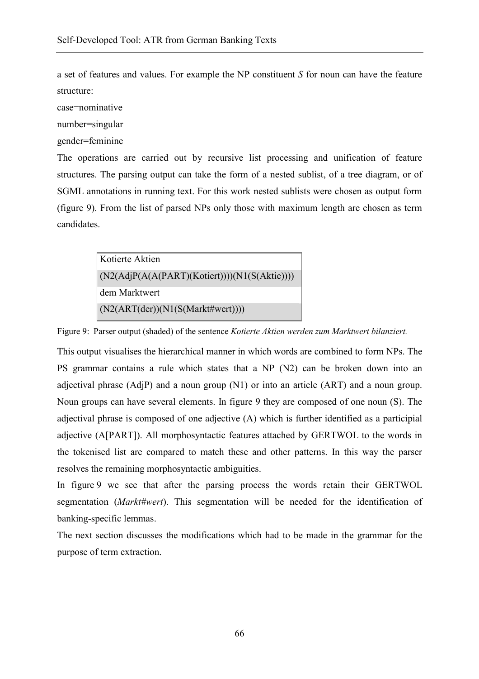a set of features and values. For example the NP constituent *S* for noun can have the feature structure:

case=nominative

number=singular

gender=feminine

The operations are carried out by recursive list processing and unification of feature structures. The parsing output can take the form of a nested sublist, of a tree diagram, or of SGML annotations in running text. For this work nested sublists were chosen as output form (figure 9). From the list of parsed NPs only those with maximum length are chosen as term candidates.

| Kotierte Aktien                                 |
|-------------------------------------------------|
| $(N2(AdjP(A(A(PART)(Kotiert))))(N1(S(Aktie))))$ |
| dem Marktwert                                   |
| (N2(ART(der))(N1(S(Markt#wert))))               |

Figure 9: Parser output (shaded) of the sentence *Kotierte Aktien werden zum Marktwert bilanziert.*

This output visualises the hierarchical manner in which words are combined to form NPs. The PS grammar contains a rule which states that a NP (N2) can be broken down into an adjectival phrase (AdjP) and a noun group (N1) or into an article (ART) and a noun group. Noun groups can have several elements. In figure 9 they are composed of one noun (S). The adjectival phrase is composed of one adjective (A) which is further identified as a participial adjective (A[PART]). All morphosyntactic features attached by GERTWOL to the words in the tokenised list are compared to match these and other patterns. In this way the parser resolves the remaining morphosyntactic ambiguities.

In figure 9 we see that after the parsing process the words retain their GERTWOL segmentation (*Markt#wert*). This segmentation will be needed for the identification of banking-specific lemmas.

The next section discusses the modifications which had to be made in the grammar for the purpose of term extraction.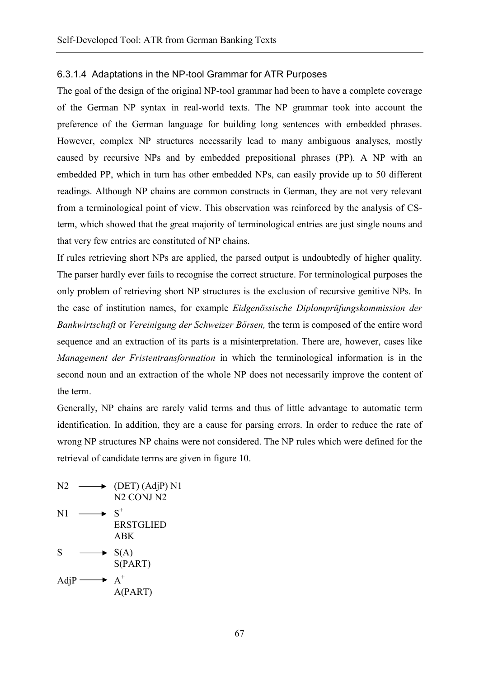#### 6.3.1.4 Adaptations in the NP-tool Grammar for ATR Purposes

The goal of the design of the original NP-tool grammar had been to have a complete coverage of the German NP syntax in real-world texts. The NP grammar took into account the preference of the German language for building long sentences with embedded phrases. However, complex NP structures necessarily lead to many ambiguous analyses, mostly caused by recursive NPs and by embedded prepositional phrases (PP). A NP with an embedded PP, which in turn has other embedded NPs, can easily provide up to 50 different readings. Although NP chains are common constructs in German, they are not very relevant from a terminological point of view. This observation was reinforced by the analysis of CSterm, which showed that the great majority of terminological entries are just single nouns and that very few entries are constituted of NP chains.

If rules retrieving short NPs are applied, the parsed output is undoubtedly of higher quality. The parser hardly ever fails to recognise the correct structure. For terminological purposes the only problem of retrieving short NP structures is the exclusion of recursive genitive NPs. In the case of institution names, for example *Eidgenössische Diplomprüfungskommission der Bankwirtschaft* or *Vereinigung der Schweizer Börsen,* the term is composed of the entire word sequence and an extraction of its parts is a misinterpretation. There are, however, cases like *Management der Fristentransformation* in which the terminological information is in the second noun and an extraction of the whole NP does not necessarily improve the content of the term.

Generally, NP chains are rarely valid terms and thus of little advantage to automatic term identification. In addition, they are a cause for parsing errors. In order to reduce the rate of wrong NP structures NP chains were not considered. The NP rules which were defined for the retrieval of candidate terms are given in figure 10.

 $N2 \longrightarrow (DET) (AdjP) N1$  N2 CONJ N2  $N1 \longrightarrow S^+$  ERSTGLIED ABK  $S \longrightarrow S(A)$  S(PART) AdjP  $\longrightarrow A^+$ A(PART)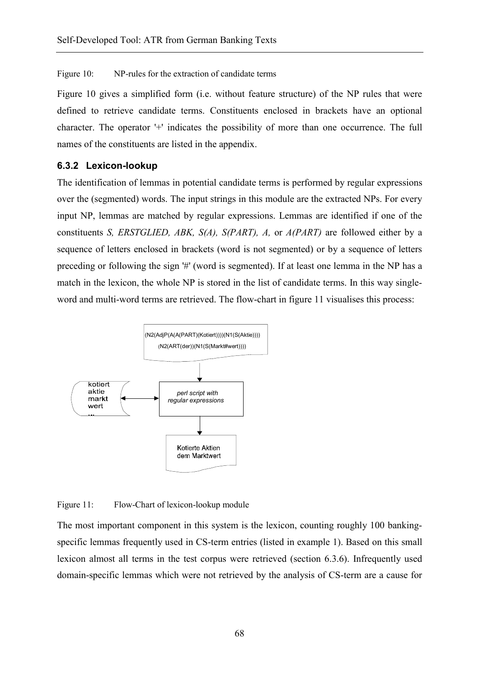Figure 10: NP-rules for the extraction of candidate terms

Figure 10 gives a simplified form (i.e. without feature structure) of the NP rules that were defined to retrieve candidate terms. Constituents enclosed in brackets have an optional character. The operator '+' indicates the possibility of more than one occurrence. The full names of the constituents are listed in the appendix.

#### **6.3.2 Lexicon-lookup**

The identification of lemmas in potential candidate terms is performed by regular expressions over the (segmented) words. The input strings in this module are the extracted NPs. For every input NP, lemmas are matched by regular expressions. Lemmas are identified if one of the constituents *S, ERSTGLIED, ABK, S(A), S(PART), A,* or *A(PART)* are followed either by a sequence of letters enclosed in brackets (word is not segmented) or by a sequence of letters preceding or following the sign '#' (word is segmented). If at least one lemma in the NP has a match in the lexicon, the whole NP is stored in the list of candidate terms. In this way singleword and multi-word terms are retrieved. The flow-chart in figure 11 visualises this process:



Figure 11: Flow-Chart of lexicon-lookup module

The most important component in this system is the lexicon, counting roughly 100 bankingspecific lemmas frequently used in CS-term entries (listed in example 1). Based on this small lexicon almost all terms in the test corpus were retrieved (section 6.3.6). Infrequently used domain-specific lemmas which were not retrieved by the analysis of CS-term are a cause for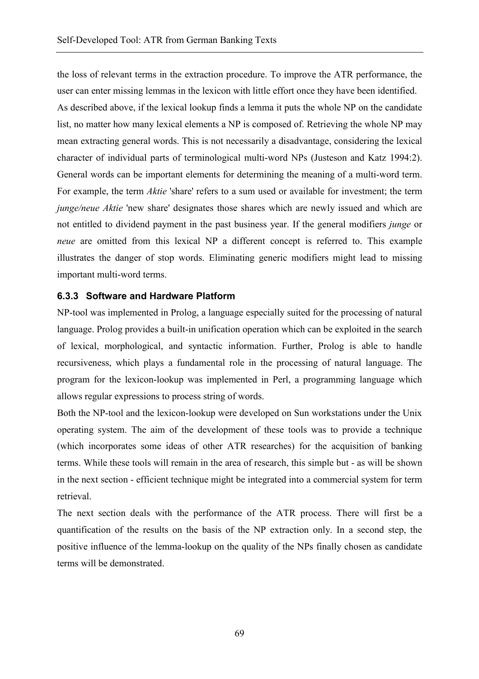the loss of relevant terms in the extraction procedure. To improve the ATR performance, the user can enter missing lemmas in the lexicon with little effort once they have been identified. As described above, if the lexical lookup finds a lemma it puts the whole NP on the candidate list, no matter how many lexical elements a NP is composed of. Retrieving the whole NP may mean extracting general words. This is not necessarily a disadvantage, considering the lexical character of individual parts of terminological multi-word NPs (Justeson and Katz 1994:2). General words can be important elements for determining the meaning of a multi-word term. For example, the term *Aktie* 'share' refers to a sum used or available for investment; the term *junge/neue Aktie* 'new share' designates those shares which are newly issued and which are not entitled to dividend payment in the past business year. If the general modifiers *junge* or *neue* are omitted from this lexical NP a different concept is referred to. This example illustrates the danger of stop words. Eliminating generic modifiers might lead to missing important multi-word terms.

# **6.3.3 Software and Hardware Platform**

NP-tool was implemented in Prolog, a language especially suited for the processing of natural language. Prolog provides a built-in unification operation which can be exploited in the search of lexical, morphological, and syntactic information. Further, Prolog is able to handle recursiveness, which plays a fundamental role in the processing of natural language. The program for the lexicon-lookup was implemented in Perl, a programming language which allows regular expressions to process string of words.

Both the NP-tool and the lexicon-lookup were developed on Sun workstations under the Unix operating system. The aim of the development of these tools was to provide a technique (which incorporates some ideas of other ATR researches) for the acquisition of banking terms. While these tools will remain in the area of research, this simple but - as will be shown in the next section - efficient technique might be integrated into a commercial system for term retrieval.

The next section deals with the performance of the ATR process. There will first be a quantification of the results on the basis of the NP extraction only. In a second step, the positive influence of the lemma-lookup on the quality of the NPs finally chosen as candidate terms will be demonstrated.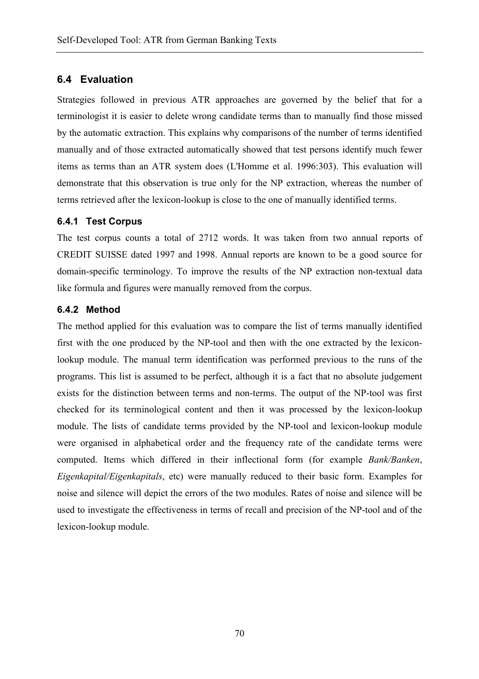# **6.4 Evaluation**

Strategies followed in previous ATR approaches are governed by the belief that for a terminologist it is easier to delete wrong candidate terms than to manually find those missed by the automatic extraction. This explains why comparisons of the number of terms identified manually and of those extracted automatically showed that test persons identify much fewer items as terms than an ATR system does (L'Homme et al. 1996:303). This evaluation will demonstrate that this observation is true only for the NP extraction, whereas the number of terms retrieved after the lexicon-lookup is close to the one of manually identified terms.

## **6.4.1 Test Corpus**

The test corpus counts a total of 2712 words. It was taken from two annual reports of CREDIT SUISSE dated 1997 and 1998. Annual reports are known to be a good source for domain-specific terminology. To improve the results of the NP extraction non-textual data like formula and figures were manually removed from the corpus.

#### **6.4.2 Method**

The method applied for this evaluation was to compare the list of terms manually identified first with the one produced by the NP-tool and then with the one extracted by the lexiconlookup module. The manual term identification was performed previous to the runs of the programs. This list is assumed to be perfect, although it is a fact that no absolute judgement exists for the distinction between terms and non-terms. The output of the NP-tool was first checked for its terminological content and then it was processed by the lexicon-lookup module. The lists of candidate terms provided by the NP-tool and lexicon-lookup module were organised in alphabetical order and the frequency rate of the candidate terms were computed. Items which differed in their inflectional form (for example *Bank/Banken*, *Eigenkapital/Eigenkapitals*, etc) were manually reduced to their basic form. Examples for noise and silence will depict the errors of the two modules. Rates of noise and silence will be used to investigate the effectiveness in terms of recall and precision of the NP-tool and of the lexicon-lookup module.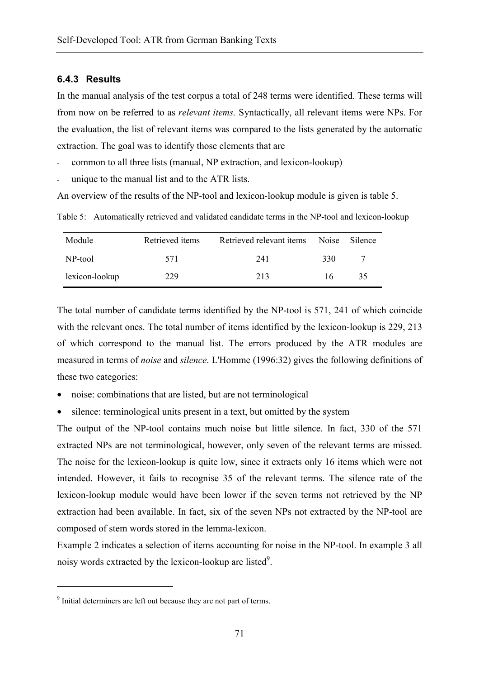#### **6.4.3 Results**

In the manual analysis of the test corpus a total of 248 terms were identified. These terms will from now on be referred to as *relevant items.* Syntactically, all relevant items were NPs. For the evaluation, the list of relevant items was compared to the lists generated by the automatic extraction. The goal was to identify those elements that are

- common to all three lists (manual, NP extraction, and lexicon-lookup)
- unique to the manual list and to the ATR lists.

An overview of the results of the NP-tool and lexicon-lookup module is given is table 5.

Table 5: Automatically retrieved and validated candidate terms in the NP-tool and lexicon-lookup

| Module         | Retrieved items | Retrieved relevant items | <b>Noise</b> | <b>Silence</b> |
|----------------|-----------------|--------------------------|--------------|----------------|
| NP-tool        | 571             | 241                      | 330          |                |
| lexicon-lookup | 229             | 213                      | 16           | 35             |

The total number of candidate terms identified by the NP-tool is 571, 241 of which coincide with the relevant ones. The total number of items identified by the lexicon-lookup is 229, 213 of which correspond to the manual list. The errors produced by the ATR modules are measured in terms of *noise* and *silence*. L'Homme (1996:32) gives the following definitions of these two categories:

- noise: combinations that are listed, but are not terminological
- silence: terminological units present in a text, but omitted by the system

The output of the NP-tool contains much noise but little silence. In fact, 330 of the 571 extracted NPs are not terminological, however, only seven of the relevant terms are missed. The noise for the lexicon-lookup is quite low, since it extracts only 16 items which were not intended. However, it fails to recognise 35 of the relevant terms. The silence rate of the lexicon-lookup module would have been lower if the seven terms not retrieved by the NP extraction had been available. In fact, six of the seven NPs not extracted by the NP-tool are composed of stem words stored in the lemma-lexicon.

Example 2 indicates a selection of items accounting for noise in the NP-tool. In example 3 all noisy words extracted by the lexicon-lookup are listed $9$ .

 $\overline{a}$ 

<sup>&</sup>lt;sup>9</sup> Initial determiners are left out because they are not part of terms.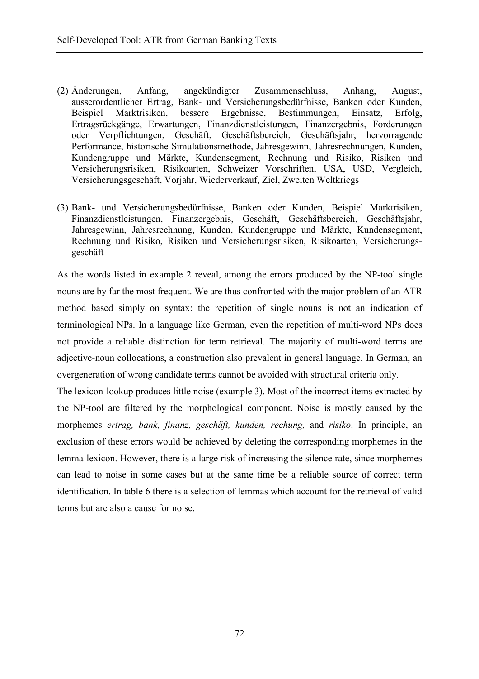- (2) Änderungen, Anfang, angekündigter Zusammenschluss, Anhang, August, ausserordentlicher Ertrag, Bank- und Versicherungsbedürfnisse, Banken oder Kunden, Beispiel Marktrisiken, bessere Ergebnisse, Bestimmungen, Einsatz, Erfolg, Ertragsrückgänge, Erwartungen, Finanzdienstleistungen, Finanzergebnis, Forderungen oder Verpflichtungen, Geschäft, Geschäftsbereich, Geschäftsjahr, hervorragende Performance, historische Simulationsmethode, Jahresgewinn, Jahresrechnungen, Kunden, Kundengruppe und Märkte, Kundensegment, Rechnung und Risiko, Risiken und Versicherungsrisiken, Risikoarten, Schweizer Vorschriften, USA, USD, Vergleich, Versicherungsgeschäft, Vorjahr, Wiederverkauf, Ziel, Zweiten Weltkriegs
- (3) Bank- und Versicherungsbedürfnisse, Banken oder Kunden, Beispiel Marktrisiken, Finanzdienstleistungen, Finanzergebnis, Geschäft, Geschäftsbereich, Geschäftsjahr, Jahresgewinn, Jahresrechnung, Kunden, Kundengruppe und Märkte, Kundensegment, Rechnung und Risiko, Risiken und Versicherungsrisiken, Risikoarten, Versicherungsgeschäft

As the words listed in example 2 reveal, among the errors produced by the NP-tool single nouns are by far the most frequent. We are thus confronted with the major problem of an ATR method based simply on syntax: the repetition of single nouns is not an indication of terminological NPs. In a language like German, even the repetition of multi-word NPs does not provide a reliable distinction for term retrieval. The majority of multi-word terms are adjective-noun collocations, a construction also prevalent in general language. In German, an overgeneration of wrong candidate terms cannot be avoided with structural criteria only.

The lexicon-lookup produces little noise (example 3). Most of the incorrect items extracted by the NP-tool are filtered by the morphological component. Noise is mostly caused by the morphemes *ertrag, bank, finanz, geschäft, kunden, rechung,* and *risiko*. In principle, an exclusion of these errors would be achieved by deleting the corresponding morphemes in the lemma-lexicon. However, there is a large risk of increasing the silence rate, since morphemes can lead to noise in some cases but at the same time be a reliable source of correct term identification. In table 6 there is a selection of lemmas which account for the retrieval of valid terms but are also a cause for noise.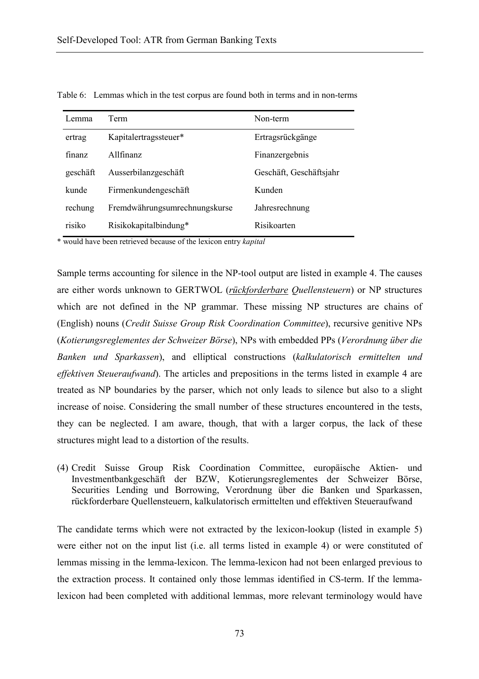| Lemma    | <b>Term</b>                   | Non-term                |
|----------|-------------------------------|-------------------------|
| ertrag   | Kapitalertragssteuer*         | Ertragsrückgänge        |
| finanz   | Allfinanz                     | Finanzergebnis          |
| geschäft | Ausserbilanzgeschäft          | Geschäft, Geschäftsjahr |
| kunde    | Firmenkundengeschäft          | Kunden                  |
| rechung  | Fremdwährungsumrechnungskurse | Jahresrechnung          |
| risiko   | Risikokapitalbindung*         | Risikoarten             |

Table 6: Lemmas which in the test corpus are found both in terms and in non-terms

\* would have been retrieved because of the lexicon entry *kapital*

Sample terms accounting for silence in the NP-tool output are listed in example 4. The causes are either words unknown to GERTWOL (*rückforderbare Quellensteuern*) or NP structures which are not defined in the NP grammar. These missing NP structures are chains of (English) nouns (*Credit Suisse Group Risk Coordination Committee*), recursive genitive NPs (*Kotierungsreglementes der Schweizer Börse*), NPs with embedded PPs (*Verordnung über die Banken und Sparkassen*), and elliptical constructions (*kalkulatorisch ermittelten und effektiven Steueraufwand*). The articles and prepositions in the terms listed in example 4 are treated as NP boundaries by the parser, which not only leads to silence but also to a slight increase of noise. Considering the small number of these structures encountered in the tests, they can be neglected. I am aware, though, that with a larger corpus, the lack of these structures might lead to a distortion of the results.

(4) Credit Suisse Group Risk Coordination Committee, europäische Aktien- und Investmentbankgeschäft der BZW, Kotierungsreglementes der Schweizer Börse, Securities Lending und Borrowing, Verordnung über die Banken und Sparkassen, rückforderbare Quellensteuern, kalkulatorisch ermittelten und effektiven Steueraufwand

The candidate terms which were not extracted by the lexicon-lookup (listed in example 5) were either not on the input list (i.e. all terms listed in example 4) or were constituted of lemmas missing in the lemma-lexicon. The lemma-lexicon had not been enlarged previous to the extraction process. It contained only those lemmas identified in CS-term. If the lemmalexicon had been completed with additional lemmas, more relevant terminology would have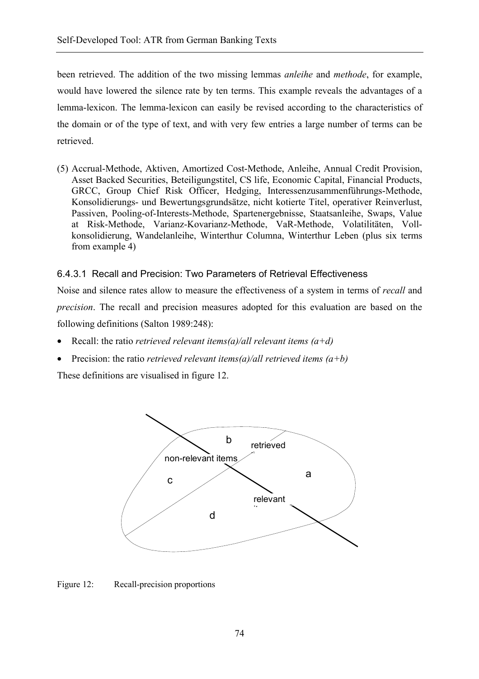been retrieved. The addition of the two missing lemmas *anleihe* and *methode*, for example, would have lowered the silence rate by ten terms. This example reveals the advantages of a lemma-lexicon. The lemma-lexicon can easily be revised according to the characteristics of the domain or of the type of text, and with very few entries a large number of terms can be retrieved.

(5) Accrual-Methode, Aktiven, Amortized Cost-Methode, Anleihe, Annual Credit Provision, Asset Backed Securities, Beteiligungstitel, CS life, Economic Capital, Financial Products, GRCC, Group Chief Risk Officer, Hedging, Interessenzusammenführungs-Methode, Konsolidierungs- und Bewertungsgrundsätze, nicht kotierte Titel, operativer Reinverlust, Passiven, Pooling-of-Interests-Methode, Spartenergebnisse, Staatsanleihe, Swaps, Value at Risk-Methode, Varianz-Kovarianz-Methode, VaR-Methode, Volatilitäten, Vollkonsolidierung, Wandelanleihe, Winterthur Columna, Winterthur Leben (plus six terms from example 4)

### 6.4.3.1 Recall and Precision: Two Parameters of Retrieval Effectiveness

Noise and silence rates allow to measure the effectiveness of a system in terms of *recall* and *precision*. The recall and precision measures adopted for this evaluation are based on the following definitions (Salton 1989:248):

- Recall: the ratio *retrieved relevant items(a)/all relevant items (a+d)*
- Precision: the ratio *retrieved relevant items(a)/all retrieved items (a+b)*

These definitions are visualised in figure 12.



Figure 12: Recall-precision proportions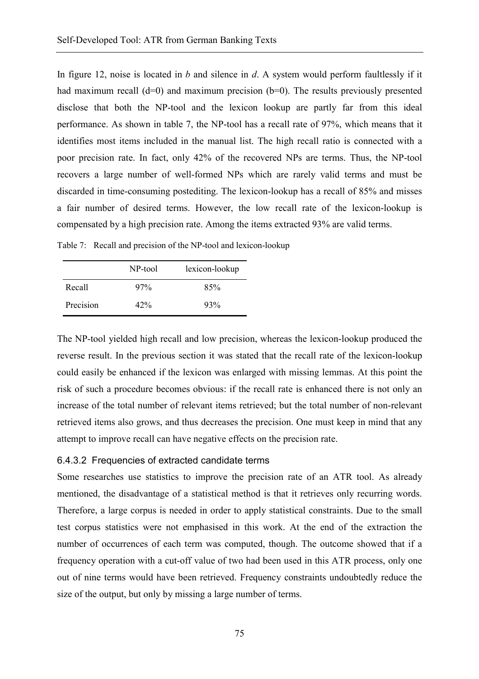In figure 12, noise is located in *b* and silence in *d*. A system would perform faultlessly if it had maximum recall  $(d=0)$  and maximum precision  $(b=0)$ . The results previously presented disclose that both the NP-tool and the lexicon lookup are partly far from this ideal performance. As shown in table 7, the NP-tool has a recall rate of 97%, which means that it identifies most items included in the manual list. The high recall ratio is connected with a poor precision rate. In fact, only 42% of the recovered NPs are terms. Thus, the NP-tool recovers a large number of well-formed NPs which are rarely valid terms and must be discarded in time-consuming postediting. The lexicon-lookup has a recall of 85% and misses a fair number of desired terms. However, the low recall rate of the lexicon-lookup is compensated by a high precision rate. Among the items extracted 93% are valid terms.

|           | NP-tool | lexicon-lookup |
|-----------|---------|----------------|
| Recall    | $97\%$  | 85%            |
| Precision | 42%     | 93%            |

Table 7: Recall and precision of the NP-tool and lexicon-lookup

The NP-tool yielded high recall and low precision, whereas the lexicon-lookup produced the reverse result. In the previous section it was stated that the recall rate of the lexicon-lookup could easily be enhanced if the lexicon was enlarged with missing lemmas. At this point the risk of such a procedure becomes obvious: if the recall rate is enhanced there is not only an increase of the total number of relevant items retrieved; but the total number of non-relevant retrieved items also grows, and thus decreases the precision. One must keep in mind that any attempt to improve recall can have negative effects on the precision rate.

#### 6.4.3.2 Frequencies of extracted candidate terms

Some researches use statistics to improve the precision rate of an ATR tool. As already mentioned, the disadvantage of a statistical method is that it retrieves only recurring words. Therefore, a large corpus is needed in order to apply statistical constraints. Due to the small test corpus statistics were not emphasised in this work. At the end of the extraction the number of occurrences of each term was computed, though. The outcome showed that if a frequency operation with a cut-off value of two had been used in this ATR process, only one out of nine terms would have been retrieved. Frequency constraints undoubtedly reduce the size of the output, but only by missing a large number of terms.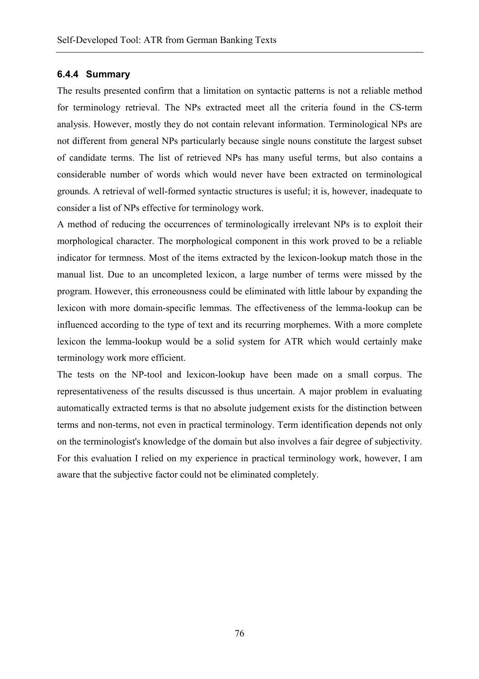### **6.4.4 Summary**

The results presented confirm that a limitation on syntactic patterns is not a reliable method for terminology retrieval. The NPs extracted meet all the criteria found in the CS-term analysis. However, mostly they do not contain relevant information. Terminological NPs are not different from general NPs particularly because single nouns constitute the largest subset of candidate terms. The list of retrieved NPs has many useful terms, but also contains a considerable number of words which would never have been extracted on terminological grounds. A retrieval of well-formed syntactic structures is useful; it is, however, inadequate to consider a list of NPs effective for terminology work.

A method of reducing the occurrences of terminologically irrelevant NPs is to exploit their morphological character. The morphological component in this work proved to be a reliable indicator for termness. Most of the items extracted by the lexicon-lookup match those in the manual list. Due to an uncompleted lexicon, a large number of terms were missed by the program. However, this erroneousness could be eliminated with little labour by expanding the lexicon with more domain-specific lemmas. The effectiveness of the lemma-lookup can be influenced according to the type of text and its recurring morphemes. With a more complete lexicon the lemma-lookup would be a solid system for ATR which would certainly make terminology work more efficient.

The tests on the NP-tool and lexicon-lookup have been made on a small corpus. The representativeness of the results discussed is thus uncertain. A major problem in evaluating automatically extracted terms is that no absolute judgement exists for the distinction between terms and non-terms, not even in practical terminology. Term identification depends not only on the terminologist's knowledge of the domain but also involves a fair degree of subjectivity. For this evaluation I relied on my experience in practical terminology work, however, I am aware that the subjective factor could not be eliminated completely.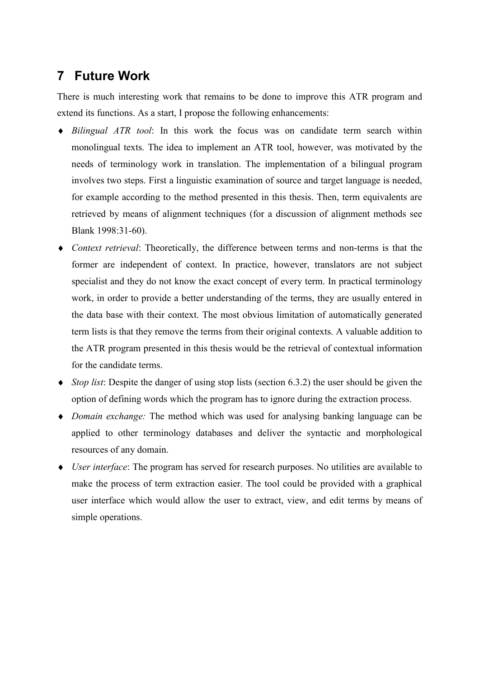# **7 Future Work**

There is much interesting work that remains to be done to improve this ATR program and extend its functions. As a start, I propose the following enhancements:

- ♦ *Bilingual ATR tool*: In this work the focus was on candidate term search within monolingual texts. The idea to implement an ATR tool, however, was motivated by the needs of terminology work in translation. The implementation of a bilingual program involves two steps. First a linguistic examination of source and target language is needed, for example according to the method presented in this thesis. Then, term equivalents are retrieved by means of alignment techniques (for a discussion of alignment methods see Blank 1998:31-60).
- ♦ *Context retrieval*: Theoretically, the difference between terms and non-terms is that the former are independent of context. In practice, however, translators are not subject specialist and they do not know the exact concept of every term. In practical terminology work, in order to provide a better understanding of the terms, they are usually entered in the data base with their context. The most obvious limitation of automatically generated term lists is that they remove the terms from their original contexts. A valuable addition to the ATR program presented in this thesis would be the retrieval of contextual information for the candidate terms.
- ♦ *Stop list*: Despite the danger of using stop lists (section 6.3.2) the user should be given the option of defining words which the program has to ignore during the extraction process.
- ♦ *Domain exchange:* The method which was used for analysing banking language can be applied to other terminology databases and deliver the syntactic and morphological resources of any domain.
- ♦ *User interface*: The program has served for research purposes. No utilities are available to make the process of term extraction easier. The tool could be provided with a graphical user interface which would allow the user to extract, view, and edit terms by means of simple operations.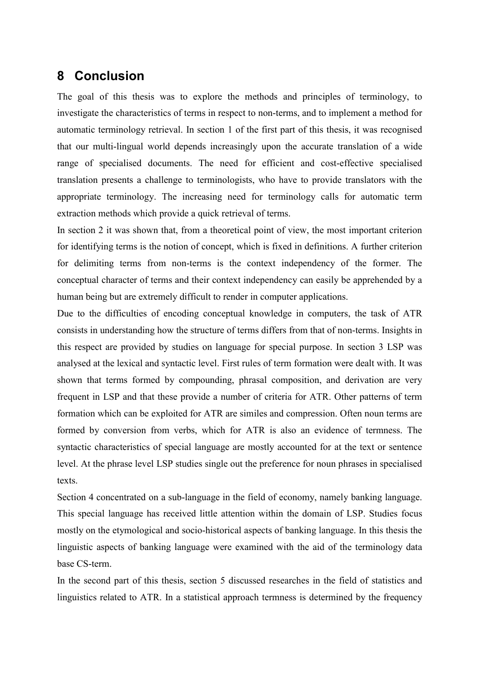### **8 Conclusion**

The goal of this thesis was to explore the methods and principles of terminology, to investigate the characteristics of terms in respect to non-terms, and to implement a method for automatic terminology retrieval. In section 1 of the first part of this thesis, it was recognised that our multi-lingual world depends increasingly upon the accurate translation of a wide range of specialised documents. The need for efficient and cost-effective specialised translation presents a challenge to terminologists, who have to provide translators with the appropriate terminology. The increasing need for terminology calls for automatic term extraction methods which provide a quick retrieval of terms.

In section 2 it was shown that, from a theoretical point of view, the most important criterion for identifying terms is the notion of concept, which is fixed in definitions. A further criterion for delimiting terms from non-terms is the context independency of the former. The conceptual character of terms and their context independency can easily be apprehended by a human being but are extremely difficult to render in computer applications.

Due to the difficulties of encoding conceptual knowledge in computers, the task of ATR consists in understanding how the structure of terms differs from that of non-terms. Insights in this respect are provided by studies on language for special purpose. In section 3 LSP was analysed at the lexical and syntactic level. First rules of term formation were dealt with. It was shown that terms formed by compounding, phrasal composition, and derivation are very frequent in LSP and that these provide a number of criteria for ATR. Other patterns of term formation which can be exploited for ATR are similes and compression. Often noun terms are formed by conversion from verbs, which for ATR is also an evidence of termness. The syntactic characteristics of special language are mostly accounted for at the text or sentence level. At the phrase level LSP studies single out the preference for noun phrases in specialised texts.

Section 4 concentrated on a sub-language in the field of economy, namely banking language. This special language has received little attention within the domain of LSP. Studies focus mostly on the etymological and socio-historical aspects of banking language. In this thesis the linguistic aspects of banking language were examined with the aid of the terminology data base CS-term.

In the second part of this thesis, section 5 discussed researches in the field of statistics and linguistics related to ATR. In a statistical approach termness is determined by the frequency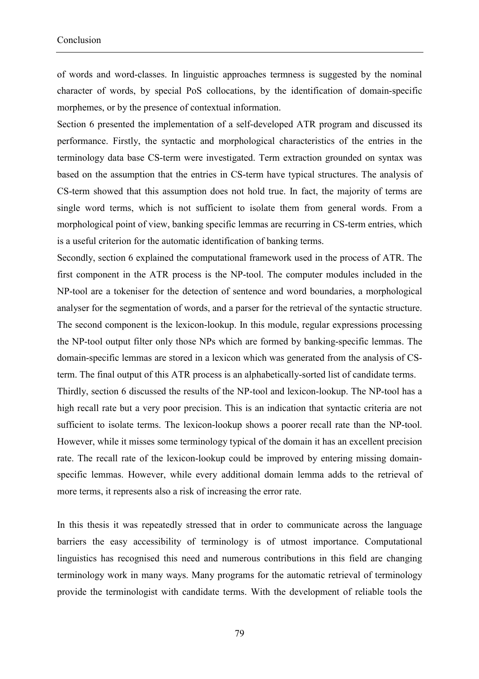of words and word-classes. In linguistic approaches termness is suggested by the nominal character of words, by special PoS collocations, by the identification of domain-specific morphemes, or by the presence of contextual information.

Section 6 presented the implementation of a self-developed ATR program and discussed its performance. Firstly, the syntactic and morphological characteristics of the entries in the terminology data base CS-term were investigated. Term extraction grounded on syntax was based on the assumption that the entries in CS-term have typical structures. The analysis of CS-term showed that this assumption does not hold true. In fact, the majority of terms are single word terms, which is not sufficient to isolate them from general words. From a morphological point of view, banking specific lemmas are recurring in CS-term entries, which is a useful criterion for the automatic identification of banking terms.

Secondly, section 6 explained the computational framework used in the process of ATR. The first component in the ATR process is the NP-tool. The computer modules included in the NP-tool are a tokeniser for the detection of sentence and word boundaries, a morphological analyser for the segmentation of words, and a parser for the retrieval of the syntactic structure. The second component is the lexicon-lookup. In this module, regular expressions processing the NP-tool output filter only those NPs which are formed by banking-specific lemmas. The domain-specific lemmas are stored in a lexicon which was generated from the analysis of CSterm. The final output of this ATR process is an alphabetically-sorted list of candidate terms. Thirdly, section 6 discussed the results of the NP-tool and lexicon-lookup. The NP-tool has a

high recall rate but a very poor precision. This is an indication that syntactic criteria are not sufficient to isolate terms. The lexicon-lookup shows a poorer recall rate than the NP-tool. However, while it misses some terminology typical of the domain it has an excellent precision rate. The recall rate of the lexicon-lookup could be improved by entering missing domainspecific lemmas. However, while every additional domain lemma adds to the retrieval of more terms, it represents also a risk of increasing the error rate.

In this thesis it was repeatedly stressed that in order to communicate across the language barriers the easy accessibility of terminology is of utmost importance. Computational linguistics has recognised this need and numerous contributions in this field are changing terminology work in many ways. Many programs for the automatic retrieval of terminology provide the terminologist with candidate terms. With the development of reliable tools the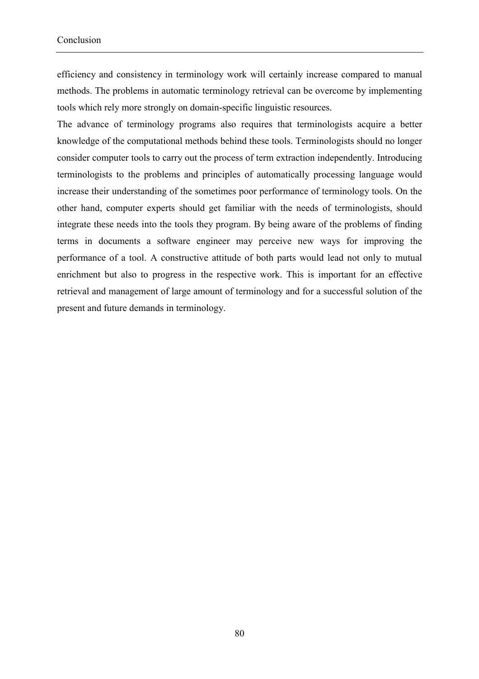efficiency and consistency in terminology work will certainly increase compared to manual methods. The problems in automatic terminology retrieval can be overcome by implementing tools which rely more strongly on domain-specific linguistic resources.

The advance of terminology programs also requires that terminologists acquire a better knowledge of the computational methods behind these tools. Terminologists should no longer consider computer tools to carry out the process of term extraction independently. Introducing terminologists to the problems and principles of automatically processing language would increase their understanding of the sometimes poor performance of terminology tools. On the other hand, computer experts should get familiar with the needs of terminologists, should integrate these needs into the tools they program. By being aware of the problems of finding terms in documents a software engineer may perceive new ways for improving the performance of a tool. A constructive attitude of both parts would lead not only to mutual enrichment but also to progress in the respective work. This is important for an effective retrieval and management of large amount of terminology and for a successful solution of the present and future demands in terminology.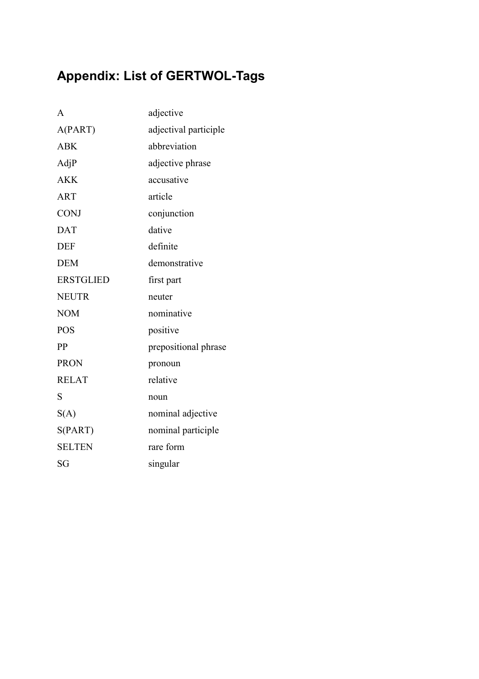# **Appendix: List of GERTWOL-Tags**

| $\mathsf{A}$     | adjective             |
|------------------|-----------------------|
| A(PART)          | adjectival participle |
| <b>ABK</b>       | abbreviation          |
| AdjP             | adjective phrase      |
| <b>AKK</b>       | accusative            |
| <b>ART</b>       | article               |
| <b>CONJ</b>      | conjunction           |
| <b>DAT</b>       | dative                |
| <b>DEF</b>       | definite              |
| <b>DEM</b>       | demonstrative         |
| <b>ERSTGLIED</b> | first part            |
| <b>NEUTR</b>     | neuter                |
| <b>NOM</b>       | nominative            |
| <b>POS</b>       | positive              |
| PP               | prepositional phrase  |
| <b>PRON</b>      | pronoun               |
| <b>RELAT</b>     | relative              |
| S                | noun                  |
| S(A)             | nominal adjective     |
| S(PART)          | nominal participle    |
| <b>SELTEN</b>    | rare form             |
| SG               | singular              |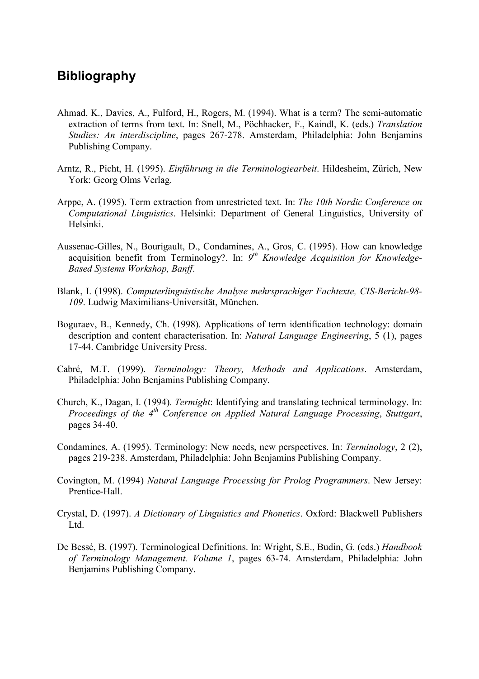## **Bibliography**

- Ahmad, K., Davies, A., Fulford, H., Rogers, M. (1994). What is a term? The semi-automatic extraction of terms from text. In: Snell, M., Pöchhacker, F., Kaindl, K. (eds.) *Translation Studies: An interdiscipline*, pages 267-278. Amsterdam, Philadelphia: John Benjamins Publishing Company.
- Arntz, R., Picht, H. (1995). *Einführung in die Terminologiearbeit*. Hildesheim, Zürich, New York: Georg Olms Verlag.
- Arppe, A. (1995). Term extraction from unrestricted text. In: *The 10th Nordic Conference on Computational Linguistics*. Helsinki: Department of General Linguistics, University of Helsinki.
- Aussenac-Gilles, N., Bourigault, D., Condamines, A., Gros, C. (1995). How can knowledge acquisition benefit from Terminology?. In: *9th Knowledge Acquisition for Knowledge-Based Systems Workshop, Banff*.
- Blank, I. (1998). *Computerlinguistische Analyse mehrsprachiger Fachtexte, CIS-Bericht-98- 109*. Ludwig Maximilians-Universität, München.
- Boguraev, B., Kennedy, Ch. (1998). Applications of term identification technology: domain description and content characterisation. In: *Natural Language Engineering*, 5 (1), pages 17-44. Cambridge University Press.
- Cabré, M.T. (1999). *Terminology: Theory, Methods and Applications*. Amsterdam, Philadelphia: John Benjamins Publishing Company.
- Church, K., Dagan, I. (1994). *Termight*: Identifying and translating technical terminology. In: *Proceedings of the 4th Conference on Applied Natural Language Processing*, *Stuttgart*, pages 34-40.
- Condamines, A. (1995). Terminology: New needs, new perspectives. In: *Terminology*, 2 (2), pages 219-238. Amsterdam, Philadelphia: John Benjamins Publishing Company.
- Covington, M. (1994) *Natural Language Processing for Prolog Programmers*. New Jersey: Prentice-Hall.
- Crystal, D. (1997). *A Dictionary of Linguistics and Phonetics*. Oxford: Blackwell Publishers Ltd.
- De Bessé, B. (1997). Terminological Definitions. In: Wright, S.E., Budin, G. (eds.) *Handbook of Terminology Management. Volume 1*, pages 63-74. Amsterdam, Philadelphia: John Benjamins Publishing Company.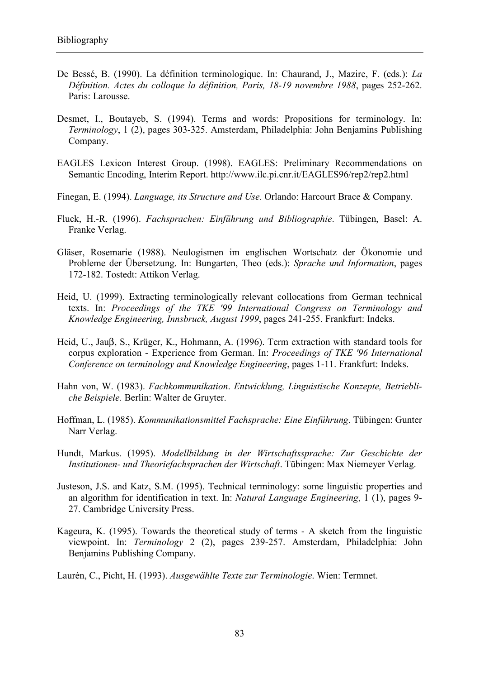- De Bessé, B. (1990). La définition terminologique. In: Chaurand, J., Mazire, F. (eds.): *La Définition. Actes du colloque la définition, Paris, 18-19 novembre 1988*, pages 252-262. Paris: Larousse.
- Desmet, I., Boutayeb, S. (1994). Terms and words: Propositions for terminology. In: *Terminology*, 1 (2), pages 303-325. Amsterdam, Philadelphia: John Benjamins Publishing Company.
- EAGLES Lexicon Interest Group. (1998). EAGLES: Preliminary Recommendations on Semantic Encoding, Interim Report. http://www.ilc.pi.cnr.it/EAGLES96/rep2/rep2.html
- Finegan, E. (1994). *Language, its Structure and Use.* Orlando: Harcourt Brace & Company.
- Fluck, H.-R. (1996). *Fachsprachen: Einführung und Bibliographie*. Tübingen, Basel: A. Franke Verlag.
- Gläser, Rosemarie (1988). Neulogismen im englischen Wortschatz der Ökonomie und Probleme der Übersetzung. In: Bungarten, Theo (eds.): *Sprache und Information*, pages 172-182. Tostedt: Attikon Verlag.
- Heid, U. (1999). Extracting terminologically relevant collocations from German technical texts. In: *Proceedings of the TKE '99 International Congress on Terminology and Knowledge Engineering, Innsbruck, August 1999*, pages 241-255. Frankfurt: Indeks.
- Heid, U., Jauβ, S., Krüger, K., Hohmann, A. (1996). Term extraction with standard tools for corpus exploration - Experience from German. In: *Proceedings of TKE '96 International Conference on terminology and Knowledge Engineering*, pages 1-11. Frankfurt: Indeks.
- Hahn von, W. (1983). *Fachkommunikation*. *Entwicklung, Linguistische Konzepte, Betriebliche Beispiele.* Berlin: Walter de Gruyter.
- Hoffman, L. (1985). *Kommunikationsmittel Fachsprache: Eine Einführung*. Tübingen: Gunter Narr Verlag.
- Hundt, Markus. (1995). *Modellbildung in der Wirtschaftssprache: Zur Geschichte der Institutionen- und Theoriefachsprachen der Wirtschaft*. Tübingen: Max Niemeyer Verlag.
- Justeson, J.S. and Katz, S.M. (1995). Technical terminology: some linguistic properties and an algorithm for identification in text. In: *Natural Language Engineering*, 1 (1), pages 9- 27. Cambridge University Press.
- Kageura, K. (1995). Towards the theoretical study of terms A sketch from the linguistic viewpoint. In: *Terminology* 2 (2), pages 239-257. Amsterdam, Philadelphia: John Benjamins Publishing Company.

Laurén, C., Picht, H. (1993). *Ausgewählte Texte zur Terminologie*. Wien: Termnet.